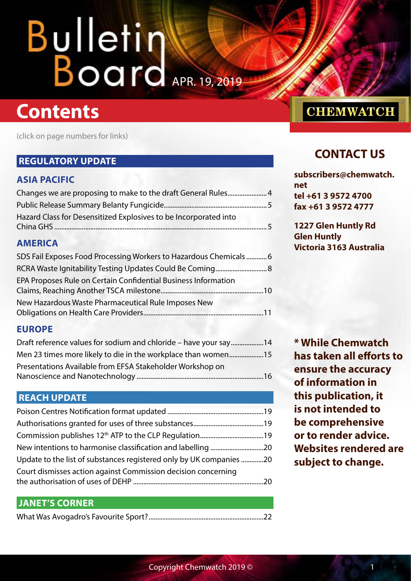### **Contents**

(click on page numbers for links)

#### **[REGULATORY UPDATE](#page-3-0)**

#### **[ASIA PACIFIC](#page-3-0)**

| Hazard Class for Desensitized Explosives to be Incorporated into |     |
|------------------------------------------------------------------|-----|
|                                                                  | - 5 |
|                                                                  |     |

#### **[AMERICA](#page-5-0)**

| SDS Fail Exposes Food Processing Workers to Hazardous Chemicals  6 |      |
|--------------------------------------------------------------------|------|
|                                                                    |      |
| EPA Proposes Rule on Certain Confidential Business Information     |      |
| New Hazardous Waste Pharmaceutical Rule Imposes New                | . 11 |

#### **[EUROPE](#page-13-0)**

| Draft reference values for sodium and chloride - have your say14 |
|------------------------------------------------------------------|
| Men 23 times more likely to die in the workplace than women15    |
| Presentations Available from EFSA Stakeholder Workshop on        |
|                                                                  |

#### **[REACH UPDATE](#page-18-0)**

| Update to the list of substances registered only by UK companies 20 |  |
|---------------------------------------------------------------------|--|
| Court dismisses action against Commission decision concerning       |  |
|                                                                     |  |
|                                                                     |  |

#### **[JANET'S CORNER](#page-21-0)**

|--|

#### **CHEMWATCH**

#### **CONTACT US**

**[subscribers@chemwatch.](mailto:subscribers@chemwatch.net) [net](mailto:subscribers@chemwatch.net) tel +61 3 9572 4700 fax +61 3 9572 4777**

**1227 Glen Huntly Rd Glen Huntly Victoria 3163 Australia**

**\* While Chemwatch has taken all efforts to ensure the accuracy of information in this publication, it is not intended to be comprehensive or to render advice. Websites rendered are subject to change.**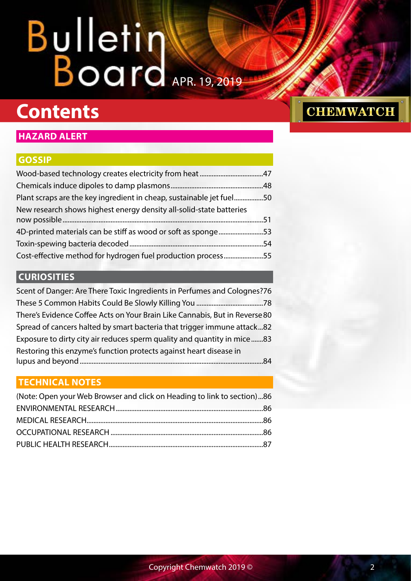## **Contents**

#### **[HAZARD ALERT](#page-22-0)**

#### **[GOSSIP](#page-27-0)**

| Plant scraps are the key ingredient in cheap, sustainable jet fuel50 |     |
|----------------------------------------------------------------------|-----|
| New research shows highest energy density all-solid-state batteries  |     |
|                                                                      |     |
|                                                                      | .53 |
|                                                                      | .54 |
| Cost-effective method for hydrogen fuel production process           | 55  |

#### **[CURIOSITIES](#page-56-0)**

| Scent of Danger: Are There Toxic Ingredients in Perfumes and Colognes?76    |  |
|-----------------------------------------------------------------------------|--|
|                                                                             |  |
| There's Evidence Coffee Acts on Your Brain Like Cannabis, But in Reverse 80 |  |
| Spread of cancers halted by smart bacteria that trigger immune attack82     |  |
| Exposure to dirty city air reduces sperm quality and quantity in mice83     |  |
| Restoring this enzyme's function protects against heart disease in          |  |
|                                                                             |  |

#### **[TECHNICAL NOTES](#page-85-0)**

| (Note: Open your Web Browser and click on Heading to link to section)86 |  |
|-------------------------------------------------------------------------|--|
|                                                                         |  |
|                                                                         |  |
|                                                                         |  |
|                                                                         |  |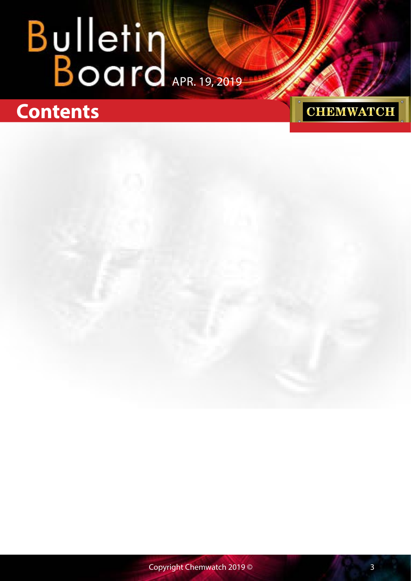### **Contents**



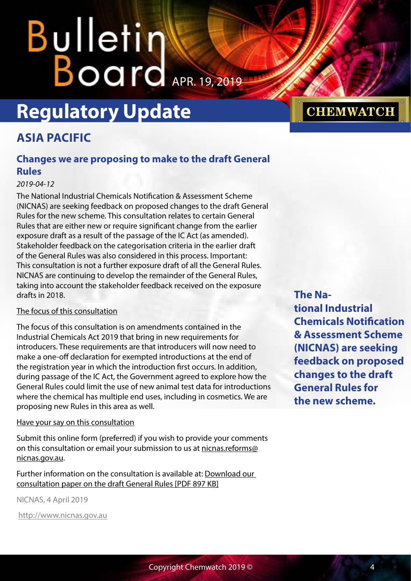## <span id="page-3-0"></span>**Bulletintendents**

## **Regulatory Update**

#### **ASIA PACIFIC**

#### **Changes we are proposing to make to the draft General Rules**

#### *2019-04-12*

The National Industrial Chemicals Notification & Assessment Scheme (NICNAS) are seeking feedback on proposed changes to the draft General Rules for the new scheme. This consultation relates to certain General Rules that are either new or require significant change from the earlier exposure draft as a result of the passage of the IC Act (as amended). Stakeholder feedback on the categorisation criteria in the earlier draft of the General Rules was also considered in this process. Important: This consultation is not a further exposure draft of all the General Rules. NICNAS are continuing to develop the remainder of the General Rules, taking into account the stakeholder feedback received on the exposure drafts in 2018.

#### The focus of this consultation

The focus of this consultation is on amendments contained in the [Industrial Chemicals Act 2019](https://www.legislation.gov.au/Details/C2019A00012) that bring in new requirements for introducers. These requirements are that introducers will now need to make a one-off declaration for exempted introductions at the end of the registration year in which the introduction first occurs. In addition, during passage of the IC Act, the Government agreed to explore how the General Rules could limit the use of new animal test data for introductions where the chemical has multiple end uses, including in cosmetics. We are proposing new Rules in this area as well.

#### Have your say on this consultation

[Submit this online form](https://www.nicnas.gov.au/forms/Consultation-on-proposed-changes-to-the-draft-General-Rules) (preferred) if you wish to provide your comments on this consultation or email your submission to us at [nicnas.reforms@](mailto:nicnas.reforms@nicnas.gov.au) [nicnas.gov.au.](mailto:nicnas.reforms@nicnas.gov.au)

Further information on the consultation is available at: [Download our](https://www.nicnas.gov.au/__data/assets/pdf_file/0005/87134/Consultation-paper-Proposed-changes-to-Rules-arising-from-passage-of-IC-Act_-FINAL-for-publication.pdf)  [consultation paper on the draft General Rules \[PDF 897 KB\]](https://www.nicnas.gov.au/__data/assets/pdf_file/0005/87134/Consultation-paper-Proposed-changes-to-Rules-arising-from-passage-of-IC-Act_-FINAL-for-publication.pdf)

NICNAS, 4 April 2019

<http://www.nicnas.gov.au>

#### **The National Industrial Chemicals Notification & Assessment Scheme (NICNAS) are seeking feedback on proposed changes to the draft General Rules for the new scheme.**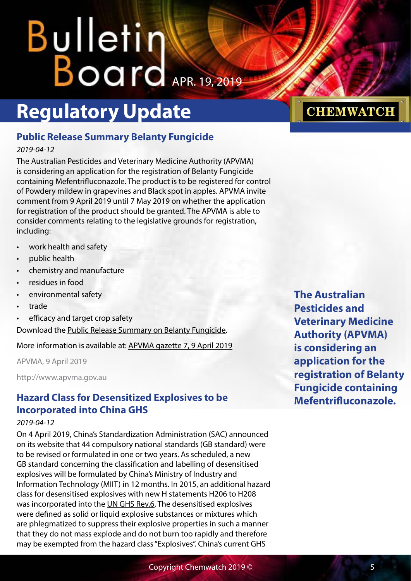## <span id="page-4-0"></span>**Regulatory Update**

#### **Public Release Summary Belanty Fungicide**

*2019-04-12*

The Australian Pesticides and Veterinary Medicine Authority (APVMA) is considering an application for the registration of Belanty Fungicide containing Mefentrifluconazole. The product is to be registered for control of Powdery mildew in grapevines and Black spot in apples. APVMA invite comment from 9 April 2019 until 7 May 2019 on whether the application for registration of the product should be granted. The APVMA is able to consider comments relating to the legislative grounds for registration, including:

- work health and safety
- public health
- chemistry and manufacture
- residues in food
- environmental safety
- trade
- efficacy and target crop safety

Download the [Public Release Summary on Belanty Fungicide.](https://apvma.gov.au/node/46311)

More information is available at: [APVMA gazette 7, 9 April 2019](https://apvma.gov.au/node/46531)

APVMA, 9 April 2019

<http://www.apvma.gov.au>

#### **Hazard Class for Desensitized Explosives to be Incorporated into China GHS**

#### *2019-04-12*

On 4 April 2019, China's Standardization Administration (SAC) announced on its website that 44 compulsory national standards (GB standard) were to be revised or formulated in one or two years. As scheduled, a new GB standard concerning the classification and labelling of desensitised explosives will be formulated by China's Ministry of Industry and Information Technology (MIIT) in 12 months. In 2015, an additional hazard class for desensitised explosives with new H statements H206 to H208 was incorporated into the UN GHS Rev.6. The desensitised explosives were defined as solid or liquid explosive substances or mixtures which are phlegmatized to suppress their explosive properties in such a manner that they do not mass explode and do not burn too rapidly and therefore may be exempted from the hazard class "Explosives". China's current GHS

**The Australian Pesticides and Veterinary Medicine Authority (APVMA) is considering an application for the registration of Belanty Fungicide containing Mefentrifluconazole.**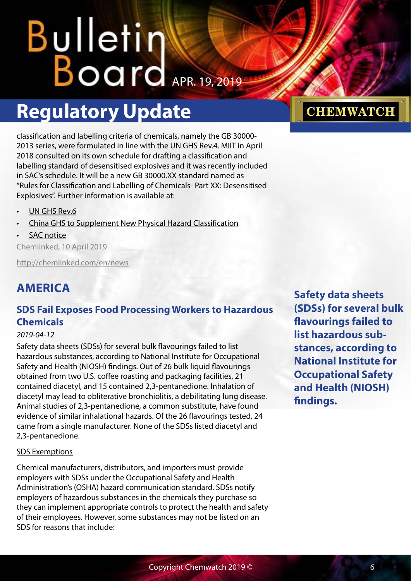## <span id="page-5-0"></span>**Regulatory Update**

classification and labelling criteria of chemicals, namely the GB 30000- 2013 series, were formulated in line with the UN GHS Rev.4. MIIT in April 2018 consulted on its own schedule for drafting a classification and labelling standard of desensitised explosives and it was recently included in SAC's schedule. It will be a new GB 30000.XX standard named as "Rules for Classification and Labelling of Chemicals- Part XX: Desensitised Explosives". Further information is available at:

- UN GHS Rev.6
- [China GHS to Supplement New Physical Hazard Classification](https://chemlinked.com/news/chemical-news/china-ghs-supplement-new-physical-hazard-classification)
- **SAC** notice

Chemlinked, 10 April 2019

<http://chemlinked.com/en/news>

#### **AMERICA**

#### **SDS Fail Exposes Food Processing Workers to Hazardous Chemicals**

#### *2019-04-12*

Safety data sheets (SDSs) for several bulk flavourings failed to list hazardous substances, according to National Institute for Occupational Safety and Health (NIOSH) findings. Out of 26 bulk liquid flavourings obtained from two U.S. coffee roasting and packaging facilities, 21 contained diacetyl, and 15 contained 2,3-pentanedione. Inhalation of diacetyl may lead to obliterative bronchiolitis, a debilitating lung disease. Animal studies of 2,3-pentanedione, a common substitute, have found evidence of similar inhalational hazards. Of the 26 flavourings tested, 24 came from a single manufacturer. None of the SDSs listed diacetyl and 2,3-pentanedione.

#### SDS Exemptions

Chemical manufacturers, distributors, and importers must provide employers with SDSs under the Occupational Safety and Health Administration's (OSHA) hazard communication standard. SDSs notify employers of hazardous substances in the chemicals they purchase so they can implement appropriate controls to protect the health and safety of their employees. However, some substances may not be listed on an SDS for reasons that include:

**Safety data sheets (SDSs) for several bulk flavourings failed to list hazardous substances, according to National Institute for Occupational Safety and Health (NIOSH) findings.**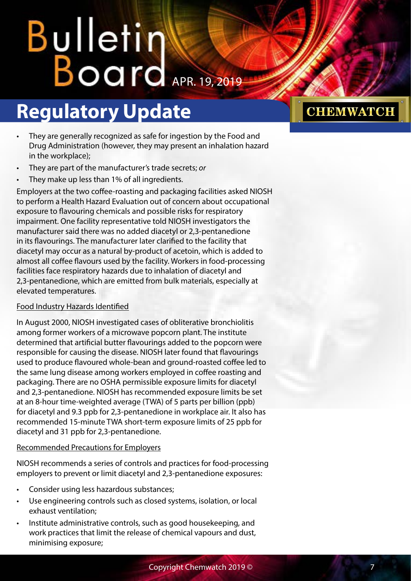## **Regulatory Update**

- They are generally recognized as safe for ingestion by the Food and Drug Administration (however, they may present an inhalation hazard in the workplace);
- They are part of the manufacturer's trade secrets; *or*
- They make up less than 1% of all ingredients.

Employers at the two coffee-roasting and packaging facilities asked NIOSH to perform a Health Hazard Evaluation out of concern about occupational exposure to flavouring chemicals and possible risks for respiratory impairment. One facility representative told NIOSH investigators the manufacturer said there was no added diacetyl or 2,3-pentanedione in its flavourings. The manufacturer later clarified to the facility that diacetyl may occur as a natural by-product of acetoin, which is added to almost all coffee flavours used by the facility. Workers in food-processing facilities face respiratory hazards due to inhalation of diacetyl and 2,3-pentanedione, which are emitted from bulk materials, especially at elevated temperatures.

#### Food Industry Hazards Identified

In August 2000, NIOSH investigated cases of obliterative bronchiolitis among former workers of a microwave popcorn plant. The institute determined that artificial butter flavourings added to the popcorn were responsible for causing the disease. NIOSH later found that flavourings used to produce flavoured whole-bean and ground-roasted coffee led to the same lung disease among workers employed in coffee roasting and packaging. There are no OSHA permissible exposure limits for diacetyl and 2,3-pentanedione. NIOSH has recommended exposure limits be set at an 8-hour time-weighted average (TWA) of 5 parts per billion (ppb) for diacetyl and 9.3 ppb for 2,3-pentanedione in workplace air. It also has recommended 15-minute TWA short-term exposure limits of 25 ppb for diacetyl and 31 ppb for 2,3-pentanedione.

#### Recommended Precautions for Employers

NIOSH recommends a series of controls and practices for food-processing employers to prevent or limit diacetyl and 2,3-pentanedione exposures:

- Consider using less hazardous substances;
- Use engineering controls such as closed systems, isolation, or local exhaust ventilation;
- Institute administrative controls, such as good housekeeping, and work practices that limit the release of chemical vapours and dust, minimising exposure;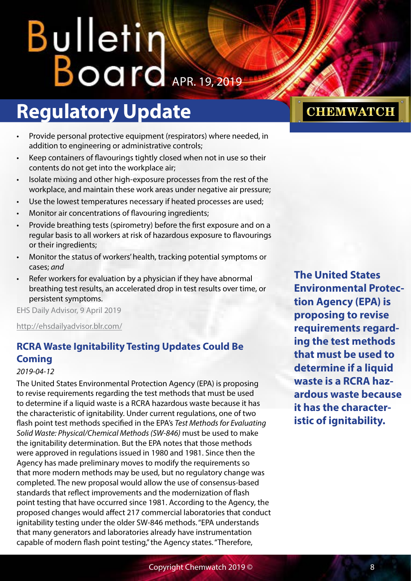## <span id="page-7-0"></span>**Regulatory Update**

- Provide personal protective equipment (respirators) where needed, in addition to engineering or administrative controls;
- Keep containers of flavourings tightly closed when not in use so their contents do not get into the workplace air;
- Isolate mixing and other high-exposure processes from the rest of the workplace, and maintain these work areas under negative air pressure;
- Use the lowest temperatures necessary if heated processes are used;
- Monitor air concentrations of flavouring ingredients;
- Provide breathing tests (spirometry) before the first exposure and on a regular basis to all workers at risk of hazardous exposure to flavourings or their ingredients;
- Monitor the status of workers' health, tracking potential symptoms or cases; *and*
- Refer workers for evaluation by a physician if they have abnormal breathing test results, an accelerated drop in test results over time, or persistent symptoms.

EHS Daily Advisor, 9 April 2019

<http://ehsdailyadvisor.blr.com/>

#### **RCRA Waste Ignitability Testing Updates Could Be Coming**

#### *2019-04-12*

The United States Environmental Protection Agency (EPA) is proposing to revise requirements regarding the test methods that must be used to determine if a liquid waste is a RCRA hazardous waste because it has the characteristic of ignitability. Under current regulations, one of two flash point test methods specified in the EPA's *[Test Methods for Evaluating](https://www.epa.gov/hw-sw846/sw-846-compendium)  [Solid Waste: Physical/Chemical Methods \(SW-846\)](https://www.epa.gov/hw-sw846/sw-846-compendium)* must be used to make the ignitability determination. But the EPA notes that those methods were approved in regulations issued in 1980 and 1981. Since then the Agency has made preliminary moves to modify the requirements so that more modern methods may be used, but no regulatory change was completed. The new proposal would allow the use of consensus-based standards that reflect improvements and the modernization of flash point testing that have occurred since 1981. According to the Agency, the proposed changes would affect 217 commercial laboratories that conduct ignitability testing under the older SW-846 methods. "EPA understands that many generators and laboratories already have instrumentation capable of modern flash point testing," the Agency states. "Therefore,

**The United States Environmental Protection Agency (EPA) is proposing to revise requirements regarding the test methods that must be used to determine if a liquid waste is a RCRA hazardous waste because it has the characteristic of ignitability.**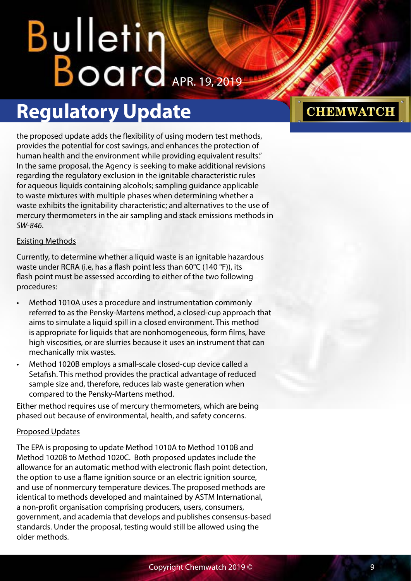## **Regulatory Update**

the proposed update adds the flexibility of using modern test methods, provides the potential for cost savings, and enhances the protection of human health and the environment while providing equivalent results." In the same proposal, the Agency is seeking to make additional revisions regarding the regulatory exclusion in the ignitable characteristic rules for aqueous liquids containing alcohols; sampling guidance applicable to waste mixtures with multiple phases when determining whether a waste exhibits the ignitability characteristic; and alternatives to the use of mercury thermometers in the air sampling and stack emissions methods in *SW-846*.

#### Existing Methods

Currently, to determine whether a liquid waste is an ignitable hazardous waste under RCRA (i.e, has a flash point less than 60°C (140 °F)), its flash point must be assessed according to either of the two following procedures:

- Method 1010A uses a procedure and instrumentation commonly referred to as the Pensky-Martens method, a closed-cup approach that aims to simulate a liquid spill in a closed environment. This method is appropriate for liquids that are nonhomogeneous, form films, have high viscosities, or are slurries because it uses an instrument that can mechanically mix wastes.
- Method 1020B employs a small-scale closed-cup device called a Setafish. This method provides the practical advantage of reduced sample size and, therefore, reduces lab waste generation when compared to the Pensky-Martens method.

Either method requires use of mercury thermometers, which are being phased out because of environmental, health, and safety concerns.

#### Proposed Updates

The EPA is proposing to update Method 1010A to Method 1010B and Method 1020B to Method 1020C. Both proposed updates include the allowance for an automatic method with electronic flash point detection, the option to use a flame ignition source or an electric ignition source, and use of nonmercury temperature devices. The proposed methods are identical to methods developed and maintained by ASTM International, a non-profit organisation comprising producers, users, consumers, government, and academia that develops and publishes consensus-based standards. Under the proposal, testing would still be allowed using the older methods.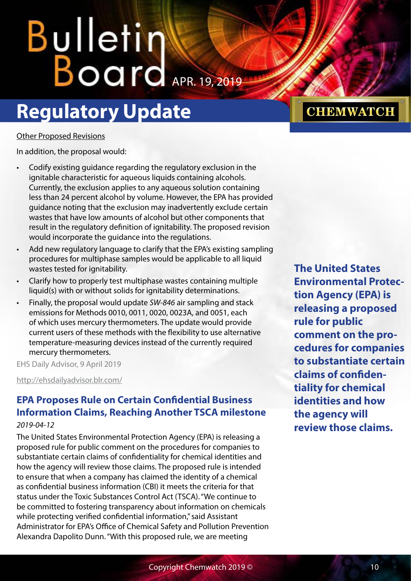## <span id="page-9-0"></span>**Regulatory Update**

#### **CHEMWATCH**

Other Proposed Revisions

In addition, the proposal would:

- Codify existing guidance regarding the regulatory exclusion in the ignitable characteristic for aqueous liquids containing alcohols. Currently, the exclusion applies to any aqueous solution containing less than 24 percent alcohol by volume. However, the EPA has provided guidance noting that the exclusion may inadvertently exclude certain wastes that have low amounts of alcohol but other components that result in the regulatory definition of ignitability. The proposed revision would incorporate the guidance into the regulations.
- Add new regulatory language to clarify that the EPA's existing sampling procedures for multiphase samples would be applicable to all liquid wastes tested for ignitability.
- Clarify how to properly test multiphase wastes containing multiple liquid(s) with or without solids for ignitability determinations.
- Finally, the proposal would update *SW-846* air sampling and stack emissions for Methods 0010, 0011, 0020, 0023A, and 0051, each of which uses mercury thermometers. The update would provide current users of these methods with the flexibility to use alternative temperature-measuring devices instead of the currently required mercury thermometers.

EHS Daily Advisor, 9 April 2019

[http://ehsdailyadvisor.blr.com/](http://ehsdailyadvisor.blr.com/%3c/a)

#### **EPA Proposes Rule on Certain Confidential Business Information Claims, Reaching Another TSCA milestone**

#### *2019-04-12*

The United States Environmental Protection Agency (EPA) is releasing a proposed rule for public comment on the procedures for companies to substantiate certain claims of confidentiality for chemical identities and how the agency will review those claims. The proposed rule is intended to ensure that when a company has claimed the identity of a chemical as confidential business information (CBI) it meets the criteria for that status under the Toxic Substances Control Act (TSCA). "We continue to be committed to fostering transparency about information on chemicals while protecting verified confidential information," said Assistant Administrator for EPA's Office of Chemical Safety and Pollution Prevention Alexandra Dapolito Dunn. "With this proposed rule, we are meeting

**The United States Environmental Protection Agency (EPA) is releasing a proposed rule for public comment on the procedures for companies to substantiate certain claims of confidentiality for chemical identities and how the agency will review those claims.**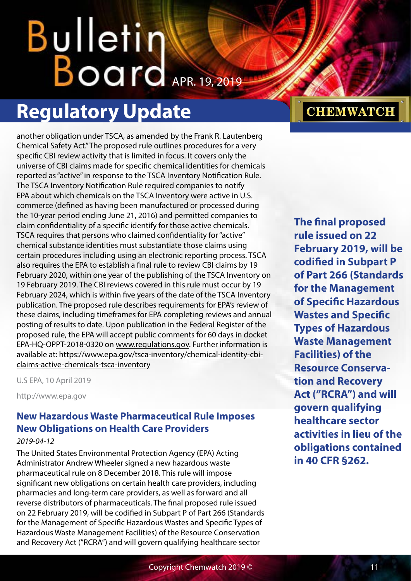## <span id="page-10-0"></span>**Regulatory Update**

another obligation under TSCA, as amended by the Frank R. Lautenberg Chemical Safety Act." The proposed rule outlines procedures for a very specific CBI review activity that is limited in focus. It covers only the universe of CBI claims made for specific chemical identities for chemicals reported as "active" in response to the TSCA Inventory Notification Rule. The TSCA Inventory Notification Rule required companies to notify EPA about which chemicals on the TSCA Inventory were active in U.S. commerce (defined as having been manufactured or processed during the 10-year period ending June 21, 2016) and permitted companies to claim confidentiality of a specific identify for those active chemicals. TSCA requires that persons who claimed confidentiality for "active" chemical substance identities must substantiate those claims using certain procedures including using an electronic reporting process. TSCA also requires the EPA to establish a final rule to review CBI claims by 19 February 2020, within one year of the publishing of the TSCA Inventory on 19 February 2019. The CBI reviews covered in this rule must occur by 19 February 2024, which is within five years of the date of the TSCA Inventory publication. The proposed rule describes requirements for EPA's review of these claims, including timeframes for EPA completing reviews and annual posting of results to date. Upon publication in the Federal Register of the proposed rule, the EPA will accept public comments for 60 days in docket EPA-HQ-OPPT-2018-0320 on [www.regulations.gov.](http://www.regulations.gov) Further information is available at: [https://www.epa.gov/tsca-inventory/chemical-identity-cbi](https://www.epa.gov/tsca-inventory/chemical-identity-cbi-claims-active-chemicals-tsca-inventory)[claims-active-chemicals-tsca-inventory](https://www.epa.gov/tsca-inventory/chemical-identity-cbi-claims-active-chemicals-tsca-inventory)

U.S EPA, 10 April 2019

http://www.epa.gov

#### **New Hazardous Waste Pharmaceutical Rule Imposes New Obligations on Health Care Providers**

*2019-04-12*

The United States Environmental Protection Agency (EPA) Acting Administrator Andrew Wheeler signed a new hazardous waste pharmaceutical rule on 8 December 2018. This rule will impose significant new obligations on certain health care providers, including pharmacies and long-term care providers, as well as forward and all reverse distributors of pharmaceuticals. The final proposed rule issued on 22 February 2019, will be codified in Subpart P of Part 266 (Standards for the Management of Specific Hazardous Wastes and Specific Types of Hazardous Waste Management Facilities) of the Resource Conservation and Recovery Act ("RCRA") and will govern qualifying healthcare sector

#### **CHEMWATCH**

**The final proposed rule issued on 22 February 2019, will be codified in Subpart P of Part 266 (Standards for the Management of Specific Hazardous Wastes and Specific Types of Hazardous Waste Management Facilities) of the Resource Conservation and Recovery Act ("RCRA") and will govern qualifying healthcare sector activities in lieu of the obligations contained in 40 CFR §262.**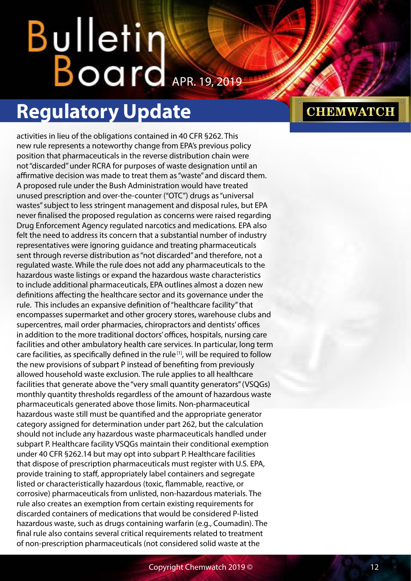## **Regulatory Update**

activities in lieu of the obligations contained in 40 CFR §262. This new rule represents a noteworthy change from EPA's previous policy position that pharmaceuticals in the reverse distribution chain were not "discarded" under RCRA for purposes of waste designation until an affirmative decision was made to treat them as "waste" and discard them. A proposed rule under the Bush Administration would have treated unused prescription and over-the-counter ("OTC") drugs as "universal wastes" subject to less stringent management and disposal rules, but EPA never finalised the proposed regulation as concerns were raised regarding Drug Enforcement Agency regulated narcotics and medications. EPA also felt the need to address its concern that a substantial number of industry representatives were ignoring guidance and treating pharmaceuticals sent through reverse distribution as "not discarded" and therefore, not a regulated waste. While the rule does not add any pharmaceuticals to the hazardous waste listings or expand the hazardous waste characteristics to include additional pharmaceuticals, EPA outlines almost a dozen new definitions affecting the healthcare sector and its governance under the rule. This includes an expansive definition of "healthcare facility" that encompasses supermarket and other grocery stores, warehouse clubs and supercentres, mail order pharmacies, chiropractors and dentists' offices in addition to the more traditional doctors' offices, hospitals, nursing care facilities and other ambulatory health care services. In particular, long term care facilities, as specifically defined in the rule [1], will be required to follow the new provisions of subpart P instead of benefiting from previously allowed household waste exclusion. The rule applies to all healthcare facilities that generate above the "very small quantity generators" (VSQGs) monthly quantity thresholds regardless of the amount of hazardous waste pharmaceuticals generated above those limits. Non-pharmaceutical hazardous waste still must be quantified and the appropriate generator category assigned for determination under part 262, but the calculation should not include any hazardous waste pharmaceuticals handled under subpart P. Healthcare facility VSQGs maintain their conditional exemption under 40 CFR §262.14 but may opt into subpart P. Healthcare facilities that dispose of prescription pharmaceuticals must register with U.S. EPA, provide training to staff, appropriately label containers and segregate listed or characteristically hazardous (toxic, flammable, reactive, or corrosive) pharmaceuticals from unlisted, non-hazardous materials. The rule also creates an exemption from certain existing requirements for discarded containers of medications that would be considered P-listed hazardous waste, such as drugs containing warfarin (e.g., Coumadin). The final rule also contains several critical requirements related to treatment of non-prescription pharmaceuticals (not considered solid waste at the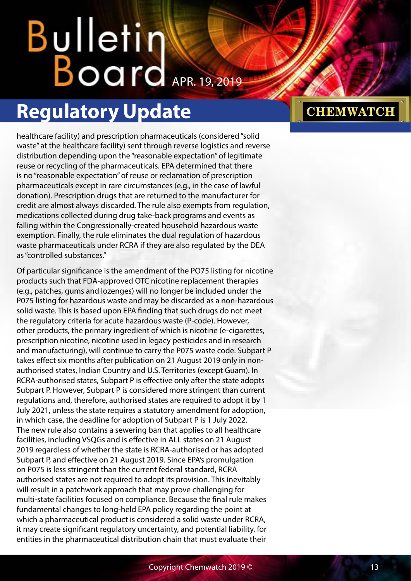## **Regulatory Update**

healthcare facility) and prescription pharmaceuticals (considered "solid waste" at the healthcare facility) sent through reverse logistics and reverse distribution depending upon the "reasonable expectation" of legitimate reuse or recycling of the pharmaceuticals. EPA determined that there is no "reasonable expectation" of reuse or reclamation of prescription pharmaceuticals except in rare circumstances (e.g., in the case of lawful donation). Prescription drugs that are returned to the manufacturer for credit are almost always discarded. The rule also exempts from regulation, medications collected during drug take-back programs and events as falling within the Congressionally-created household hazardous waste exemption. Finally, the rule eliminates the dual regulation of hazardous waste pharmaceuticals under RCRA if they are also regulated by the DEA as "controlled substances."

Of particular significance is the amendment of the PO75 listing for nicotine products such that FDA-approved OTC nicotine replacement therapies (e.g., patches, gums and lozenges) will no longer be included under the P075 listing for hazardous waste and may be discarded as a non-hazardous solid waste. This is based upon EPA finding that such drugs do not meet the regulatory criteria for acute hazardous waste (P-code). However, other products, the primary ingredient of which is nicotine (e-cigarettes, prescription nicotine, nicotine used in legacy pesticides and in research and manufacturing), will continue to carry the P075 waste code. Subpart P takes effect six months after publication on 21 August 2019 only in nonauthorised states, Indian Country and U.S. Territories (except Guam). In RCRA-authorised states, Subpart P is effective only after the state adopts Subpart P. However, Subpart P is considered more stringent than current regulations and, therefore, authorised states are required to adopt it by 1 July 2021, unless the state requires a statutory amendment for adoption, in which case, the deadline for adoption of Subpart P is 1 July 2022. The new rule also contains a sewering ban that applies to all healthcare facilities, including VSQGs and is effective in ALL states on 21 August 2019 regardless of whether the state is RCRA-authorised or has adopted Subpart P, and effective on 21 August 2019. Since EPA's promulgation on P075 is less stringent than the current federal standard, RCRA authorised states are not required to adopt its provision. This inevitably will result in a patchwork approach that may prove challenging for multi-state facilities focused on compliance. Because the final rule makes fundamental changes to long-held EPA policy regarding the point at which a pharmaceutical product is considered a solid waste under RCRA, it may create significant regulatory uncertainty, and potential liability, for entities in the pharmaceutical distribution chain that must evaluate their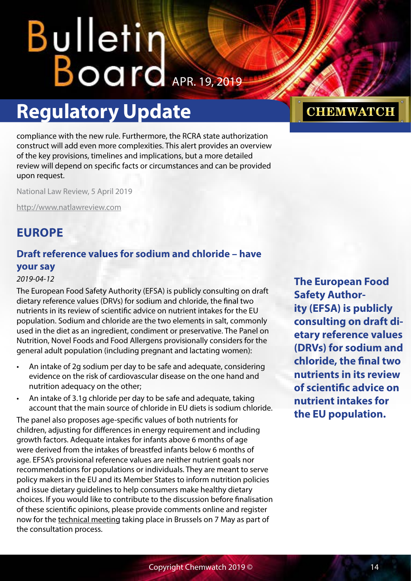## <span id="page-13-0"></span>**Bulletintendents**

### **Regulatory Update**

compliance with the new rule. Furthermore, the RCRA state authorization construct will add even more complexities. This alert provides an overview of the key provisions, timelines and implications, but a more detailed review will depend on specific facts or circumstances and can be provided upon request.

National Law Review, 5 April 2019

<http://www.natlawreview.com>

#### **EUROPE**

#### **Draft reference values for sodium and chloride – have your say**

#### *2019-04-12*

The European Food Safety Authority (EFSA) is publicly consulting on draft dietary reference values (DRVs) for sodium and chloride, the final two nutrients in its review of scientific advice on nutrient intakes for the EU population. Sodium and chloride are the two elements in salt, commonly used in the diet as an ingredient, condiment or preservative. The Panel on Nutrition, Novel Foods and Food Allergens provisionally considers for the general adult population (including pregnant and lactating women):

- An intake of 2g sodium per day to be safe and adequate, considering evidence on the risk of cardiovascular disease on the one hand and nutrition adequacy on the other;
- An intake of 3.1g chloride per day to be safe and adequate, taking account that the main source of chloride in EU diets is sodium chloride.

The panel also proposes age-specific values of both nutrients for children, adjusting for differences in energy requirement and including growth factors. Adequate intakes for infants above 6 months of age were derived from the intakes of breastfed infants below 6 months of age. EFSA's provisional reference values are neither nutrient goals nor recommendations for populations or individuals. They are meant to serve policy makers in the EU and its Member States to inform nutrition policies and issue dietary guidelines to help consumers make healthy dietary choices. If you would like to contribute to the discussion before finalisation of these scientific opinions, please provide comments online and register now for the [technical meeting](https://www.efsa.europa.eu/en/events/event/190507-0) taking place in Brussels on 7 May as part of the consultation process.

#### **CHEMWATCH**

**The European Food Safety Authority (EFSA) is publicly consulting on draft dietary reference values (DRVs) for sodium and chloride, the final two nutrients in its review of scientific advice on nutrient intakes for the EU population.**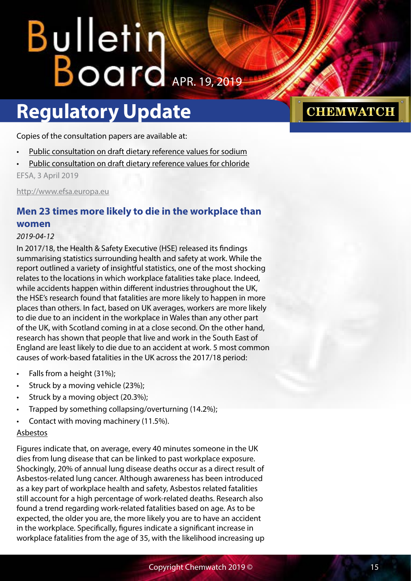## <span id="page-14-0"></span>**Regulatory Update**

Copies of the consultation papers are available at:

- [Public consultation on draft dietary reference values for sodium](https://www.efsa.europa.eu/en/consultations/call/190403)
- [Public consultation on draft dietary reference values for chloride](https://www.efsa.europa.eu/en/consultations/call/190403-0)

EFSA, 3 April 2019

<http://www.efsa.europa.eu>

#### **Men 23 times more likely to die in the workplace than women**

#### *2019-04-12*

In 2017/18, the Health & Safety Executive (HSE) released its findings summarising statistics surrounding health and safety at work. While the report outlined a variety of insightful statistics, one of the most shocking relates to the locations in which workplace fatalities take place. Indeed, while accidents happen within different industries throughout the UK, the HSE's research found that fatalities are more likely to happen in more places than others. In fact, based on UK averages, workers are more likely to die due to an incident in the workplace in Wales than any other part of the UK, with Scotland coming in at a close second. On the other hand, research has shown that people that live and work in the South East of England are least likely to die due to an accident at work. 5 most common causes of work-based fatalities in the UK across the 2017/18 period:

- Falls from a height (31%);
- Struck by a moving vehicle (23%);
- Struck by a moving object (20.3%);
- Trapped by something collapsing/overturning (14.2%);
- Contact with moving machinery (11.5%).

#### Asbestos

Figures indicate that, on average, every 40 minutes someone in the UK dies from lung disease that can be linked to past workplace exposure. Shockingly, 20% of annual lung disease deaths occur as a direct result of Asbestos-related lung cancer. Although awareness has been introduced as a key part of workplace health and safety, Asbestos related fatalities still account for a high percentage of work-related deaths. Research also found a trend regarding work-related fatalities based on age. As to be expected, the older you are, the more likely you are to have an accident in the workplace. Specifically, figures indicate a significant increase in workplace fatalities from the age of 35, with the likelihood increasing up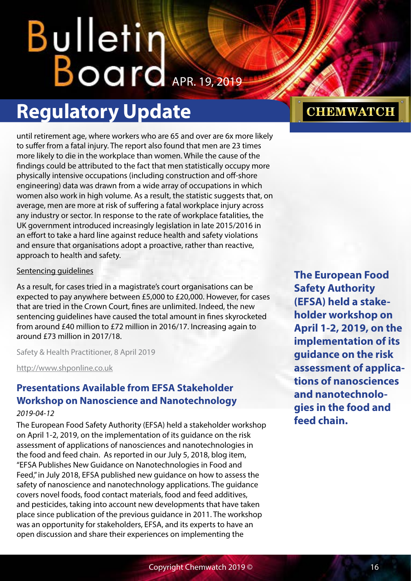### <span id="page-15-0"></span>**Regulatory Update**

until retirement age, where workers who are 65 and over are 6x more likely to suffer from a fatal injury. The report also found that men are 23 times more likely to die in the workplace than women. While the cause of the findings could be attributed to the fact that men statistically occupy more physically intensive occupations (including construction and off-shore engineering) data was drawn from a wide array of occupations in which women also work in high volume. As a result, the statistic suggests that, on average, men are more at risk of suffering a fatal workplace injury across any industry or sector. In response to the rate of workplace fatalities, the UK government introduced increasingly legislation in late 2015/2016 in an effort to take a hard line against reduce health and safety violations and ensure that organisations adopt a proactive, rather than reactive, approach to health and safety.

#### Sentencing guidelines

As a result, for cases tried in a magistrate's court organisations can be expected to pay anywhere between £5,000 to £20,000. However, for cases that are tried in the Crown Court, fines are unlimited. Indeed, the new sentencing guidelines have caused the total amount in fines skyrocketed from around £40 million to £72 million in 2016/17. Increasing again to around £73 million in 2017/18.

Safety & Health Practitioner, 8 April 2019

<http://www.shponline.co.uk>

#### **Presentations Available from EFSA Stakeholder Workshop on Nanoscience and Nanotechnology**

#### *2019-04-12*

The European Food Safety Authority (EFSA) held a stakeholder workshop on April 1-2, 2019, on the implementation of its guidance on the risk assessment of applications of nanosciences and nanotechnologies in the food and feed chain. As reported in our July 5, 2018, blog item, "EFSA Publishes New Guidance on Nanotechnologies in Food and Feed," in July 2018, EFSA published new guidance on how to assess the safety of nanoscience and nanotechnology applications. The guidance covers novel foods, food contact materials, food and feed additives, and pesticides, taking into account new developments that have taken place since publication of the previous guidance in 2011. The workshop was an opportunity for stakeholders, EFSA, and its experts to have an open discussion and share their experiences on implementing the

#### **CHEMWATCH**

**The European Food Safety Authority (EFSA) held a stakeholder workshop on April 1-2, 2019, on the implementation of its guidance on the risk assessment of applications of nanosciences and nanotechnologies in the food and feed chain.**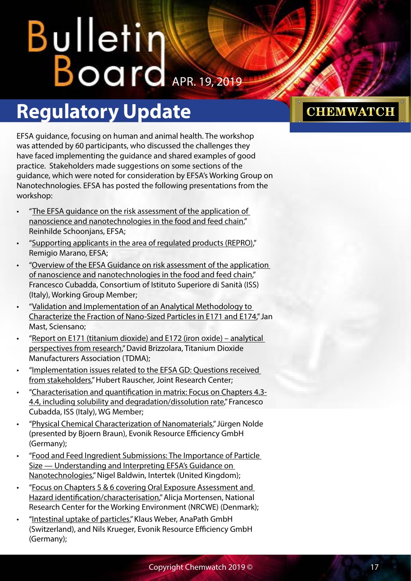## **Regulatory Update**

EFSA guidance, focusing on human and animal health. The workshop was attended by 60 participants, who discussed the challenges they have faced implementing the guidance and shared examples of good practice. Stakeholders made suggestions on some sections of the guidance, which were noted for consideration by EFSA's Working Group on Nanotechnologies. EFSA has posted the following presentations from the workshop:

- "[The EFSA guidance on the risk assessment of the application of](https://www.efsa.europa.eu/sites/default/files/event/Presentation%201%20_%20Reinhilde%20Schoonjans.pdf)  [nanoscience and nanotechnologies in the food and feed chain,](https://www.efsa.europa.eu/sites/default/files/event/Presentation%201%20_%20Reinhilde%20Schoonjans.pdf)" Reinhilde Schoonjans, EFSA;
- ["Supporting applicants in the area of regulated products \(REPRO\)](https://www.efsa.europa.eu/sites/default/files/event/Presentation%202%20_%20Remigio%20Marano.pdf)," Remigio Marano, EFSA;
- ["Overview of the EFSA Guidance on risk assessment of the application](https://www.efsa.europa.eu/sites/default/files/event/Presentation%203%20_Francesco%20Cubadda.pdf)  [of nanoscience and nanotechnologies in the food and feed chain](https://www.efsa.europa.eu/sites/default/files/event/Presentation%203%20_Francesco%20Cubadda.pdf)," Francesco Cubadda, Consortium of Istituto Superiore di Sanità (ISS) (Italy), Working Group Member;
- "[Validation and Implementation of an Analytical Methodology to](https://www.efsa.europa.eu/sites/default/files/event/Presentation%204%20_%20Jan%20Mast.pdf)  [Characterize the Fraction of Nano-Sized Particles in E171 and E174](https://www.efsa.europa.eu/sites/default/files/event/Presentation%204%20_%20Jan%20Mast.pdf)," Jan Mast, Sciensano;
- ["Report on E171 \(titanium dioxide\) and E172 \(iron oxide\) analytical](https://www.efsa.europa.eu/sites/default/files/event/Presentation%205%20_%20David%20Brizzolara.pdf)  [perspectives from research](https://www.efsa.europa.eu/sites/default/files/event/Presentation%205%20_%20David%20Brizzolara.pdf)," David Brizzolara, Titanium Dioxide Manufacturers Association (TDMA);
- ["Implementation issues related to the EFSA GD: Questions received](https://www.efsa.europa.eu/sites/default/files/event/Presentation%206%20_IntroSession_Stakeholder%20Questions.pdf)  [from stakeholders](https://www.efsa.europa.eu/sites/default/files/event/Presentation%206%20_IntroSession_Stakeholder%20Questions.pdf)," Hubert Rauscher, Joint Research Center;
- ["Characterisation and quantification in matrix: Focus on Chapters 4.3-](https://www.efsa.europa.eu/sites/default/files/event/Presentation%207%20_%20IntroSession_FrancescoCubadda%20%26%20StefanWeigel.pdf) [4.4, including solubility and degradation/dissolution rate](https://www.efsa.europa.eu/sites/default/files/event/Presentation%207%20_%20IntroSession_FrancescoCubadda%20%26%20StefanWeigel.pdf)," Francesco Cubadda, ISS (Italy), WG Member;
- ["Physical Chemical Characterization of Nanomaterials,](https://www.efsa.europa.eu/sites/default/files/event/Presentation%208_%20Bjoern%20Braun.pdf)" Jürgen Nolde (presented by Bjoern Braun), Evonik Resource Efficiency GmbH (Germany);
- ["Food and Feed Ingredient Submissions: The Importance of Particle](https://www.efsa.europa.eu/sites/default/files/event/Presentation%209%20_%20Nigel%20Baldwin.pdf)  [Size — Understanding and Interpreting EFSA's Guidance on](https://www.efsa.europa.eu/sites/default/files/event/Presentation%209%20_%20Nigel%20Baldwin.pdf)  [Nanotechnologies,](https://www.efsa.europa.eu/sites/default/files/event/Presentation%209%20_%20Nigel%20Baldwin.pdf)" Nigel Baldwin, Intertek (United Kingdom);
- ["Focus on Chapters 5 & 6 covering Oral Exposure Assessment and](https://www.efsa.europa.eu/sites/default/files/event/Presentation%2010%20_IntroSession_Alicja%20Mortensen%20%26%20Agnes%20Oomen.pdf)  [Hazard identification/characterisation](https://www.efsa.europa.eu/sites/default/files/event/Presentation%2010%20_IntroSession_Alicja%20Mortensen%20%26%20Agnes%20Oomen.pdf)," Alicja Mortensen, National Research Center for the Working Environment (NRCWE) (Denmark);
- ["Intestinal uptake of particles,](https://www.efsa.europa.eu/sites/default/files/event/Presentation%2011%20_Klaus%20Weber%20%26%20Nils%20Krueger.pdf)" Klaus Weber, AnaPath GmbH (Switzerland), and Nils Krueger, Evonik Resource Efficiency GmbH (Germany);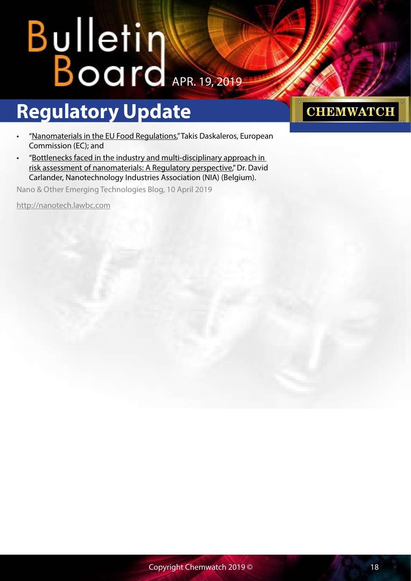### **Regulatory Update**

- ["Nanomaterials in the EU Food Regulations,](https://www.efsa.europa.eu/sites/default/files/event/Presentation%2012%20_%20Panagiotis%20Daskaleros.pdf)" Takis Daskaleros, European Commission (EC); and
- ["Bottlenecks faced in the industry and multi-disciplinary approach in](https://www.efsa.europa.eu/sites/default/files/event/Presentation%2013%20_%20David%20Carlander.pdf)  [risk assessment of nanomaterials: A Regulatory perspective](https://www.efsa.europa.eu/sites/default/files/event/Presentation%2013%20_%20David%20Carlander.pdf)," Dr. David Carlander, Nanotechnology Industries Association (NIA) (Belgium).

Nano & Other Emerging Technologies Blog, 10 April 2019

<http://nanotech.lawbc.com>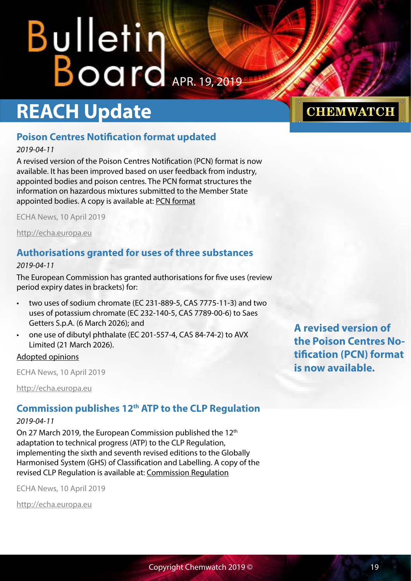## <span id="page-18-0"></span>**REACH Update**

#### **Poison Centres Notification format updated**

*2019-04-11*

A revised version of the Poison Centres Notification (PCN) format is now available. It has been improved based on user feedback from industry, appointed bodies and poison centres. The PCN format structures the information on hazardous mixtures submitted to the Member State appointed bodies. A copy is available at: [PCN format](http://elmlinks.echa.europa.eu/c/4/?T=OTMzMDcxOTU%3AcDEtYjE5MTAwLWQwYjEyZjNiMzI1ZjQ1MjBiMTRhNGIwNTU2ZjNmNDEz%3AbmF0QGNoZW13YXRjaC5uZXQ%3AbGVhZC1hMDI0MDJjZmMwZTBlNzExODBmYTAwNTA1Njk1MmIzMS03ZDQ0YjM4MjgwNjQ0ZmM4Yjg0NDc1MDk2NDcwOGFlNQ%3AZmFsc2U%3AMQ%3A%3AaHR0cHM6Ly9wb2lzb25jZW50cmVzLmVjaGEuZXVyb3BhLmV1Ly0vcG9pc29uLWNlbnRyZXMtbm90aWZpY2F0aW9uLWZvcm1hdC11cGRhdGVkLXRvLXZlcnNpb24tMS0xP19jbGRlZT1ibUYwUUdOb1pXMTNZWFJqYUM1dVpYUSUzZCZyZWNpcGllbnRpZD1sZWFkLWEwMjQwMmNmYzBlMGU3MTE4MGZhMDA1MDU2OTUyYjMxLTdkNDRiMzgyODA2NDRmYzhiODQ0NzUwOTY0NzA4YWU1JmVzaWQ9MWVhZDUxZWItNmI1Yi1lOTExLTgxMGItMDA1MDU2OTUyYjMx&K=RoOyZetjor96etWOz35Tyw)

ECHA News, 10 April 2019

<http://echa.europa.eu>

#### **Authorisations granted for uses of three substances**

#### *2019-04-11*

The European Commission has granted authorisations for five uses (review period expiry dates in brackets) for:

- two uses of sodium chromate (EC 231-889-5, CAS 7775-11-3) and two uses of potassium chromate (EC 232-140-5, CAS 7789-00-6) to Saes Getters S.p.A. (6 March 2026); and
- one use of dibutyl phthalate (EC 201-557-4, CAS 84-74-2) to AVX Limited (21 March 2026).

#### [Adopted opinions](http://elmlinks.echa.europa.eu/c/4/?T=OTMzMDcxOTU%3AcDEtYjE5MTAwLWQwYjEyZjNiMzI1ZjQ1MjBiMTRhNGIwNTU2ZjNmNDEz%3AbmF0QGNoZW13YXRjaC5uZXQ%3AbGVhZC1hMDI0MDJjZmMwZTBlNzExODBmYTAwNTA1Njk1MmIzMS03ZDQ0YjM4MjgwNjQ0ZmM4Yjg0NDc1MDk2NDcwOGFlNQ%3AZmFsc2U%3ANw%3A%3AaHR0cHM6Ly9lY2hhLmV1cm9wYS5ldS9hcHBsaWNhdGlvbnMtZm9yLWF1dGhvcmlzYXRpb24tcHJldmlvdXMtY29uc3VsdGF0aW9ucz9fY2xkZWU9Ym1GMFFHTm9aVzEzWVhSamFDNXVaWFElM2QmcmVjaXBpZW50aWQ9bGVhZC1hMDI0MDJjZmMwZTBlNzExODBmYTAwNTA1Njk1MmIzMS03ZDQ0YjM4MjgwNjQ0ZmM4Yjg0NDc1MDk2NDcwOGFlNSZlc2lkPTFlYWQ1MWViLTZiNWItZTkxMS04MTBiLTAwNTA1Njk1MmIzMQ&K=msZFzMN7HrxMVz8k5zOCPA)

ECHA News, 10 April 2019

<http://echa.europa.eu>

#### **Commission publishes 12th ATP to the CLP Regulation**

#### *2019-04-11*

On 27 March 2019, the European Commission published the 12<sup>th</sup> adaptation to technical progress (ATP) to the CLP Regulation, implementing the sixth and seventh revised editions to the Globally Harmonised System (GHS) of Classification and Labelling. A copy of the revised CLP Regulation is available at: [Commission Regulation](http://elmlinks.echa.europa.eu/c/4/?T=OTMzMDcxOTU%3AcDEtYjE5MTAwLWQwYjEyZjNiMzI1ZjQ1MjBiMTRhNGIwNTU2ZjNmNDEz%3AbmF0QGNoZW13YXRjaC5uZXQ%3AbGVhZC1hMDI0MDJjZmMwZTBlNzExODBmYTAwNTA1Njk1MmIzMS03ZDQ0YjM4MjgwNjQ0ZmM4Yjg0NDc1MDk2NDcwOGFlNQ%3AZmFsc2U%3AOQ%3A%3AaHR0cHM6Ly9ldXItbGV4LmV1cm9wYS5ldS9sZWdhbC1jb250ZW50L0VOL1RYVC8_dXJpPXVyaXNlcnY6T0ouTF8uMjAxOS4wODYuMDEuMDAwMS4wMS5FTkcmdG9jPU9KOkw6MjAxOTowODY6VE9DJl9jbGRlZT1ibUYwUUdOb1pXMTNZWFJqYUM1dVpYUSUzZCZyZWNpcGllbnRpZD1sZWFkLWEwMjQwMmNmYzBlMGU3MTE4MGZhMDA1MDU2OTUyYjMxLTdkNDRiMzgyODA2NDRmYzhiODQ0NzUwOTY0NzA4YWU1JmVzaWQ9MWVhZDUxZWItNmI1Yi1lOTExLTgxMGItMDA1MDU2OTUyYjMx&K=EEoE4-EPoBlj26zjPsXuKg)

ECHA News, 10 April 2019

<http://echa.europa.eu>

**A revised version of the Poison Centres Notification (PCN) format is now available.**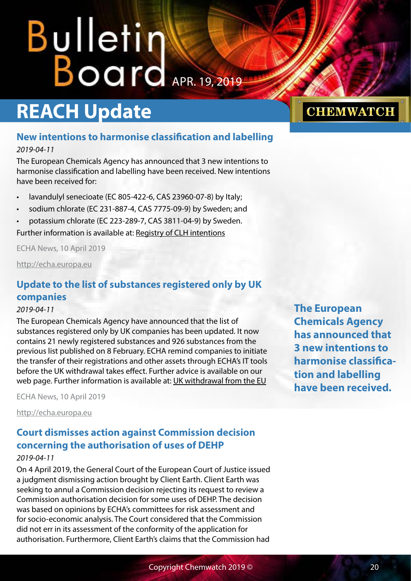## <span id="page-19-0"></span>**REACH Update**

#### **New intentions to harmonise classification and labelling**

*2019-04-11*

The European Chemicals Agency has announced that 3 new intentions to harmonise classification and labelling have been received. New intentions have been received for:

- lavandulyl senecioate (EC 805-422-6, CAS 23960-07-8) by Italy;
- sodium chlorate (EC 231-887-4, CAS 7775-09-9) by Sweden; and
- potassium chlorate (EC 223-289-7, CAS 3811-04-9) by Sweden.

Further information is available at: [Registry of CLH intentions](http://elmlinks.echa.europa.eu/c/4/?T=OTMzMDcxOTU%3AcDEtYjE5MTAwLWQwYjEyZjNiMzI1ZjQ1MjBiMTRhNGIwNTU2ZjNmNDEz%3AbmF0QGNoZW13YXRjaC5uZXQ%3AbGVhZC1hMDI0MDJjZmMwZTBlNzExODBmYTAwNTA1Njk1MmIzMS03ZDQ0YjM4MjgwNjQ0ZmM4Yjg0NDc1MDk2NDcwOGFlNQ%3AZmFsc2U%3AMTA%3A%3AaHR0cHM6Ly9lY2hhLmV1cm9wYS5ldS9yZWdpc3RyeS1vZi1jbGgtaW50ZW50aW9ucy11bnRpbC1vdXRjb21lP19jbGRlZT1ibUYwUUdOb1pXMTNZWFJqYUM1dVpYUSUzZCZyZWNpcGllbnRpZD1sZWFkLWEwMjQwMmNmYzBlMGU3MTE4MGZhMDA1MDU2OTUyYjMxLTdkNDRiMzgyODA2NDRmYzhiODQ0NzUwOTY0NzA4YWU1JmVzaWQ9MWVhZDUxZWItNmI1Yi1lOTExLTgxMGItMDA1MDU2OTUyYjMx&K=j9852bpyB4dcgDiBRwFwAA)

ECHA News, 10 April 2019

<http://echa.europa.eu>

#### **Update to the list of substances registered only by UK companies**

#### *2019-04-11*

The European Chemicals Agency have announced that the list of substances registered only by UK companies has been updated. It now contains 21 newly registered substances and 926 substances from the previous list published on 8 February. ECHA remind companies to initiate the transfer of their registrations and other assets through ECHA's IT tools before the UK withdrawal takes effect. Further advice is available on our web page. Further information is available at: [UK withdrawal from the EU](http://elmlinks.echa.europa.eu/c/4/?T=OTMzMDcxOTU%3AcDEtYjE5MTAwLWQwYjEyZjNiMzI1ZjQ1MjBiMTRhNGIwNTU2ZjNmNDEz%3AbmF0QGNoZW13YXRjaC5uZXQ%3AbGVhZC1hMDI0MDJjZmMwZTBlNzExODBmYTAwNTA1Njk1MmIzMS03ZDQ0YjM4MjgwNjQ0ZmM4Yjg0NDc1MDk2NDcwOGFlNQ%3AZmFsc2U%3AMg%3A%3AaHR0cHM6Ly9lY2hhLmV1cm9wYS5ldS91ay13aXRoZHJhd2FsLWZyb20tdGhlLWV1P19jbGRlZT1ibUYwUUdOb1pXMTNZWFJqYUM1dVpYUSUzZCZyZWNpcGllbnRpZD1sZWFkLWEwMjQwMmNmYzBlMGU3MTE4MGZhMDA1MDU2OTUyYjMxLTdkNDRiMzgyODA2NDRmYzhiODQ0NzUwOTY0NzA4YWU1JmVzaWQ9MWVhZDUxZWItNmI1Yi1lOTExLTgxMGItMDA1MDU2OTUyYjMx&K=fwMU2Edv8CbyjtWdNDKFYA)

ECHA News, 10 April 2019

<http://echa.europa.eu>

#### **Court dismisses action against Commission decision concerning the authorisation of uses of DEHP**

#### *2019-04-11*

On 4 April 2019, the General Court of the European Court of Justice issued a judgment dismissing action brought by Client Earth. Client Earth was seeking to annul a Commission decision rejecting its request to review a Commission authorisation decision for some uses of DEHP. The decision was based on opinions by ECHA's committees for risk assessment and for socio-economic analysis. The Court considered that the Commission did not err in its assessment of the conformity of the application for authorisation. Furthermore, Client Earth's claims that the Commission had

**The European Chemicals Agency has announced that 3 new intentions to harmonise classification and labelling have been received.**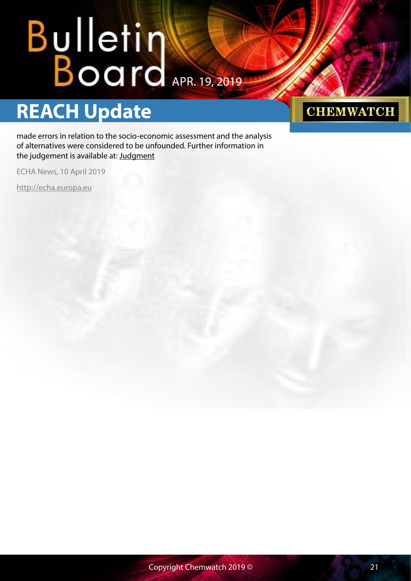## **REACH Update**

made errors in relation to the socio-economic assessment and the analysis of alternatives were considered to be unfounded. Further information in the judgement is available at: [Judgment](http://elmlinks.echa.europa.eu/c/4/?T=OTMzMDcxOTU%3AcDEtYjE5MTAwLWQwYjEyZjNiMzI1ZjQ1MjBiMTRhNGIwNTU2ZjNmNDEz%3AbmF0QGNoZW13YXRjaC5uZXQ%3AbGVhZC1hMDI0MDJjZmMwZTBlNzExODBmYTAwNTA1Njk1MmIzMS03ZDQ0YjM4MjgwNjQ0ZmM4Yjg0NDc1MDk2NDcwOGFlNQ%3AZmFsc2U%3AOA%3A%3AaHR0cDovL2N1cmlhLmV1cm9wYS5ldS9qdXJpcy9saXN0ZS5qc2Y_bGFuZ3VhZ2U9ZW4mdGQ9QUxMJm51bT1ULTEwOC8xNyZfY2xkZWU9Ym1GMFFHTm9aVzEzWVhSamFDNXVaWFElM2QmcmVjaXBpZW50aWQ9bGVhZC1hMDI0MDJjZmMwZTBlNzExODBmYTAwNTA1Njk1MmIzMS03ZDQ0YjM4MjgwNjQ0ZmM4Yjg0NDc1MDk2NDcwOGFlNSZlc2lkPTFlYWQ1MWViLTZiNWItZTkxMS04MTBiLTAwNTA1Njk1MmIzMQ&K=pHHYA7a6M0JApmzn-itufQ)

ECHA News, 10 April 2019

<http://echa.europa.eu>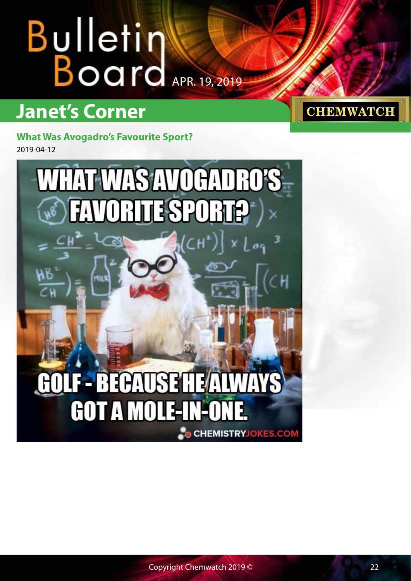### <span id="page-21-0"></span>**Janet's Corner**

**What Was Avogadro's Favourite Sport?** 2019-04-12

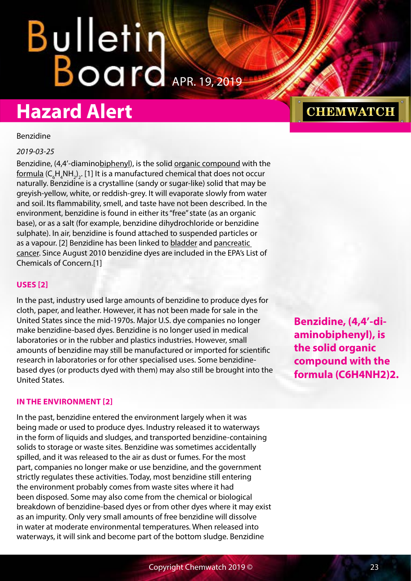## <span id="page-22-0"></span>**Hazard Alert**

#### **CHEMWATCH**

#### Benzidine

#### *2019-03-25*

Benzidine, (4,4'-diamin[obiphenyl](http://en.wikipedia.org/wiki/Biphenyl)), is the solid [organic compound](http://en.wikipedia.org/wiki/Organic_compound) with the  ${\rm \underline{formula}}$  ${\rm \underline{formula}}$  ${\rm \underline{formula}}$  (C $_{\rm 6}$ H $_{\rm 4}$ NH $_{\rm 2)}$ . [1] It is a manufactured chemical that does not occur naturally. Benzidine is a crystalline (sandy or sugar-like) solid that may be greyish-yellow, white, or reddish-grey. It will evaporate slowly from water and soil. Its flammability, smell, and taste have not been described. In the environment, benzidine is found in either its "free" state (as an organic base), or as a salt (for example, benzidine dihydrochloride or benzidine sulphate). In air, benzidine is found attached to suspended particles or as a vapour. [2] Benzidine has been linked to [bladder](http://en.wikipedia.org/wiki/Bladder_cancer) and [pancreatic](http://en.wikipedia.org/wiki/Pancreatic_cancer)  [cancer](http://en.wikipedia.org/wiki/Pancreatic_cancer). Since August 2010 benzidine dyes are included in the EPA's List of Chemicals of Concern.[1]

#### **USES [2]**

In the past, industry used large amounts of benzidine to produce dyes for cloth, paper, and leather. However, it has not been made for sale in the United States since the mid-1970s. Major U.S. dye companies no longer make benzidine-based dyes. Benzidine is no longer used in medical laboratories or in the rubber and plastics industries. However, small amounts of benzidine may still be manufactured or imported for scientific research in laboratories or for other specialised uses. Some benzidinebased dyes (or products dyed with them) may also still be brought into the United States.

#### **IN THE ENVIRONMENT [2]**

In the past, benzidine entered the environment largely when it was being made or used to produce dyes. Industry released it to waterways in the form of liquids and sludges, and transported benzidine-containing solids to storage or waste sites. Benzidine was sometimes accidentally spilled, and it was released to the air as dust or fumes. For the most part, companies no longer make or use benzidine, and the government strictly regulates these activities. Today, most benzidine still entering the environment probably comes from waste sites where it had been disposed. Some may also come from the chemical or biological breakdown of benzidine-based dyes or from other dyes where it may exist as an impurity. Only very small amounts of free benzidine will dissolve in water at moderate environmental temperatures. When released into waterways, it will sink and become part of the bottom sludge. Benzidine

**Benzidine, (4,4'-diaminobiphenyl), is the solid organic compound with the formula (C6H4NH2)2.**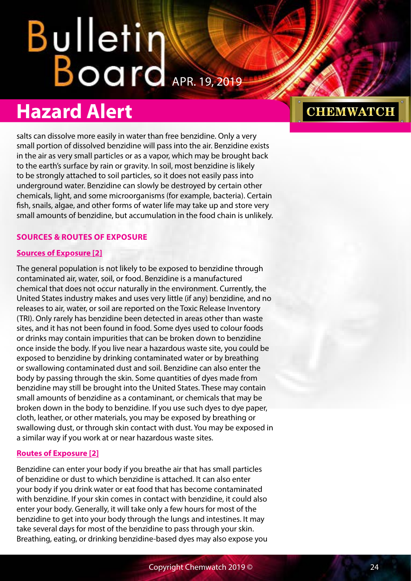## **Hazard Alert**

salts can dissolve more easily in water than free benzidine. Only a very small portion of dissolved benzidine will pass into the air. Benzidine exists in the air as very small particles or as a vapor, which may be brought back to the earth's surface by rain or gravity. In soil, most benzidine is likely to be strongly attached to soil particles, so it does not easily pass into underground water. Benzidine can slowly be destroyed by certain other chemicals, light, and some microorganisms (for example, bacteria). Certain fish, snails, algae, and other forms of water life may take up and store very small amounts of benzidine, but accumulation in the food chain is unlikely.

#### **SOURCES & ROUTES OF EXPOSURE**

#### **Sources of Exposure [2]**

The general population is not likely to be exposed to benzidine through contaminated air, water, soil, or food. Benzidine is a manufactured chemical that does not occur naturally in the environment. Currently, the United States industry makes and uses very little (if any) benzidine, and no releases to air, water, or soil are reported on the Toxic Release Inventory (TRI). Only rarely has benzidine been detected in areas other than waste sites, and it has not been found in food. Some dyes used to colour foods or drinks may contain impurities that can be broken down to benzidine once inside the body. If you live near a hazardous waste site, you could be exposed to benzidine by drinking contaminated water or by breathing or swallowing contaminated dust and soil. Benzidine can also enter the body by passing through the skin. Some quantities of dyes made from benzidine may still be brought into the United States. These may contain small amounts of benzidine as a contaminant, or chemicals that may be broken down in the body to benzidine. If you use such dyes to dye paper, cloth, leather, or other materials, you may be exposed by breathing or swallowing dust, or through skin contact with dust. You may be exposed in a similar way if you work at or near hazardous waste sites.

#### **Routes of Exposure [2]**

Benzidine can enter your body if you breathe air that has small particles of benzidine or dust to which benzidine is attached. It can also enter your body if you drink water or eat food that has become contaminated with benzidine. If your skin comes in contact with benzidine, it could also enter your body. Generally, it will take only a few hours for most of the benzidine to get into your body through the lungs and intestines. It may take several days for most of the benzidine to pass through your skin. Breathing, eating, or drinking benzidine-based dyes may also expose you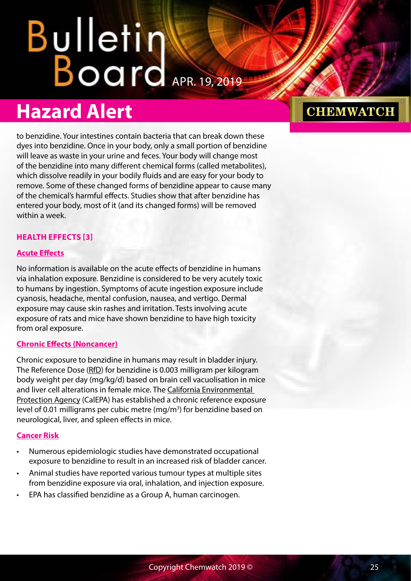### **Hazard Alert**

to benzidine. Your intestines contain bacteria that can break down these dyes into benzidine. Once in your body, only a small portion of benzidine will leave as waste in your urine and feces. Your body will change most of the benzidine into many different chemical forms (called metabolites), which dissolve readily in your bodily fluids and are easy for your body to remove. Some of these changed forms of benzidine appear to cause many of the chemical's harmful effects. Studies show that after benzidine has entered your body, most of it (and its changed forms) will be removed within a week.

#### **HEALTH EFFECTS [3]**

#### **Acute Effects**

No information is available on the acute effects of benzidine in humans via inhalation exposure. Benzidine is considered to be very acutely toxic to humans by ingestion. Symptoms of acute ingestion exposure include cyanosis, headache, mental confusion, nausea, and vertigo. Dermal exposure may cause skin rashes and irritation. Tests involving acute exposure of rats and mice have shown benzidine to have high toxicity from oral exposure.

#### **Chronic Effects (Noncancer)**

Chronic exposure to benzidine in humans may result in bladder injury. The Reference Dose (RfD) for benzidine is 0.003 milligram per kilogram body weight per day (mg/kg/d) based on brain cell vacuolisation in mice and liver cell alterations in female mice. The California Environmental Protection Agency (CalEPA) has established a chronic reference exposure level of 0.01 milligrams per cubic metre (mg/m<sup>3</sup>) for benzidine based on neurological, liver, and spleen effects in mice.

#### **Cancer Risk**

- Numerous epidemiologic studies have demonstrated occupational exposure to benzidine to result in an increased risk of bladder cancer.
- Animal studies have reported various tumour types at multiple sites from benzidine exposure via oral, inhalation, and injection exposure.
- EPA has classified benzidine as a Group A, human carcinogen.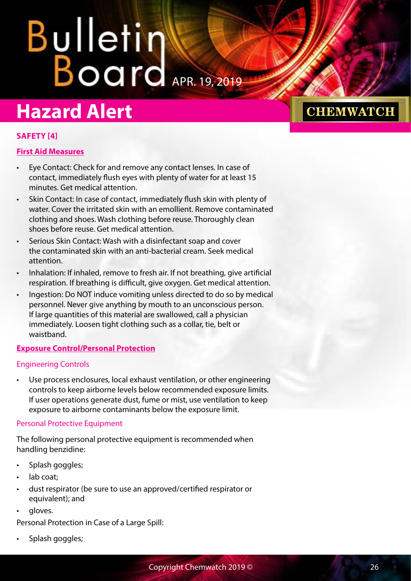## **Hazard Alert**

#### **CHEMWATCH**

#### **SAFETY [4]**

#### **First Aid Measures**

- Eye Contact: Check for and remove any contact lenses. In case of contact, immediately flush eyes with plenty of water for at least 15 minutes. Get medical attention.
- Skin Contact: In case of contact, immediately flush skin with plenty of water. Cover the irritated skin with an emollient. Remove contaminated clothing and shoes. Wash clothing before reuse. Thoroughly clean shoes before reuse. Get medical attention.
- Serious Skin Contact: Wash with a disinfectant soap and cover the contaminated skin with an anti-bacterial cream. Seek medical attention.
- Inhalation: If inhaled, remove to fresh air. If not breathing, give artificial respiration. If breathing is difficult, give oxygen. Get medical attention.
- Ingestion: Do NOT induce vomiting unless directed to do so by medical personnel. Never give anything by mouth to an unconscious person. If large quantities of this material are swallowed, call a physician immediately. Loosen tight clothing such as a collar, tie, belt or waistband.

#### **Exposure Control/Personal Protection**

#### Engineering Controls

Use process enclosures, local exhaust ventilation, or other engineering controls to keep airborne levels below recommended exposure limits. If user operations generate dust, fume or mist, use ventilation to keep exposure to airborne contaminants below the exposure limit.

#### Personal Protective Equipment

The following personal protective equipment is recommended when handling benzidine:

- Splash goggles;
- lab coat:
- dust respirator (be sure to use an approved/certified respirator or equivalent); and
- aloves.

Personal Protection in Case of a Large Spill:

• Splash goggles;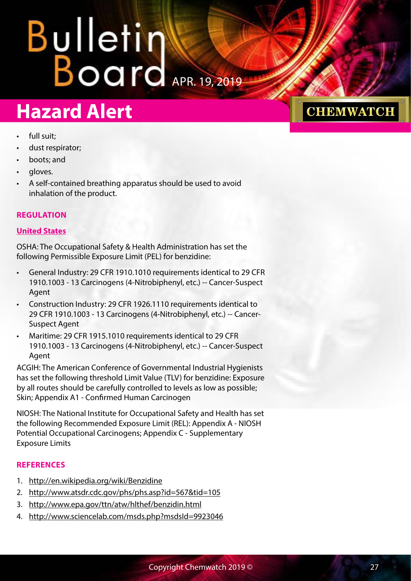## **Hazard Alert**

- full suit:
- dust respirator;
- boots; and
- qloves.
- A self-contained breathing apparatus should be used to avoid inhalation of the product.

#### **REGULATION**

#### **United States**

OSHA: The Occupational Safety & Health Administration has set the following Permissible Exposure Limit (PEL) for benzidine:

- General Industry: 29 CFR 1910.1010 requirements identical to 29 CFR 1910.1003 - 13 Carcinogens (4-Nitrobiphenyl, etc.) -- Cancer-Suspect Agent
- Construction Industry: 29 CFR 1926.1110 requirements identical to 29 CFR 1910.1003 - 13 Carcinogens (4-Nitrobiphenyl, etc.) -- Cancer-Suspect Agent
- Maritime: 29 CFR 1915.1010 requirements identical to 29 CFR 1910.1003 - 13 Carcinogens (4-Nitrobiphenyl, etc.) -- Cancer-Suspect Agent

ACGIH: The American Conference of Governmental Industrial Hygienists has set the following threshold Limit Value (TLV) for benzidine: Exposure by all routes should be carefully controlled to levels as low as possible; Skin; Appendix A1 - Confirmed Human Carcinogen

NIOSH: The National Institute for Occupational Safety and Health has set the following Recommended Exposure Limit (REL): Appendix A - NIOSH Potential Occupational Carcinogens; Appendix C - Supplementary Exposure Limits

#### **REFERENCES**

- 1. <http://en.wikipedia.org/wiki/Benzidine>
- 2. <http://www.atsdr.cdc.gov/phs/phs.asp?id=567&tid=105>
- 3. <http://www.epa.gov/ttn/atw/hlthef/benzidin.html>
- 4. <http://www.sciencelab.com/msds.php?msdsId=9923046>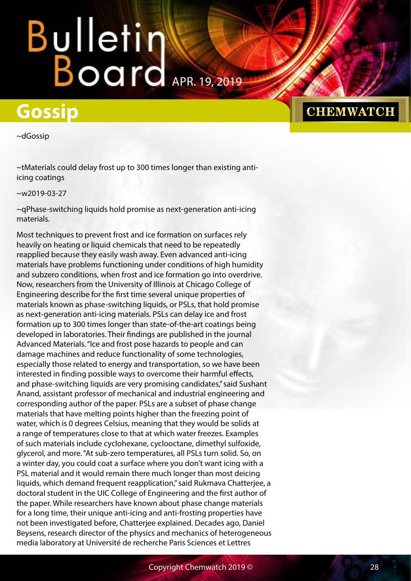## <span id="page-27-0"></span>**Gossip**

~dGossip

~tMaterials could delay frost up to 300 times longer than existing antiicing coatings

 $~\sim$ w2019-03-27

~qPhase-switching liquids hold promise as next-generation anti-icing materials.

Most techniques to prevent frost and ice formation on surfaces rely heavily on heating or liquid chemicals that need to be repeatedly reapplied because they easily wash away. Even advanced anti-icing materials have problems functioning under conditions of high humidity and subzero conditions, when frost and ice formation go into overdrive. Now, researchers from the University of Illinois at Chicago College of Engineering describe for the first time several unique properties of materials known as phase-switching liquids, or PSLs, that hold promise as next-generation anti-icing materials. PSLs can delay ice and frost formation up to 300 times longer than state-of-the-art coatings being developed in laboratories. Their findings are published in the journal Advanced Materials. "Ice and frost pose hazards to people and can damage machines and reduce functionality of some technologies, especially those related to energy and transportation, so we have been interested in finding possible ways to overcome their harmful effects, and phase-switching liquids are very promising candidates," said Sushant Anand, assistant professor of mechanical and industrial engineering and corresponding author of the paper. PSLs are a subset of phase change materials that have melting points higher than the freezing point of water, which is 0 degrees Celsius, meaning that they would be solids at a range of temperatures close to that at which water freezes. Examples of such materials include cyclohexane, cyclooctane, dimethyl sulfoxide, glycerol, and more. "At sub-zero temperatures, all PSLs turn solid. So, on a winter day, you could coat a surface where you don't want icing with a PSL material and it would remain there much longer than most deicing liquids, which demand frequent reapplication," said Rukmava Chatterjee, a doctoral student in the UIC College of Engineering and the first author of the paper. While researchers have known about phase change materials for a long time, their unique anti-icing and anti-frosting properties have not been investigated before, Chatterjee explained. Decades ago, Daniel Beysens, research director of the physics and mechanics of heterogeneous media laboratory at Université de recherche Paris Sciences et Lettres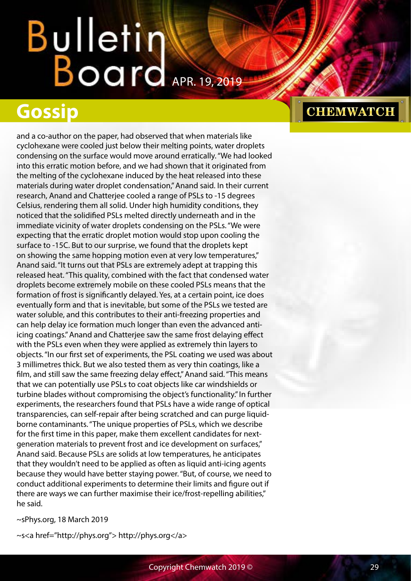### **Gossip**

and a co-author on the paper, had observed that when materials like cyclohexane were cooled just below their melting points, water droplets condensing on the surface would move around erratically. "We had looked into this erratic motion before, and we had shown that it originated from the melting of the cyclohexane induced by the heat released into these materials during water droplet condensation," Anand said. In their current research, Anand and Chatterjee cooled a range of PSLs to -15 degrees Celsius, rendering them all solid. Under high humidity conditions, they noticed that the solidified PSLs melted directly underneath and in the immediate vicinity of water droplets condensing on the PSLs. "We were expecting that the erratic droplet motion would stop upon cooling the surface to -15C. But to our surprise, we found that the droplets kept on showing the same hopping motion even at very low temperatures," Anand said. "It turns out that PSLs are extremely adept at trapping this released heat. "This quality, combined with the fact that condensed water droplets become extremely mobile on these cooled PSLs means that the formation of frost is significantly delayed. Yes, at a certain point, ice does eventually form and that is inevitable, but some of the PSLs we tested are water soluble, and this contributes to their anti-freezing properties and can help delay ice formation much longer than even the advanced antiicing coatings." Anand and Chatterjee saw the same frost delaying effect with the PSLs even when they were applied as extremely thin layers to objects. "In our first set of experiments, the PSL coating we used was about 3 millimetres thick. But we also tested them as very thin coatings, like a film, and still saw the same freezing delay effect," Anand said. "This means that we can potentially use PSLs to coat objects like car windshields or turbine blades without compromising the object's functionality." In further experiments, the researchers found that PSLs have a wide range of optical transparencies, can self-repair after being scratched and can purge liquidborne contaminants. "The unique properties of PSLs, which we describe for the first time in this paper, make them excellent candidates for nextgeneration materials to prevent frost and ice development on surfaces," Anand said. Because PSLs are solids at low temperatures, he anticipates that they wouldn't need to be applied as often as liquid anti-icing agents because they would have better staying power. "But, of course, we need to conduct additional experiments to determine their limits and figure out if there are ways we can further maximise their ice/frost-repelling abilities," he said.

~sPhys.org, 18 March 2019

~s<a href="http://phys.org"> http://phys.org</a>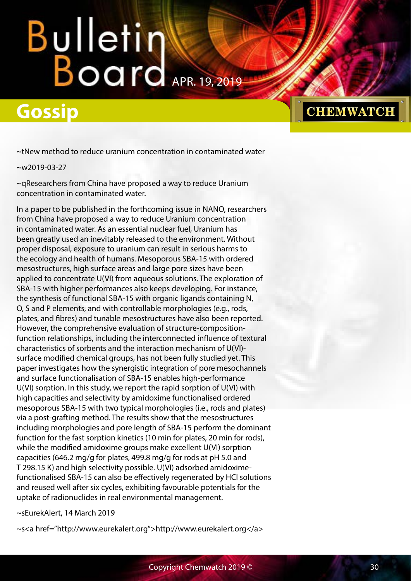### **Gossip**



 $\sim$ tNew method to reduce uranium concentration in contaminated water

 $~\sim$ w2019-03-27

~qResearchers from China have proposed a way to reduce Uranium concentration in contaminated water.

In a paper to be published in the forthcoming issue in NANO, researchers from China have proposed a way to reduce Uranium concentration in contaminated water. As an essential nuclear fuel, Uranium has been greatly used an inevitably released to the environment. Without proper disposal, exposure to uranium can result in serious harms to the ecology and health of humans. Mesoporous SBA-15 with ordered mesostructures, high surface areas and large pore sizes have been applied to concentrate U(VI) from aqueous solutions. The exploration of SBA-15 with higher performances also keeps developing. For instance, the synthesis of functional SBA-15 with organic ligands containing N, O, S and P elements, and with controllable morphologies (e.g., rods, plates, and fibres) and tunable mesostructures have also been reported. However, the comprehensive evaluation of structure-compositionfunction relationships, including the interconnected influence of textural characteristics of sorbents and the interaction mechanism of U(VI) surface modified chemical groups, has not been fully studied yet. This paper investigates how the synergistic integration of pore mesochannels and surface functionalisation of SBA-15 enables high-performance U(VI) sorption. In this study, we report the rapid sorption of U(VI) with high capacities and selectivity by amidoxime functionalised ordered mesoporous SBA-15 with two typical morphologies (i.e., rods and plates) via a post-grafting method. The results show that the mesostructures including morphologies and pore length of SBA-15 perform the dominant function for the fast sorption kinetics (10 min for plates, 20 min for rods), while the modified amidoxime groups make excellent U(VI) sorption capacities (646.2 mg/g for plates, 499.8 mg/g for rods at pH 5.0 and T 298.15 K) and high selectivity possible. U(VI) adsorbed amidoximefunctionalised SBA-15 can also be effectively regenerated by HCl solutions and reused well after six cycles, exhibiting favourable potentials for the uptake of radionuclides in real environmental management.

~sEurekAlert, 14 March 2019

~s<a href="http://www.eurekalert.org">http://www.eurekalert.org</a>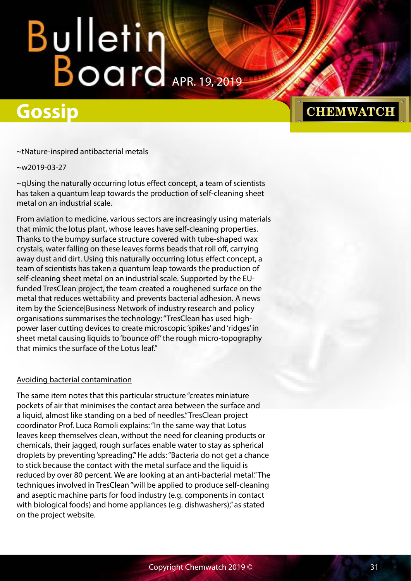## **Bulletintendents**

### **Gossip**



~tNature-inspired antibacterial metals

 $~\sim$ w2019-03-27

~qUsing the naturally occurring lotus effect concept, a team of scientists has taken a quantum leap towards the production of self-cleaning sheet metal on an industrial scale.

From aviation to medicine, various sectors are increasingly using materials that mimic the lotus plant, whose leaves have self-cleaning properties. Thanks to the bumpy surface structure covered with tube-shaped wax crystals, water falling on these leaves forms beads that roll off, carrying away dust and dirt. Using this naturally occurring lotus effect concept, a team of scientists has taken a quantum leap towards the production of self-cleaning sheet metal on an industrial scale. Supported by the EUfunded TresClean project, the team created a roughened surface on the metal that reduces wettability and prevents bacterial adhesion. A news item by the Science|Business Network of industry research and policy organisations summarises the technology: "TresClean has used highpower laser cutting devices to create microscopic 'spikes' and 'ridges' in sheet metal causing liquids to 'bounce off' the rough micro-topography that mimics the surface of the Lotus leaf."

#### Avoiding bacterial contamination

The same item notes that this particular structure "creates miniature pockets of air that minimises the contact area between the surface and a liquid, almost like standing on a bed of needles." TresClean project coordinator Prof. Luca Romoli explains: "In the same way that Lotus leaves keep themselves clean, without the need for cleaning products or chemicals, their jagged, rough surfaces enable water to stay as spherical droplets by preventing 'spreading'." He adds: "Bacteria do not get a chance to stick because the contact with the metal surface and the liquid is reduced by over 80 percent. We are looking at an anti-bacterial metal." The techniques involved in TresClean "will be applied to produce self-cleaning and aseptic machine parts for food industry (e.g. components in contact with biological foods) and home appliances (e.g. dishwashers)," as stated on the project website.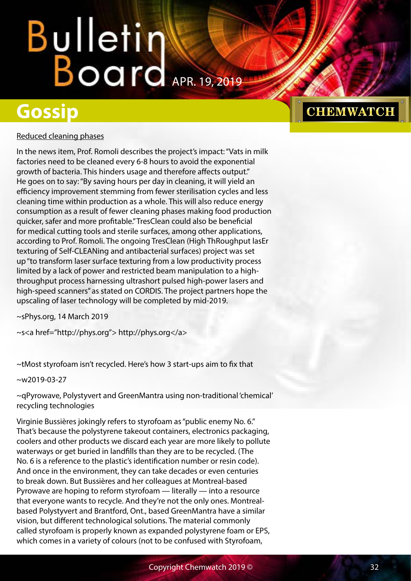### **Gossip**

#### **CHEMWATCH**

#### Reduced cleaning phases

In the news item, Prof. Romoli describes the project's impact: "Vats in milk factories need to be cleaned every 6-8 hours to avoid the exponential growth of bacteria. This hinders usage and therefore affects output." He goes on to say: "By saving hours per day in cleaning, it will yield an efficiency improvement stemming from fewer sterilisation cycles and less cleaning time within production as a whole. This will also reduce energy consumption as a result of fewer cleaning phases making food production quicker, safer and more profitable." TresClean could also be beneficial for medical cutting tools and sterile surfaces, among other applications, according to Prof. Romoli. The ongoing TresClean (High ThRoughput lasEr texturing of Self-CLEANing and antibacterial surfaces) project was set up "to transform laser surface texturing from a low productivity process limited by a lack of power and restricted beam manipulation to a highthroughput process harnessing ultrashort pulsed high-power lasers and high-speed scanners" as stated on CORDIS. The project partners hope the upscaling of laser technology will be completed by mid-2019.

~sPhys.org, 14 March 2019

~s<a href="http://phys.org"> http://phys.org</a>

~tMost styrofoam isn't recycled. Here's how 3 start-ups aim to fix that

~w2019-03-27

~qPyrowave, Polystyvert and GreenMantra using non-traditional 'chemical' recycling technologies

Virginie Bussières jokingly refers to styrofoam as "public enemy No. 6." That's because the polystyrene takeout containers, electronics packaging, coolers and other products we discard each year are more likely to pollute waterways or get buried in landfills than they are to be recycled. (The No. 6 is a reference to the plastic's identification number or resin code). And once in the environment, they can take decades or even centuries to break down. But Bussières and her colleagues at Montreal-based Pyrowave are hoping to reform styrofoam — literally — into a resource that everyone wants to recycle. And they're not the only ones. Montrealbased Polystyvert and Brantford, Ont., based GreenMantra have a similar vision, but different technological solutions. The material commonly called styrofoam is properly known as expanded polystyrene foam or EPS, which comes in a variety of colours (not to be confused with Styrofoam,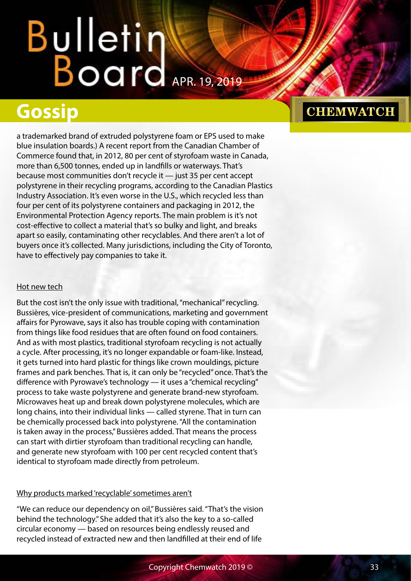## **Bulletintendents**

### **Gossip**

a trademarked brand of extruded polystyrene foam or EPS used to make blue insulation boards.) A recent report from the Canadian Chamber of Commerce found that, in 2012, 80 per cent of styrofoam waste in Canada, more than 6,500 tonnes, ended up in landfills or waterways. That's because most communities don't recycle it — just 35 per cent accept polystyrene in their recycling programs, according to the Canadian Plastics Industry Association. It's even worse in the U.S., which recycled less than four per cent of its polystyrene containers and packaging in 2012, the Environmental Protection Agency reports. The main problem is it's not cost-effective to collect a material that's so bulky and light, and breaks apart so easily, contaminating other recyclables. And there aren't a lot of buyers once it's collected. Many jurisdictions, including the City of Toronto, have to effectively pay companies to take it.

#### Hot new tech

But the cost isn't the only issue with traditional, "mechanical" recycling. Bussières, vice-president of communications, marketing and government affairs for Pyrowave, says it also has trouble coping with contamination from things like food residues that are often found on food containers. And as with most plastics, traditional styrofoam recycling is not actually a cycle. After processing, it's no longer expandable or foam-like. Instead, it gets turned into hard plastic for things like crown mouldings, picture frames and park benches. That is, it can only be "recycled" once. That's the difference with Pyrowave's technology — it uses a "chemical recycling" process to take waste polystyrene and generate brand-new styrofoam. Microwaves heat up and break down polystyrene molecules, which are long chains, into their individual links — called styrene. That in turn can be chemically processed back into polystyrene. "All the contamination is taken away in the process," Bussières added. That means the process can start with dirtier styrofoam than traditional recycling can handle, and generate new styrofoam with 100 per cent recycled content that's identical to styrofoam made directly from petroleum.

#### Why products marked 'recyclable' sometimes aren't

"We can reduce our dependency on oil," Bussières said. "That's the vision behind the technology." She added that it's also the key to a so-called circular economy — based on resources being endlessly reused and recycled instead of extracted new and then landfilled at their end of life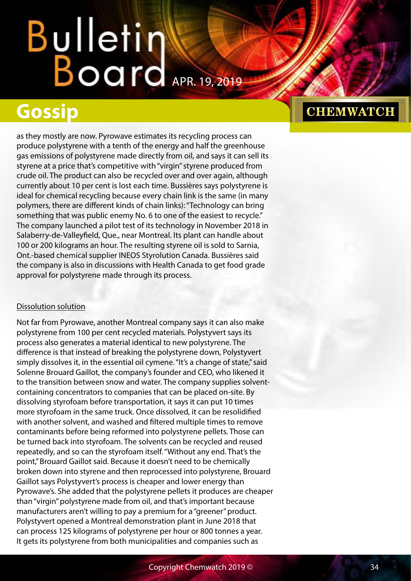### **Gossip**

as they mostly are now. Pyrowave estimates its recycling process can produce polystyrene with a tenth of the energy and half the greenhouse gas emissions of polystyrene made directly from oil, and says it can sell its styrene at a price that's competitive with "virgin" styrene produced from crude oil. The product can also be recycled over and over again, although currently about 10 per cent is lost each time. Bussières says polystyrene is ideal for chemical recycling because every chain link is the same (in many polymers, there are different kinds of chain links): "Technology can bring something that was public enemy No. 6 to one of the easiest to recycle." The company launched a pilot test of its technology in November 2018 in Salaberry-de-Valleyfield, Que., near Montreal. Its plant can handle about 100 or 200 kilograms an hour. The resulting styrene oil is sold to Sarnia, Ont.-based chemical supplier INEOS Styrolution Canada. Bussières said the company is also in discussions with Health Canada to get food grade approval for polystyrene made through its process.

#### Dissolution solution

Not far from Pyrowave, another Montreal company says it can also make polystyrene from 100 per cent recycled materials. Polystyvert says its process also generates a material identical to new polystyrene. The difference is that instead of breaking the polystyrene down, Polystyvert simply dissolves it, in the essential oil cymene. "It's a change of state," said Solenne Brouard Gaillot, the company's founder and CEO, who likened it to the transition between snow and water. The company supplies solventcontaining concentrators to companies that can be placed on-site. By dissolving styrofoam before transportation, it says it can put 10 times more styrofoam in the same truck. Once dissolved, it can be resolidified with another solvent, and washed and filtered multiple times to remove contaminants before being reformed into polystyrene pellets. Those can be turned back into styrofoam. The solvents can be recycled and reused repeatedly, and so can the styrofoam itself. "Without any end. That's the point," Brouard Gaillot said. Because it doesn't need to be chemically broken down into styrene and then reprocessed into polystyrene, Brouard Gaillot says Polystyvert's process is cheaper and lower energy than Pyrowave's. She added that the polystyrene pellets it produces are cheaper than "virgin" polystyrene made from oil, and that's important because manufacturers aren't willing to pay a premium for a "greener" product. Polystyvert opened a Montreal demonstration plant in June 2018 that can process 125 kilograms of polystyrene per hour or 800 tonnes a year. It gets its polystyrene from both municipalities and companies such as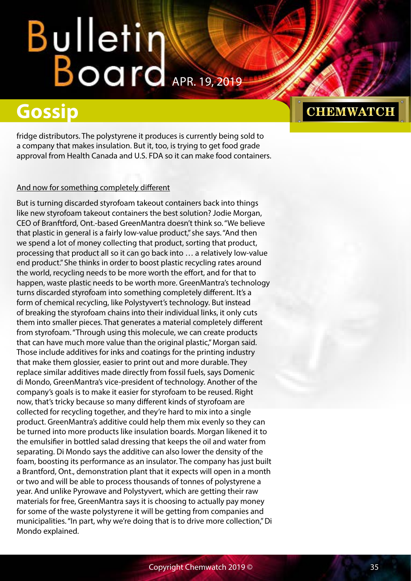### **Gossip**

fridge distributors. The polystyrene it produces is currently being sold to a company that makes insulation. But it, too, is trying to get food grade approval from Health Canada and U.S. FDA so it can make food containers.

#### And now for something completely different

But is turning discarded styrofoam takeout containers back into things like new styrofoam takeout containers the best solution? Jodie Morgan, CEO of Branftford, Ont.-based GreenMantra doesn't think so. "We believe that plastic in general is a fairly low-value product," she says. "And then we spend a lot of money collecting that product, sorting that product, processing that product all so it can go back into … a relatively low-value end product." She thinks in order to boost plastic recycling rates around the world, recycling needs to be more worth the effort, and for that to happen, waste plastic needs to be worth more. GreenMantra's technology turns discarded styrofoam into something completely different. It's a form of chemical recycling, like Polystyvert's technology. But instead of breaking the styrofoam chains into their individual links, it only cuts them into smaller pieces. That generates a material completely different from styrofoam. "Through using this molecule, we can create products that can have much more value than the original plastic," Morgan said. Those include additives for inks and coatings for the printing industry that make them glossier, easier to print out and more durable. They replace similar additives made directly from fossil fuels, says Domenic di Mondo, GreenMantra's vice-president of technology. Another of the company's goals is to make it easier for styrofoam to be reused. Right now, that's tricky because so many different kinds of styrofoam are collected for recycling together, and they're hard to mix into a single product. GreenMantra's additive could help them mix evenly so they can be turned into more products like insulation boards. Morgan likened it to the emulsifier in bottled salad dressing that keeps the oil and water from separating. Di Mondo says the additive can also lower the density of the foam, boosting its performance as an insulator. The company has just built a Brantford, Ont., demonstration plant that it expects will open in a month or two and will be able to process thousands of tonnes of polystyrene a year. And unlike Pyrowave and Polystyvert, which are getting their raw materials for free, GreenMantra says it is choosing to actually pay money for some of the waste polystyrene it will be getting from companies and municipalities. "In part, why we're doing that is to drive more collection," Di Mondo explained.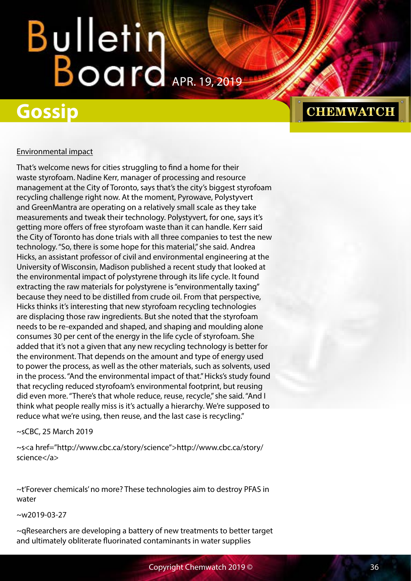## **Bulletin Karl Board**

### **Gossip**

#### **CHEMWATCH**

#### Environmental impact

That's welcome news for cities struggling to find a home for their waste styrofoam. Nadine Kerr, manager of processing and resource management at the City of Toronto, says that's the city's biggest styrofoam recycling challenge right now. At the moment, Pyrowave, Polystyvert and GreenMantra are operating on a relatively small scale as they take measurements and tweak their technology. Polystyvert, for one, says it's getting more offers of free styrofoam waste than it can handle. Kerr said the City of Toronto has done trials with all three companies to test the new technology. "So, there is some hope for this material," she said. Andrea Hicks, an assistant professor of civil and environmental engineering at the University of Wisconsin, Madison published a recent study that looked at the environmental impact of polystyrene through its life cycle. It found extracting the raw materials for polystyrene is "environmentally taxing" because they need to be distilled from crude oil. From that perspective, Hicks thinks it's interesting that new styrofoam recycling technologies are displacing those raw ingredients. But she noted that the styrofoam needs to be re-expanded and shaped, and shaping and moulding alone consumes 30 per cent of the energy in the life cycle of styrofoam. She added that it's not a given that any new recycling technology is better for the environment. That depends on the amount and type of energy used to power the process, as well as the other materials, such as solvents, used in the process. "And the environmental impact of that." Hicks's study found that recycling reduced styrofoam's environmental footprint, but reusing did even more. "There's that whole reduce, reuse, recycle," she said. "And I think what people really miss is it's actually a hierarchy. We're supposed to reduce what we're using, then reuse, and the last case is recycling."

~sCBC, 25 March 2019

~s<a href="http://www.cbc.ca/story/science">http://www.cbc.ca/story/ science</a>

~t'Forever chemicals' no more? These technologies aim to destroy PFAS in water

~w2019-03-27

~qResearchers are developing a battery of new treatments to better target and ultimately obliterate fluorinated contaminants in water supplies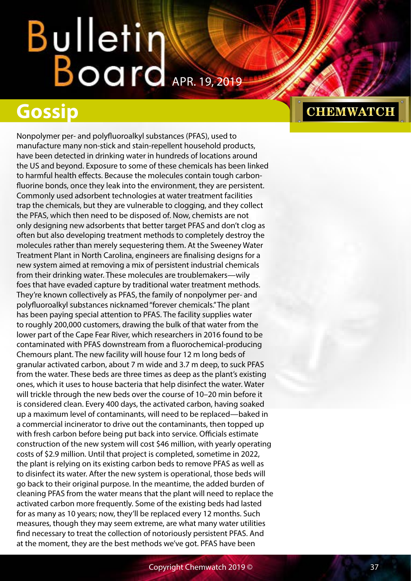## **Gossip**

Nonpolymer per- and polyfluoroalkyl substances (PFAS), used to manufacture many non-stick and stain-repellent household products, have been detected in drinking water in hundreds of locations around the US and beyond. Exposure to some of these chemicals has been linked to harmful health effects. Because the molecules contain tough carbonfluorine bonds, once they leak into the environment, they are persistent. Commonly used adsorbent technologies at water treatment facilities trap the chemicals, but they are vulnerable to clogging, and they collect the PFAS, which then need to be disposed of. Now, chemists are not only designing new adsorbents that better target PFAS and don't clog as often but also developing treatment methods to completely destroy the molecules rather than merely sequestering them. At the Sweeney Water Treatment Plant in North Carolina, engineers are finalising designs for a new system aimed at removing a mix of persistent industrial chemicals from their drinking water. These molecules are troublemakers—wily foes that have evaded capture by traditional water treatment methods. They're known collectively as PFAS, the family of nonpolymer per- and polyfluoroalkyl substances nicknamed "forever chemicals." The plant has been paying special attention to PFAS. The facility supplies water to roughly 200,000 customers, drawing the bulk of that water from the lower part of the Cape Fear River, which researchers in 2016 found to be contaminated with PFAS downstream from a fluorochemical-producing Chemours plant. The new facility will house four 12 m long beds of granular activated carbon, about 7 m wide and 3.7 m deep, to suck PFAS from the water. These beds are three times as deep as the plant's existing ones, which it uses to house bacteria that help disinfect the water. Water will trickle through the new beds over the course of 10–20 min before it is considered clean. Every 400 days, the activated carbon, having soaked up a maximum level of contaminants, will need to be replaced—baked in a commercial incinerator to drive out the contaminants, then topped up with fresh carbon before being put back into service. Officials estimate construction of the new system will cost \$46 million, with yearly operating costs of \$2.9 million. Until that project is completed, sometime in 2022, the plant is relying on its existing carbon beds to remove PFAS as well as to disinfect its water. After the new system is operational, those beds will go back to their original purpose. In the meantime, the added burden of cleaning PFAS from the water means that the plant will need to replace the activated carbon more frequently. Some of the existing beds had lasted for as many as 10 years; now, they'll be replaced every 12 months. Such measures, though they may seem extreme, are what many water utilities find necessary to treat the collection of notoriously persistent PFAS. And at the moment, they are the best methods we've got. PFAS have been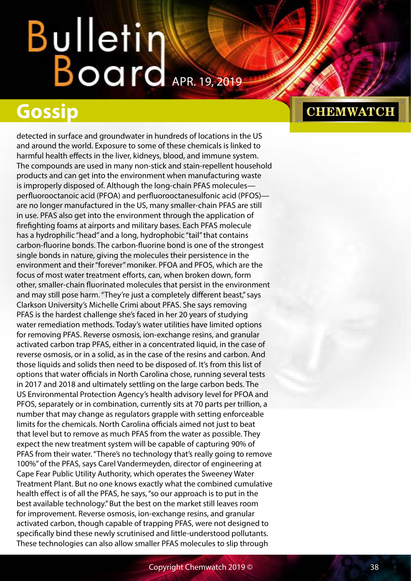## **Gossip**

detected in surface and groundwater in hundreds of locations in the US and around the world. Exposure to some of these chemicals is linked to harmful health effects in the liver, kidneys, blood, and immune system. The compounds are used in many non-stick and stain-repellent household products and can get into the environment when manufacturing waste is improperly disposed of. Although the long-chain PFAS molecules perfluorooctanoic acid (PFOA) and perfluorooctanesulfonic acid (PFOS) are no longer manufactured in the US, many smaller-chain PFAS are still in use. PFAS also get into the environment through the application of firefighting foams at airports and military bases. Each PFAS molecule has a hydrophilic "head" and a long, hydrophobic "tail" that contains carbon-fluorine bonds. The carbon-fluorine bond is one of the strongest single bonds in nature, giving the molecules their persistence in the environment and their "forever" moniker. PFOA and PFOS, which are the focus of most water treatment efforts, can, when broken down, form other, smaller-chain fluorinated molecules that persist in the environment and may still pose harm. "They're just a completely different beast," says Clarkson University's Michelle Crimi about PFAS. She says removing PFAS is the hardest challenge she's faced in her 20 years of studying water remediation methods. Today's water utilities have limited options for removing PFAS. Reverse osmosis, ion-exchange resins, and granular activated carbon trap PFAS, either in a concentrated liquid, in the case of reverse osmosis, or in a solid, as in the case of the resins and carbon. And those liquids and solids then need to be disposed of. It's from this list of options that water officials in North Carolina chose, running several tests in 2017 and 2018 and ultimately settling on the large carbon beds. The US Environmental Protection Agency's health advisory level for PFOA and PFOS, separately or in combination, currently sits at 70 parts per trillion, a number that may change as regulators grapple with setting enforceable limits for the chemicals. North Carolina officials aimed not just to beat that level but to remove as much PFAS from the water as possible. They expect the new treatment system will be capable of capturing 90% of PFAS from their water. "There's no technology that's really going to remove 100%" of the PFAS, says Carel Vandermeyden, director of engineering at Cape Fear Public Utility Authority, which operates the Sweeney Water Treatment Plant. But no one knows exactly what the combined cumulative health effect is of all the PFAS, he says, "so our approach is to put in the best available technology." But the best on the market still leaves room for improvement. Reverse osmosis, ion-exchange resins, and granular activated carbon, though capable of trapping PFAS, were not designed to specifically bind these newly scrutinised and little-understood pollutants. These technologies can also allow smaller PFAS molecules to slip through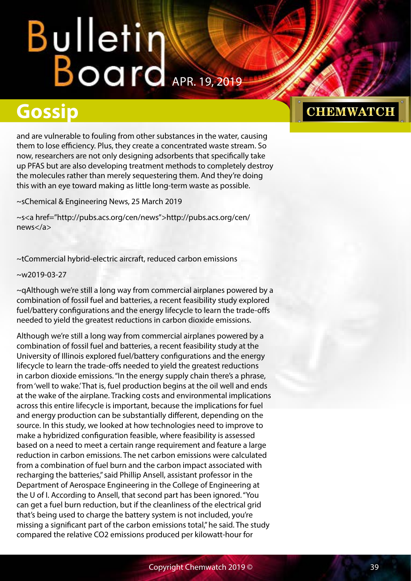## **Gossip**

and are vulnerable to fouling from other substances in the water, causing them to lose efficiency. Plus, they create a concentrated waste stream. So now, researchers are not only designing adsorbents that specifically take up PFAS but are also developing treatment methods to completely destroy the molecules rather than merely sequestering them. And they're doing this with an eye toward making as little long-term waste as possible.

~sChemical & Engineering News, 25 March 2019

~s<a href="http://pubs.acs.org/cen/news">http://pubs.acs.org/cen/ news</a>

~tCommercial hybrid-electric aircraft, reduced carbon emissions

#### $~\sim$ w2019-03-27

~qAlthough we're still a long way from commercial airplanes powered by a combination of fossil fuel and batteries, a recent feasibility study explored fuel/battery configurations and the energy lifecycle to learn the trade-offs needed to yield the greatest reductions in carbon dioxide emissions.

Although we're still a long way from commercial airplanes powered by a combination of fossil fuel and batteries, a recent feasibility study at the University of Illinois explored fuel/battery configurations and the energy lifecycle to learn the trade-offs needed to yield the greatest reductions in carbon dioxide emissions. "In the energy supply chain there's a phrase, from 'well to wake.' That is, fuel production begins at the oil well and ends at the wake of the airplane. Tracking costs and environmental implications across this entire lifecycle is important, because the implications for fuel and energy production can be substantially different, depending on the source. In this study, we looked at how technologies need to improve to make a hybridized configuration feasible, where feasibility is assessed based on a need to meet a certain range requirement and feature a large reduction in carbon emissions. The net carbon emissions were calculated from a combination of fuel burn and the carbon impact associated with recharging the batteries," said Phillip Ansell, assistant professor in the Department of Aerospace Engineering in the College of Engineering at the U of I. According to Ansell, that second part has been ignored. "You can get a fuel burn reduction, but if the cleanliness of the electrical grid that's being used to charge the battery system is not included, you're missing a significant part of the carbon emissions total," he said. The study compared the relative CO2 emissions produced per kilowatt-hour for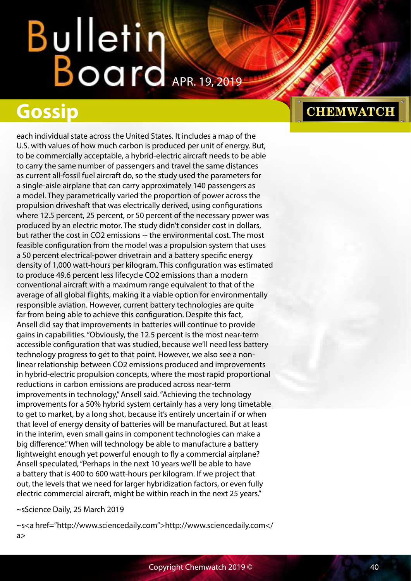## **Gossip**

each individual state across the United States. It includes a map of the U.S. with values of how much carbon is produced per unit of energy. But, to be commercially acceptable, a hybrid-electric aircraft needs to be able to carry the same number of passengers and travel the same distances as current all-fossil fuel aircraft do, so the study used the parameters for a single-aisle airplane that can carry approximately 140 passengers as a model. They parametrically varied the proportion of power across the propulsion driveshaft that was electrically derived, using configurations where 12.5 percent, 25 percent, or 50 percent of the necessary power was produced by an electric motor. The study didn't consider cost in dollars, but rather the cost in CO2 emissions -- the environmental cost. The most feasible configuration from the model was a propulsion system that uses a 50 percent electrical-power drivetrain and a battery specific energy density of 1,000 watt-hours per kilogram. This configuration was estimated to produce 49.6 percent less lifecycle CO2 emissions than a modern conventional aircraft with a maximum range equivalent to that of the average of all global flights, making it a viable option for environmentally responsible aviation. However, current battery technologies are quite far from being able to achieve this configuration. Despite this fact, Ansell did say that improvements in batteries will continue to provide gains in capabilities. "Obviously, the 12.5 percent is the most near-term accessible configuration that was studied, because we'll need less battery technology progress to get to that point. However, we also see a nonlinear relationship between CO2 emissions produced and improvements in hybrid-electric propulsion concepts, where the most rapid proportional reductions in carbon emissions are produced across near-term improvements in technology," Ansell said. "Achieving the technology improvements for a 50% hybrid system certainly has a very long timetable to get to market, by a long shot, because it's entirely uncertain if or when that level of energy density of batteries will be manufactured. But at least in the interim, even small gains in component technologies can make a big difference." When will technology be able to manufacture a battery lightweight enough yet powerful enough to fly a commercial airplane? Ansell speculated, "Perhaps in the next 10 years we'll be able to have a battery that is 400 to 600 watt-hours per kilogram. If we project that out, the levels that we need for larger hybridization factors, or even fully electric commercial aircraft, might be within reach in the next 25 years."

#### ~sScience Daily, 25 March 2019

~s<a href="http://www.sciencedaily.com">http://www.sciencedaily.com</ a>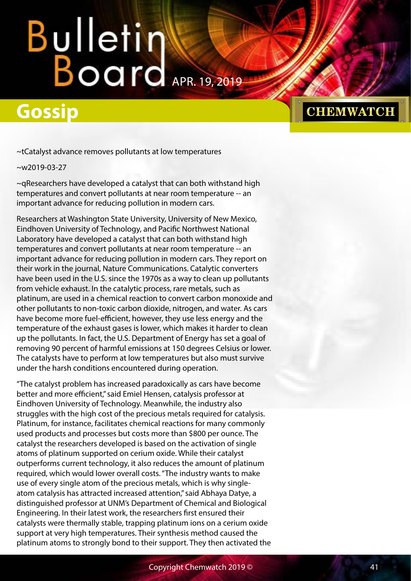# **Bulleting Board**

### **Gossip**

**CHEMWATCH** 

~tCatalyst advance removes pollutants at low temperatures

 $~\sim$ w2019-03-27

~qResearchers have developed a catalyst that can both withstand high temperatures and convert pollutants at near room temperature -- an important advance for reducing pollution in modern cars.

Researchers at Washington State University, University of New Mexico, Eindhoven University of Technology, and Pacific Northwest National Laboratory have developed a catalyst that can both withstand high temperatures and convert pollutants at near room temperature -- an important advance for reducing pollution in modern cars. They report on their work in the journal, Nature Communications. Catalytic converters have been used in the U.S. since the 1970s as a way to clean up pollutants from vehicle exhaust. In the catalytic process, rare metals, such as platinum, are used in a chemical reaction to convert carbon monoxide and other pollutants to non-toxic carbon dioxide, nitrogen, and water. As cars have become more fuel-efficient, however, they use less energy and the temperature of the exhaust gases is lower, which makes it harder to clean up the pollutants. In fact, the U.S. Department of Energy has set a goal of removing 90 percent of harmful emissions at 150 degrees Celsius or lower. The catalysts have to perform at low temperatures but also must survive under the harsh conditions encountered during operation.

"The catalyst problem has increased paradoxically as cars have become better and more efficient," said Emiel Hensen, catalysis professor at Eindhoven University of Technology. Meanwhile, the industry also struggles with the high cost of the precious metals required for catalysis. Platinum, for instance, facilitates chemical reactions for many commonly used products and processes but costs more than \$800 per ounce. The catalyst the researchers developed is based on the activation of single atoms of platinum supported on cerium oxide. While their catalyst outperforms current technology, it also reduces the amount of platinum required, which would lower overall costs. "The industry wants to make use of every single atom of the precious metals, which is why singleatom catalysis has attracted increased attention," said Abhaya Datye, a distinguished professor at UNM's Department of Chemical and Biological Engineering. In their latest work, the researchers first ensured their catalysts were thermally stable, trapping platinum ions on a cerium oxide support at very high temperatures. Their synthesis method caused the platinum atoms to strongly bond to their support. They then activated the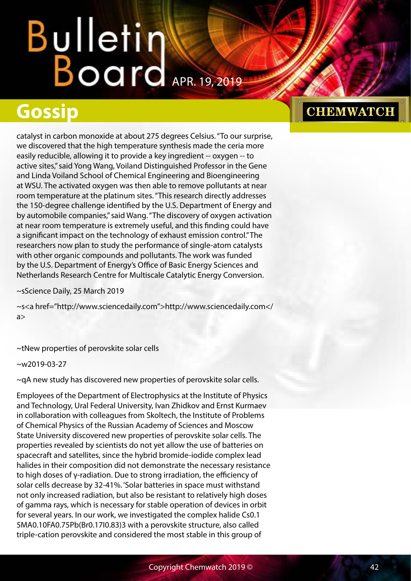## **Gossip**

catalyst in carbon monoxide at about 275 degrees Celsius. "To our surprise, we discovered that the high temperature synthesis made the ceria more easily reducible, allowing it to provide a key ingredient -- oxygen -- to active sites," said Yong Wang, Voiland Distinguished Professor in the Gene and Linda Voiland School of Chemical Engineering and Bioengineering at WSU. The activated oxygen was then able to remove pollutants at near room temperature at the platinum sites. "This research directly addresses the 150-degree challenge identified by the U.S. Department of Energy and by automobile companies," said Wang. "The discovery of oxygen activation at near room temperature is extremely useful, and this finding could have a significant impact on the technology of exhaust emission control." The researchers now plan to study the performance of single-atom catalysts with other organic compounds and pollutants. The work was funded by the U.S. Department of Energy's Office of Basic Energy Sciences and Netherlands Research Centre for Multiscale Catalytic Energy Conversion.

~sScience Daily, 25 March 2019

~s<a href="http://www.sciencedaily.com">http://www.sciencedaily.com</ a>

~tNew properties of perovskite solar cells

~w2019-03-27

~qA new study has discovered new properties of perovskite solar cells.

Employees of the Department of Electrophysics at the Institute of Physics and Technology, Ural Federal University, Ivan Zhidkov and Ernst Kurmaev in collaboration with colleagues from Skoltech, the Institute of Problems of Chemical Physics of the Russian Academy of Sciences and Moscow State University discovered new properties of perovskite solar cells. The properties revealed by scientists do not yet allow the use of batteries on spacecraft and satellites, since the hybrid bromide-iodide complex lead halides in their composition did not demonstrate the necessary resistance to high doses of γ-radiation. Due to strong irradiation, the efficiency of solar cells decrease by 32-41%. 'Solar batteries in space must withstand not only increased radiation, but also be resistant to relatively high doses of gamma rays, which is necessary for stable operation of devices in orbit for several years. In our work, we investigated the complex halide Cs0.1 5MA0.10FA0.75Pb(Br0.17I0.83)3 with a perovskite structure, also called triple-cation perovskite and considered the most stable in this group of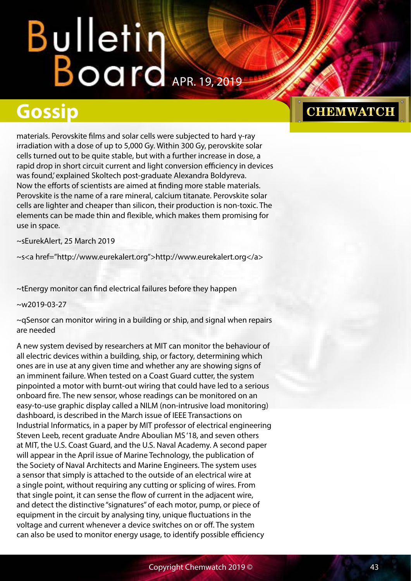## **Gossip**

materials. Perovskite films and solar cells were subjected to hard γ-ray irradiation with a dose of up to 5,000 Gy. Within 300 Gy, perovskite solar cells turned out to be quite stable, but with a further increase in dose, a rapid drop in short circuit current and light conversion efficiency in devices was found,' explained Skoltech post-graduate Alexandra Boldyreva. Now the efforts of scientists are aimed at finding more stable materials. Perovskite is the name of a rare mineral, calcium titanate. Perovskite solar cells are lighter and cheaper than silicon, their production is non-toxic. The elements can be made thin and flexible, which makes them promising for use in space.

~sEurekAlert, 25 March 2019

~s<a href="http://www.eurekalert.org">http://www.eurekalert.org</a>

~tEnergy monitor can find electrical failures before they happen

 $~\sim$ w2019-03-27

~qSensor can monitor wiring in a building or ship, and signal when repairs are needed

A new system devised by researchers at MIT can monitor the behaviour of all electric devices within a building, ship, or factory, determining which ones are in use at any given time and whether any are showing signs of an imminent failure. When tested on a Coast Guard cutter, the system pinpointed a motor with burnt-out wiring that could have led to a serious onboard fire. The new sensor, whose readings can be monitored on an easy-to-use graphic display called a NILM (non-intrusive load monitoring) dashboard, is described in the March issue of IEEE Transactions on Industrial Informatics, in a paper by MIT professor of electrical engineering Steven Leeb, recent graduate Andre Aboulian MS '18, and seven others at MIT, the U.S. Coast Guard, and the U.S. Naval Academy. A second paper will appear in the April issue of Marine Technology, the publication of the Society of Naval Architects and Marine Engineers. The system uses a sensor that simply is attached to the outside of an electrical wire at a single point, without requiring any cutting or splicing of wires. From that single point, it can sense the flow of current in the adjacent wire, and detect the distinctive "signatures" of each motor, pump, or piece of equipment in the circuit by analysing tiny, unique fluctuations in the voltage and current whenever a device switches on or off. The system can also be used to monitor energy usage, to identify possible efficiency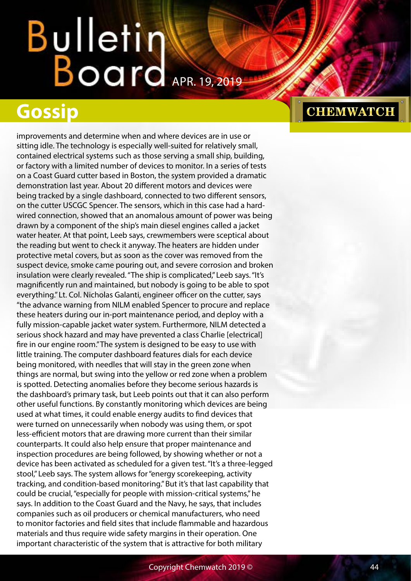## **Gossip**

improvements and determine when and where devices are in use or sitting idle. The technology is especially well-suited for relatively small, contained electrical systems such as those serving a small ship, building, or factory with a limited number of devices to monitor. In a series of tests on a Coast Guard cutter based in Boston, the system provided a dramatic demonstration last year. About 20 different motors and devices were being tracked by a single dashboard, connected to two different sensors, on the cutter USCGC Spencer. The sensors, which in this case had a hardwired connection, showed that an anomalous amount of power was being drawn by a component of the ship's main diesel engines called a jacket water heater. At that point, Leeb says, crewmembers were sceptical about the reading but went to check it anyway. The heaters are hidden under protective metal covers, but as soon as the cover was removed from the suspect device, smoke came pouring out, and severe corrosion and broken insulation were clearly revealed. "The ship is complicated," Leeb says. "It's magnificently run and maintained, but nobody is going to be able to spot everything." Lt. Col. Nicholas Galanti, engineer officer on the cutter, says "the advance warning from NILM enabled Spencer to procure and replace these heaters during our in-port maintenance period, and deploy with a fully mission-capable jacket water system. Furthermore, NILM detected a serious shock hazard and may have prevented a class Charlie [electrical] fire in our engine room." The system is designed to be easy to use with little training. The computer dashboard features dials for each device being monitored, with needles that will stay in the green zone when things are normal, but swing into the yellow or red zone when a problem is spotted. Detecting anomalies before they become serious hazards is the dashboard's primary task, but Leeb points out that it can also perform other useful functions. By constantly monitoring which devices are being used at what times, it could enable energy audits to find devices that were turned on unnecessarily when nobody was using them, or spot less-efficient motors that are drawing more current than their similar counterparts. It could also help ensure that proper maintenance and inspection procedures are being followed, by showing whether or not a device has been activated as scheduled for a given test. "It's a three-legged stool," Leeb says. The system allows for "energy scorekeeping, activity tracking, and condition-based monitoring." But it's that last capability that could be crucial, "especially for people with mission-critical systems," he says. In addition to the Coast Guard and the Navy, he says, that includes companies such as oil producers or chemical manufacturers, who need to monitor factories and field sites that include flammable and hazardous materials and thus require wide safety margins in their operation. One important characteristic of the system that is attractive for both military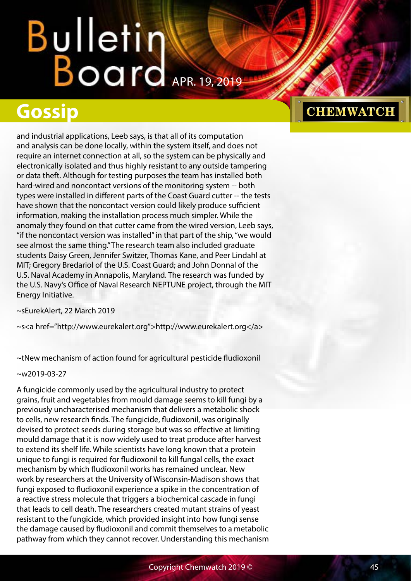## **Gossip**

and industrial applications, Leeb says, is that all of its computation and analysis can be done locally, within the system itself, and does not require an internet connection at all, so the system can be physically and electronically isolated and thus highly resistant to any outside tampering or data theft. Although for testing purposes the team has installed both hard-wired and noncontact versions of the monitoring system -- both types were installed in different parts of the Coast Guard cutter -- the tests have shown that the noncontact version could likely produce sufficient information, making the installation process much simpler. While the anomaly they found on that cutter came from the wired version, Leeb says, "if the noncontact version was installed" in that part of the ship, "we would see almost the same thing." The research team also included graduate students Daisy Green, Jennifer Switzer, Thomas Kane, and Peer Lindahl at MIT; Gregory Bredariol of the U.S. Coast Guard; and John Donnal of the U.S. Naval Academy in Annapolis, Maryland. The research was funded by the U.S. Navy's Office of Naval Research NEPTUNE project, through the MIT Energy Initiative.

~sEurekAlert, 22 March 2019

~s<a href="http://www.eurekalert.org">http://www.eurekalert.org</a>

~tNew mechanism of action found for agricultural pesticide fludioxonil

~w2019-03-27

A fungicide commonly used by the agricultural industry to protect grains, fruit and vegetables from mould damage seems to kill fungi by a previously uncharacterised mechanism that delivers a metabolic shock to cells, new research finds. The fungicide, fludioxonil, was originally devised to protect seeds during storage but was so effective at limiting mould damage that it is now widely used to treat produce after harvest to extend its shelf life. While scientists have long known that a protein unique to fungi is required for fludioxonil to kill fungal cells, the exact mechanism by which fludioxonil works has remained unclear. New work by researchers at the University of Wisconsin-Madison shows that fungi exposed to fludioxonil experience a spike in the concentration of a reactive stress molecule that triggers a biochemical cascade in fungi that leads to cell death. The researchers created mutant strains of yeast resistant to the fungicide, which provided insight into how fungi sense the damage caused by fludioxonil and commit themselves to a metabolic pathway from which they cannot recover. Understanding this mechanism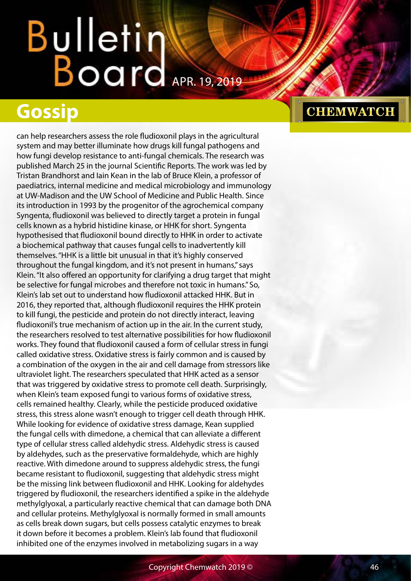## **Gossip**

can help researchers assess the role fludioxonil plays in the agricultural system and may better illuminate how drugs kill fungal pathogens and how fungi develop resistance to anti-fungal chemicals. The research was published March 25 in the journal Scientific Reports. The work was led by Tristan Brandhorst and Iain Kean in the lab of Bruce Klein, a professor of paediatrics, internal medicine and medical microbiology and immunology at UW-Madison and the UW School of Medicine and Public Health. Since its introduction in 1993 by the progenitor of the agrochemical company Syngenta, fludioxonil was believed to directly target a protein in fungal cells known as a hybrid histidine kinase, or HHK for short. Syngenta hypothesised that fludioxonil bound directly to HHK in order to activate a biochemical pathway that causes fungal cells to inadvertently kill themselves. "HHK is a little bit unusual in that it's highly conserved throughout the fungal kingdom, and it's not present in humans," says Klein. "It also offered an opportunity for clarifying a drug target that might be selective for fungal microbes and therefore not toxic in humans." So, Klein's lab set out to understand how fludioxonil attacked HHK. But in 2016, they reported that, although fludioxonil requires the HHK protein to kill fungi, the pesticide and protein do not directly interact, leaving fludioxonil's true mechanism of action up in the air. In the current study, the researchers resolved to test alternative possibilities for how fludioxonil works. They found that fludioxonil caused a form of cellular stress in fungi called oxidative stress. Oxidative stress is fairly common and is caused by a combination of the oxygen in the air and cell damage from stressors like ultraviolet light. The researchers speculated that HHK acted as a sensor that was triggered by oxidative stress to promote cell death. Surprisingly, when Klein's team exposed fungi to various forms of oxidative stress, cells remained healthy. Clearly, while the pesticide produced oxidative stress, this stress alone wasn't enough to trigger cell death through HHK. While looking for evidence of oxidative stress damage, Kean supplied the fungal cells with dimedone, a chemical that can alleviate a different type of cellular stress called aldehydic stress. Aldehydic stress is caused by aldehydes, such as the preservative formaldehyde, which are highly reactive. With dimedone around to suppress aldehydic stress, the fungi became resistant to fludioxonil, suggesting that aldehydic stress might be the missing link between fludioxonil and HHK. Looking for aldehydes triggered by fludioxonil, the researchers identified a spike in the aldehyde methylglyoxal, a particularly reactive chemical that can damage both DNA and cellular proteins. Methylglyoxal is normally formed in small amounts as cells break down sugars, but cells possess catalytic enzymes to break it down before it becomes a problem. Klein's lab found that fludioxonil inhibited one of the enzymes involved in metabolizing sugars in a way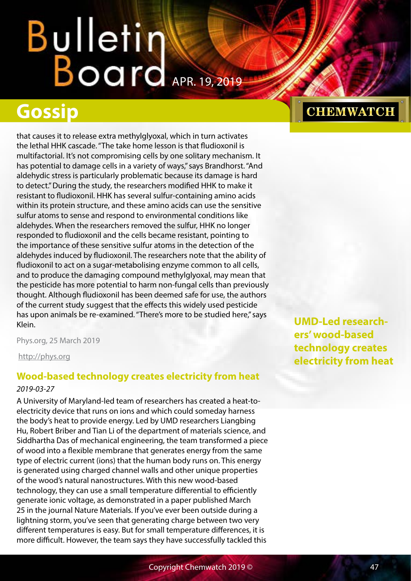## **Gossip**

that causes it to release extra methylglyoxal, which in turn activates the lethal HHK cascade. "The take home lesson is that fludioxonil is multifactorial. It's not compromising cells by one solitary mechanism. It has potential to damage cells in a variety of ways," says Brandhorst. "And aldehydic stress is particularly problematic because its damage is hard to detect." During the study, the researchers modified HHK to make it resistant to fludioxonil. HHK has several sulfur-containing amino acids within its protein structure, and these amino acids can use the sensitive sulfur atoms to sense and respond to environmental conditions like aldehydes. When the researchers removed the sulfur, HHK no longer responded to fludioxonil and the cells became resistant, pointing to the importance of these sensitive sulfur atoms in the detection of the aldehydes induced by fludioxonil. The researchers note that the ability of fludioxonil to act on a sugar-metabolising enzyme common to all cells, and to produce the damaging compound methylglyoxal, may mean that the pesticide has more potential to harm non-fungal cells than previously thought. Although fludioxonil has been deemed safe for use, the authors of the current study suggest that the effects this widely used pesticide has upon animals be re-examined. "There's more to be studied here," says Klein.

Phys.org, 25 March 2019

<http://phys.org>

### **Wood-based technology creates electricity from heat**

#### *2019-03-27*

A University of Maryland-led team of researchers has created a heat-toelectricity device that runs on ions and which could someday harness the body's heat to provide energy. Led by UMD researchers Liangbing Hu, Robert Briber and Tian Li of the department of materials science, and Siddhartha Das of mechanical engineering, the team transformed a piece of wood into a flexible membrane that generates energy from the same type of electric current (ions) that the human body runs on. This energy is generated using charged channel walls and other unique properties of the wood's natural nanostructures. With this new wood-based technology, they can use a small temperature differential to efficiently generate ionic voltage, as demonstrated in a paper published March 25 in the journal Nature Materials. If you've ever been outside during a lightning storm, you've seen that generating charge between two very different temperatures is easy. But for small temperature differences, it is more difficult. However, the team says they have successfully tackled this

**UMD-Led researchers' wood-based technology creates electricity from heat**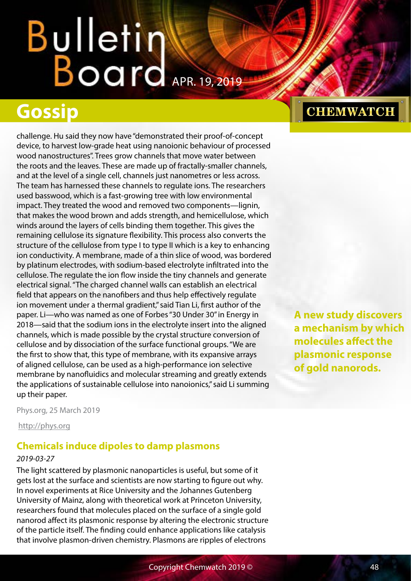## **Gossip**

challenge. Hu said they now have "demonstrated their proof-of-concept device, to harvest low-grade heat using nanoionic behaviour of processed wood nanostructures". Trees grow channels that move water between the roots and the leaves. These are made up of fractally-smaller channels, and at the level of a single cell, channels just nanometres or less across. The team has harnessed these channels to regulate ions. The researchers used basswood, which is a fast-growing tree with low environmental impact. They treated the wood and removed two components—lignin, that makes the wood brown and adds strength, and hemicellulose, which winds around the layers of cells binding them together. This gives the remaining cellulose its signature flexibility. This process also converts the structure of the cellulose from type I to type II which is a key to enhancing ion conductivity. A membrane, made of a thin slice of wood, was bordered by platinum electrodes, with sodium-based electrolyte infiltrated into the cellulose. The regulate the ion flow inside the tiny channels and generate electrical signal. "The charged channel walls can establish an electrical field that appears on the nanofibers and thus help effectively regulate ion movement under a thermal gradient," said Tian Li, first author of the paper. Li—who was named as one of Forbes "30 Under 30" in Energy in 2018—said that the sodium ions in the electrolyte insert into the aligned channels, which is made possible by the crystal structure conversion of cellulose and by dissociation of the surface functional groups. "We are the first to show that, this type of membrane, with its expansive arrays of aligned cellulose, can be used as a high-performance ion selective membrane by nanofluidics and molecular streaming and greatly extends the applications of sustainable cellulose into nanoionics," said Li summing up their paper.

**CHEMWATCH** 

Phys.org, 25 March 2019

<http://phys.org>

#### **Chemicals induce dipoles to damp plasmons**

#### *2019-03-27*

The light scattered by plasmonic nanoparticles is useful, but some of it gets lost at the surface and scientists are now starting to figure out why. In novel experiments at Rice University and the Johannes Gutenberg University of Mainz, along with theoretical work at Princeton University, researchers found that molecules placed on the surface of a single gold nanorod affect its plasmonic response by altering the electronic structure of the particle itself. The finding could enhance applications like catalysis that involve plasmon-driven chemistry. Plasmons are ripples of electrons

**A new study discovers a mechanism by which molecules affect the plasmonic response of gold nanorods.**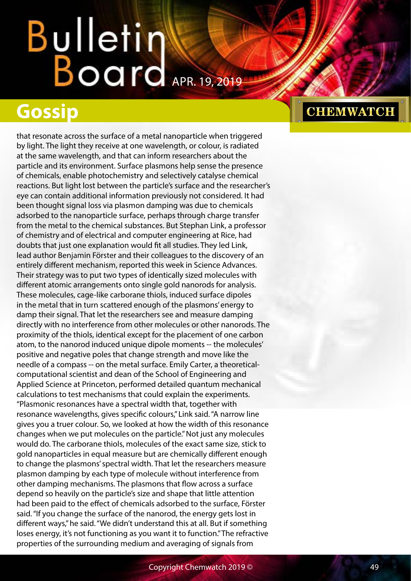## **Gossip**

that resonate across the surface of a metal nanoparticle when triggered by light. The light they receive at one wavelength, or colour, is radiated at the same wavelength, and that can inform researchers about the particle and its environment. Surface plasmons help sense the presence of chemicals, enable photochemistry and selectively catalyse chemical reactions. But light lost between the particle's surface and the researcher's eye can contain additional information previously not considered. It had been thought signal loss via plasmon damping was due to chemicals adsorbed to the nanoparticle surface, perhaps through charge transfer from the metal to the chemical substances. But Stephan Link, a professor of chemistry and of electrical and computer engineering at Rice, had doubts that just one explanation would fit all studies. They led Link, lead author Benjamin Förster and their colleagues to the discovery of an entirely different mechanism, reported this week in Science Advances. Their strategy was to put two types of identically sized molecules with different atomic arrangements onto single gold nanorods for analysis. These molecules, cage-like carborane thiols, induced surface dipoles in the metal that in turn scattered enough of the plasmons' energy to damp their signal. That let the researchers see and measure damping directly with no interference from other molecules or other nanorods. The proximity of the thiols, identical except for the placement of one carbon atom, to the nanorod induced unique dipole moments -- the molecules' positive and negative poles that change strength and move like the needle of a compass -- on the metal surface. Emily Carter, a theoreticalcomputational scientist and dean of the School of Engineering and Applied Science at Princeton, performed detailed quantum mechanical calculations to test mechanisms that could explain the experiments. "Plasmonic resonances have a spectral width that, together with resonance wavelengths, gives specific colours," Link said. "A narrow line gives you a truer colour. So, we looked at how the width of this resonance changes when we put molecules on the particle." Not just any molecules would do. The carborane thiols, molecules of the exact same size, stick to gold nanoparticles in equal measure but are chemically different enough to change the plasmons' spectral width. That let the researchers measure plasmon damping by each type of molecule without interference from other damping mechanisms. The plasmons that flow across a surface depend so heavily on the particle's size and shape that little attention had been paid to the effect of chemicals adsorbed to the surface, Förster said. "If you change the surface of the nanorod, the energy gets lost in different ways," he said. "We didn't understand this at all. But if something loses energy, it's not functioning as you want it to function." The refractive properties of the surrounding medium and averaging of signals from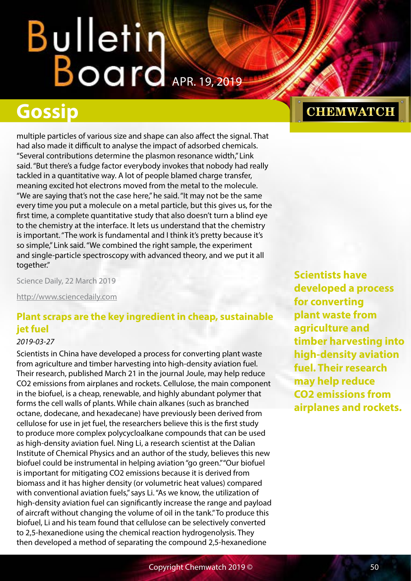## **Gossip**

multiple particles of various size and shape can also affect the signal. That had also made it difficult to analyse the impact of adsorbed chemicals. "Several contributions determine the plasmon resonance width," Link said. "But there's a fudge factor everybody invokes that nobody had really tackled in a quantitative way. A lot of people blamed charge transfer, meaning excited hot electrons moved from the metal to the molecule. "We are saying that's not the case here," he said. "It may not be the same every time you put a molecule on a metal particle, but this gives us, for the first time, a complete quantitative study that also doesn't turn a blind eye to the chemistry at the interface. It lets us understand that the chemistry is important. "The work is fundamental and I think it's pretty because it's so simple," Link said. "We combined the right sample, the experiment and single-particle spectroscopy with advanced theory, and we put it all together."

Science Daily, 22 March 2019

<http://www.sciencedaily.com>

### **Plant scraps are the key ingredient in cheap, sustainable jet fuel**

#### *2019-03-27*

Scientists in China have developed a process for converting plant waste from agriculture and timber harvesting into high-density aviation fuel. Their research, published March 21 in the journal Joule, may help reduce CO2 emissions from airplanes and rockets. Cellulose, the main component in the biofuel, is a cheap, renewable, and highly abundant polymer that forms the cell walls of plants. While chain alkanes (such as branched octane, dodecane, and hexadecane) have previously been derived from cellulose for use in jet fuel, the researchers believe this is the first study to produce more complex polycycloalkane compounds that can be used as high-density aviation fuel. Ning Li, a research scientist at the Dalian Institute of Chemical Physics and an author of the study, believes this new biofuel could be instrumental in helping aviation "go green." "Our biofuel is important for mitigating CO2 emissions because it is derived from biomass and it has higher density (or volumetric heat values) compared with conventional aviation fuels," says Li. "As we know, the utilization of high-density aviation fuel can significantly increase the range and payload of aircraft without changing the volume of oil in the tank." To produce this biofuel, Li and his team found that cellulose can be selectively converted to 2,5-hexanedione using the chemical reaction hydrogenolysis. They then developed a method of separating the compound 2,5-hexanedione

### **CHEMWATCH**

**Scientists have developed a process for converting plant waste from agriculture and timber harvesting into high-density aviation fuel. Their research may help reduce CO2 emissions from airplanes and rockets.**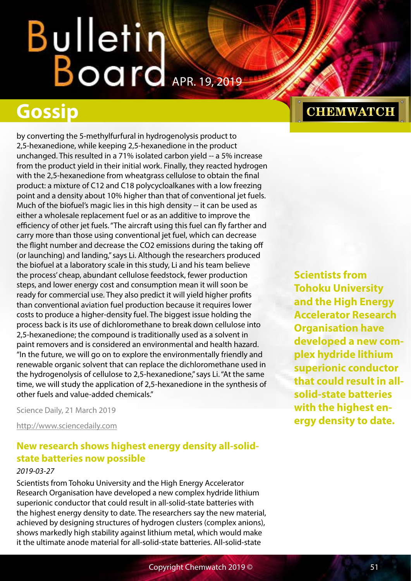## **Gossip**

by converting the 5-methylfurfural in hydrogenolysis product to 2,5-hexanedione, while keeping 2,5-hexanedione in the product unchanged. This resulted in a 71% isolated carbon yield -- a 5% increase from the product yield in their initial work. Finally, they reacted hydrogen with the 2,5-hexanedione from wheatgrass cellulose to obtain the final product: a mixture of C12 and C18 polycycloalkanes with a low freezing point and a density about 10% higher than that of conventional jet fuels. Much of the biofuel's magic lies in this high density -- it can be used as either a wholesale replacement fuel or as an additive to improve the efficiency of other jet fuels. "The aircraft using this fuel can fly farther and carry more than those using conventional jet fuel, which can decrease the flight number and decrease the CO2 emissions during the taking off (or launching) and landing," says Li. Although the researchers produced the biofuel at a laboratory scale in this study, Li and his team believe the process' cheap, abundant cellulose feedstock, fewer production steps, and lower energy cost and consumption mean it will soon be ready for commercial use. They also predict it will yield higher profits than conventional aviation fuel production because it requires lower costs to produce a higher-density fuel. The biggest issue holding the process back is its use of dichloromethane to break down cellulose into 2,5-hexanedione; the compound is traditionally used as a solvent in paint removers and is considered an environmental and health hazard. "In the future, we will go on to explore the environmentally friendly and renewable organic solvent that can replace the dichloromethane used in the hydrogenolysis of cellulose to 2,5-hexanedione," says Li. "At the same time, we will study the application of 2,5-hexanedione in the synthesis of other fuels and value-added chemicals."

Science Daily, 21 March 2019

<http://www.sciencedaily.com>

### **New research shows highest energy density all-solidstate batteries now possible**

#### *2019-03-27*

Scientists from Tohoku University and the High Energy Accelerator Research Organisation have developed a new complex hydride lithium superionic conductor that could result in all-solid-state batteries with the highest energy density to date. The researchers say the new material, achieved by designing structures of hydrogen clusters (complex anions), shows markedly high stability against lithium metal, which would make it the ultimate anode material for all-solid-state batteries. All-solid-state

### **CHEMWATCH**

**Scientists from Tohoku University and the High Energy Accelerator Research Organisation have developed a new complex hydride lithium superionic conductor that could result in allsolid-state batteries with the highest energy density to date.**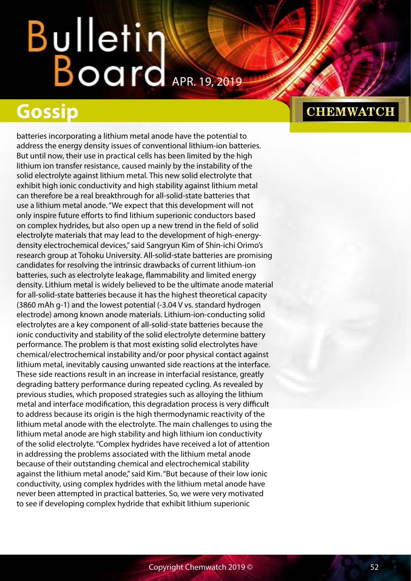## **Gossip**

batteries incorporating a lithium metal anode have the potential to address the energy density issues of conventional lithium-ion batteries. But until now, their use in practical cells has been limited by the high lithium ion transfer resistance, caused mainly by the instability of the solid electrolyte against lithium metal. This new solid electrolyte that exhibit high ionic conductivity and high stability against lithium metal can therefore be a real breakthrough for all-solid-state batteries that use a lithium metal anode. "We expect that this development will not only inspire future efforts to find lithium superionic conductors based on complex hydrides, but also open up a new trend in the field of solid electrolyte materials that may lead to the development of high-energydensity electrochemical devices," said Sangryun Kim of Shin-ichi Orimo's research group at Tohoku University. All-solid-state batteries are promising candidates for resolving the intrinsic drawbacks of current lithium-ion batteries, such as electrolyte leakage, flammability and limited energy density. Lithium metal is widely believed to be the ultimate anode material for all-solid-state batteries because it has the highest theoretical capacity (3860 mAh g-1) and the lowest potential (-3.04 V vs. standard hydrogen electrode) among known anode materials. Lithium-ion-conducting solid electrolytes are a key component of all-solid-state batteries because the ionic conductivity and stability of the solid electrolyte determine battery performance. The problem is that most existing solid electrolytes have chemical/electrochemical instability and/or poor physical contact against lithium metal, inevitably causing unwanted side reactions at the interface. These side reactions result in an increase in interfacial resistance, greatly degrading battery performance during repeated cycling. As revealed by previous studies, which proposed strategies such as alloying the lithium metal and interface modification, this degradation process is very difficult to address because its origin is the high thermodynamic reactivity of the lithium metal anode with the electrolyte. The main challenges to using the lithium metal anode are high stability and high lithium ion conductivity of the solid electrolyte. "Complex hydrides have received a lot of attention in addressing the problems associated with the lithium metal anode because of their outstanding chemical and electrochemical stability against the lithium metal anode," said Kim. "But because of their low ionic conductivity, using complex hydrides with the lithium metal anode have never been attempted in practical batteries. So, we were very motivated to see if developing complex hydride that exhibit lithium superionic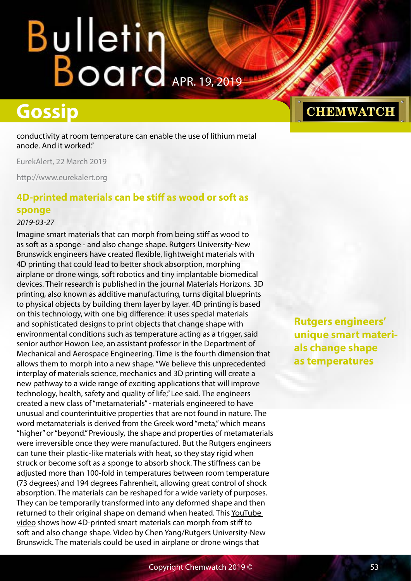### **Gossip**

conductivity at room temperature can enable the use of lithium metal anode. And it worked."

EurekAlert, 22 March 2019

<http://www.eurekalert.org>

#### **4D-printed materials can be stiff as wood or soft as sponge**

#### *2019-03-27*

Imagine smart materials that can morph from being stiff as wood to as soft as a sponge - and also change shape. Rutgers University-New Brunswick engineers have created flexible, lightweight materials with 4D printing that could lead to better shock absorption, morphing airplane or drone wings, soft robotics and tiny implantable biomedical devices. Their research is published in the journal Materials Horizons*.* 3D printing, also known as additive manufacturing, turns digital blueprints to physical objects by building them layer by layer. 4D printing is based on this technology, with one big difference: it uses special materials and sophisticated designs to print objects that change shape with environmental conditions such as temperature acting as a trigger, said senior author Howon Lee, an assistant professor in the Department of Mechanical and Aerospace Engineering. Time is the fourth dimension that allows them to morph into a new shape. "We believe this unprecedented interplay of materials science, mechanics and 3D printing will create a new pathway to a wide range of exciting applications that will improve technology, health, safety and quality of life," Lee said. The engineers created a new class of "metamaterials" - materials engineered to have unusual and counterintuitive properties that are not found in nature. The word metamaterials is derived from the Greek word "meta," which means "higher" or "beyond." Previously, the shape and properties of metamaterials were irreversible once they were manufactured. But the Rutgers engineers can tune their plastic-like materials with heat, so they stay rigid when struck or become soft as a sponge to absorb shock. The stiffness can be adjusted more than 100-fold in temperatures between room temperature (73 degrees) and 194 degrees Fahrenheit, allowing great control of shock absorption. The materials can be reshaped for a wide variety of purposes. They can be temporarily transformed into any deformed shape and then returned to their original shape on demand when heated. This [YouTube](https://www.youtube.com/watch?v=LeWe_Pp8hE8&feature=youtu.be)  [video](https://www.youtube.com/watch?v=LeWe_Pp8hE8&feature=youtu.be) shows how 4D-printed smart materials can morph from stiff to soft and also change shape. Video by Chen Yang/Rutgers University-New Brunswick. The materials could be used in airplane or drone wings that

### **CHEMWATCH**

**Rutgers engineers' unique smart materials change shape as temperatures**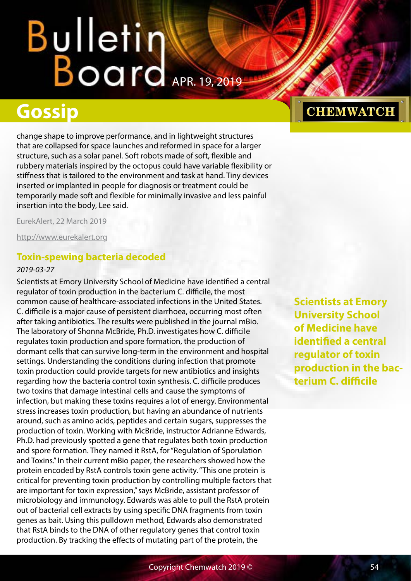## **Gossip**

change shape to improve performance, and in lightweight structures that are collapsed for space launches and reformed in space for a larger structure, such as a solar panel. Soft robots made of soft, flexible and rubbery materials inspired by the octopus could have variable flexibility or stiffness that is tailored to the environment and task at hand. Tiny devices inserted or implanted in people for diagnosis or treatment could be temporarily made soft and flexible for minimally invasive and less painful insertion into the body, Lee said.

EurekAlert, 22 March 2019

<http://www.eurekalert.org>

#### **Toxin-spewing bacteria decoded**

#### *2019-03-27*

Scientists at Emory University School of Medicine have identified a central regulator of toxin production in the bacterium C. difficile, the most common cause of healthcare-associated infections in the United States. C. difficile is a major cause of persistent diarrhoea, occurring most often after taking antibiotics. The results were published in the journal mBio. The laboratory of Shonna McBride, Ph.D. investigates how C. difficile regulates toxin production and spore formation, the production of dormant cells that can survive long-term in the environment and hospital settings. Understanding the conditions during infection that promote toxin production could provide targets for new antibiotics and insights regarding how the bacteria control toxin synthesis. C. difficile produces two toxins that damage intestinal cells and cause the symptoms of infection, but making these toxins requires a lot of energy. Environmental stress increases toxin production, but having an abundance of nutrients around, such as amino acids, peptides and certain sugars, suppresses the production of toxin. Working with McBride, instructor Adrianne Edwards, Ph.D. had previously spotted a gene that regulates both toxin production and spore formation. They named it RstA, for "Regulation of Sporulation and Toxins." In their current mBio paper, the researchers showed how the protein encoded by RstA controls toxin gene activity. "This one protein is critical for preventing toxin production by controlling multiple factors that are important for toxin expression," says McBride, assistant professor of microbiology and immunology. Edwards was able to pull the RstA protein out of bacterial cell extracts by using specific DNA fragments from toxin genes as bait. Using this pulldown method, Edwards also demonstrated that RstA binds to the DNA of other regulatory genes that control toxin production. By tracking the effects of mutating part of the protein, the

**Scientists at Emory University School of Medicine have identified a central regulator of toxin production in the bacterium C. difficile**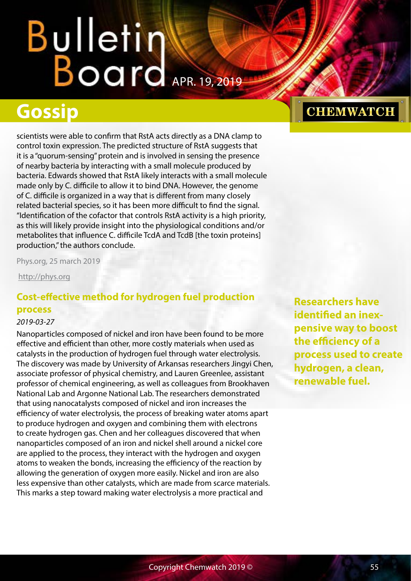## **Gossip**

scientists were able to confirm that RstA acts directly as a DNA clamp to control toxin expression. The predicted structure of RstA suggests that it is a "quorum-sensing" protein and is involved in sensing the presence of nearby bacteria by interacting with a small molecule produced by bacteria. Edwards showed that RstA likely interacts with a small molecule made only by C. difficile to allow it to bind DNA. However, the genome of C. difficile is organized in a way that is different from many closely related bacterial species, so it has been more difficult to find the signal. "Identification of the cofactor that controls RstA activity is a high priority, as this will likely provide insight into the physiological conditions and/or metabolites that influence C. difficile TcdA and TcdB [the toxin proteins] production," the authors conclude.

Phys.org, 25 march 2019

<http://phys.org>

### **Cost-effective method for hydrogen fuel production**

#### **process**

#### *2019-03-27*

Nanoparticles composed of nickel and iron have been found to be more effective and efficient than other, more costly materials when used as catalysts in the production of hydrogen fuel through water electrolysis. The discovery was made by University of Arkansas researchers Jingyi Chen, associate professor of physical chemistry, and Lauren Greenlee, assistant professor of chemical engineering, as well as colleagues from Brookhaven National Lab and Argonne National Lab. The researchers demonstrated that using nanocatalysts composed of nickel and iron increases the efficiency of water electrolysis, the process of breaking water atoms apart to produce hydrogen and oxygen and combining them with electrons to create hydrogen gas. Chen and her colleagues discovered that when nanoparticles composed of an iron and nickel shell around a nickel core are applied to the process, they interact with the hydrogen and oxygen atoms to weaken the bonds, increasing the efficiency of the reaction by allowing the generation of oxygen more easily. Nickel and iron are also less expensive than other catalysts, which are made from scarce materials. This marks a step toward making water electrolysis a more practical and

**Researchers have identified an inexpensive way to boost the efficiency of a process used to create hydrogen, a clean, renewable fuel.**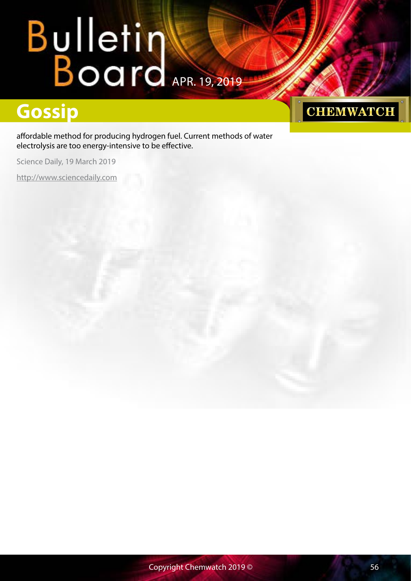# **Bulletings**

## **Gossip**

affordable method for producing hydrogen fuel. Current methods of water electrolysis are too energy-intensive to be effective.

Science Daily, 19 March 2019

<http://www.sciencedaily.com>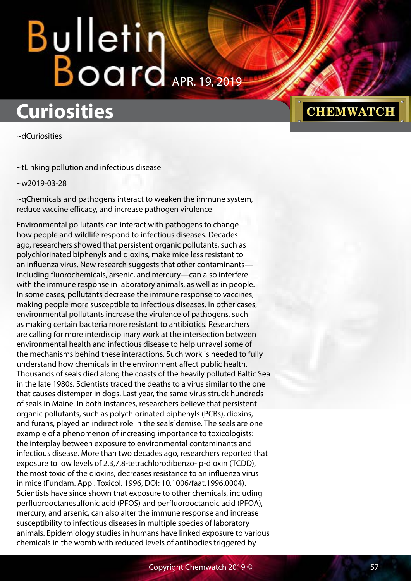## **Curiosities**

~dCuriosities

~tLinking pollution and infectious disease

 $~\sim$ w2019-03-28

~qChemicals and pathogens interact to weaken the immune system, reduce vaccine efficacy, and increase pathogen virulence

Environmental pollutants can interact with pathogens to change how people and wildlife respond to infectious diseases. Decades ago, researchers showed that persistent organic pollutants, such as polychlorinated biphenyls and dioxins, make mice less resistant to an influenza virus. New research suggests that other contaminants including fluorochemicals, arsenic, and mercury—can also interfere with the immune response in laboratory animals, as well as in people. In some cases, pollutants decrease the immune response to vaccines, making people more susceptible to infectious diseases. In other cases, environmental pollutants increase the virulence of pathogens, such as making certain bacteria more resistant to antibiotics. Researchers are calling for more interdisciplinary work at the intersection between environmental health and infectious disease to help unravel some of the mechanisms behind these interactions. Such work is needed to fully understand how chemicals in the environment affect public health. Thousands of seals died along the coasts of the heavily polluted Baltic Sea in the late 1980s. Scientists traced the deaths to a virus similar to the one that causes distemper in dogs. Last year, the same virus struck hundreds of seals in Maine. In both instances, researchers believe that persistent organic pollutants, such as polychlorinated biphenyls (PCBs), dioxins, and furans, played an indirect role in the seals' demise. The seals are one example of a phenomenon of increasing importance to toxicologists: the interplay between exposure to environmental contaminants and infectious disease. More than two decades ago, researchers reported that exposure to low levels of 2,3,7,8-tetrachlorodibenzo- p-dioxin (TCDD), the most toxic of the dioxins, decreases resistance to an influenza virus in mice (Fundam. Appl. Toxicol. 1996, DOI: 10.1006/faat.1996.0004). Scientists have since shown that exposure to other chemicals, including perfluorooctanesulfonic acid (PFOS) and perfluorooctanoic acid (PFOA), mercury, and arsenic, can also alter the immune response and increase susceptibility to infectious diseases in multiple species of laboratory animals. Epidemiology studies in humans have linked exposure to various chemicals in the womb with reduced levels of antibodies triggered by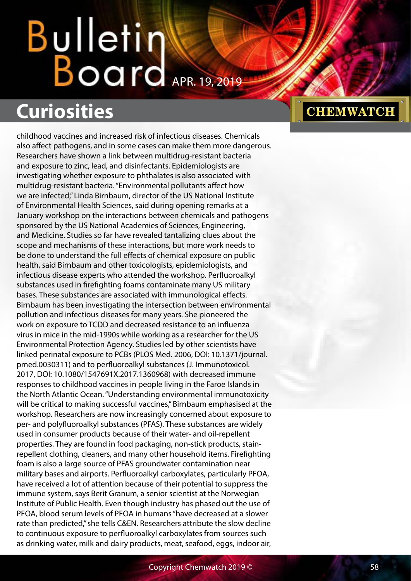## **Curiosities**

childhood vaccines and increased risk of infectious diseases. Chemicals also affect pathogens, and in some cases can make them more dangerous. Researchers have shown a link between multidrug-resistant bacteria and exposure to zinc, lead, and disinfectants. Epidemiologists are investigating whether exposure to phthalates is also associated with multidrug-resistant bacteria. "Environmental pollutants affect how we are infected," Linda Birnbaum, director of the US National Institute of Environmental Health Sciences, said during opening remarks at a January workshop on the interactions between chemicals and pathogens sponsored by the US National Academies of Sciences, Engineering, and Medicine. Studies so far have revealed tantalizing clues about the scope and mechanisms of these interactions, but more work needs to be done to understand the full effects of chemical exposure on public health, said Birnbaum and other toxicologists, epidemiologists, and infectious disease experts who attended the workshop. Perfluoroalkyl substances used in firefighting foams contaminate many US military bases. These substances are associated with immunological effects. Birnbaum has been investigating the intersection between environmental pollution and infectious diseases for many years. She pioneered the work on exposure to TCDD and decreased resistance to an influenza virus in mice in the mid-1990s while working as a researcher for the US Environmental Protection Agency. Studies led by other scientists have linked perinatal exposure to PCBs (PLOS Med. 2006, DOI: 10.1371/journal. pmed.0030311) and to perfluoroalkyl substances (J. Immunotoxicol. 2017, DOI: 10.1080/1547691X.2017.1360968) with decreased immune responses to childhood vaccines in people living in the Faroe Islands in the North Atlantic Ocean. "Understanding environmental immunotoxicity will be critical to making successful vaccines," Birnbaum emphasised at the workshop. Researchers are now increasingly concerned about exposure to per- and polyfluoroalkyl substances (PFAS). These substances are widely used in consumer products because of their water- and oil-repellent properties. They are found in food packaging, non-stick products, stainrepellent clothing, cleaners, and many other household items. Firefighting foam is also a large source of PFAS groundwater contamination near military bases and airports. Perfluoroalkyl carboxylates, particularly PFOA, have received a lot of attention because of their potential to suppress the immune system, says Berit Granum, a senior scientist at the Norwegian Institute of Public Health. Even though industry has phased out the use of PFOA, blood serum levels of PFOA in humans "have decreased at a slower rate than predicted," she tells C&EN. Researchers attribute the slow decline to continuous exposure to perfluoroalkyl carboxylates from sources such as drinking water, milk and dairy products, meat, seafood, eggs, indoor air,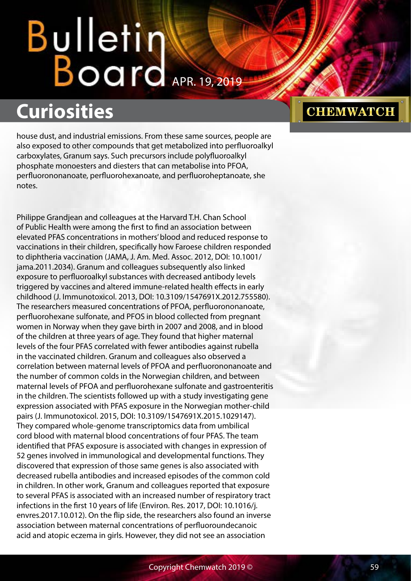## **Curiosities**

house dust, and industrial emissions. From these same sources, people are also exposed to other compounds that get metabolized into perfluoroalkyl carboxylates, Granum says. Such precursors include polyfluoroalkyl phosphate monoesters and diesters that can metabolise into PFOA, perfluorononanoate, perfluorohexanoate, and perfluoroheptanoate, she notes.

Philippe Grandjean and colleagues at the Harvard T.H. Chan School of Public Health were among the first to find an association between elevated PFAS concentrations in mothers' blood and reduced response to vaccinations in their children, specifically how Faroese children responded to diphtheria vaccination (JAMA, J. Am. Med. Assoc. 2012, DOI: 10.1001/ jama.2011.2034). Granum and colleagues subsequently also linked exposure to perfluoroalkyl substances with decreased antibody levels triggered by vaccines and altered immune-related health effects in early childhood (J. Immunotoxicol. 2013, DOI: 10.3109/1547691X.2012.755580). The researchers measured concentrations of PFOA, perfluorononanoate, perfluorohexane sulfonate, and PFOS in blood collected from pregnant women in Norway when they gave birth in 2007 and 2008, and in blood of the children at three years of age. They found that higher maternal levels of the four PFAS correlated with fewer antibodies against rubella in the vaccinated children. Granum and colleagues also observed a correlation between maternal levels of PFOA and perfluorononanoate and the number of common colds in the Norwegian children, and between maternal levels of PFOA and perfluorohexane sulfonate and gastroenteritis in the children. The scientists followed up with a study investigating gene expression associated with PFAS exposure in the Norwegian mother-child pairs (J. Immunotoxicol. 2015, DOI: 10.3109/1547691X.2015.1029147). They compared whole-genome transcriptomics data from umbilical cord blood with maternal blood concentrations of four PFAS. The team identified that PFAS exposure is associated with changes in expression of 52 genes involved in immunological and developmental functions. They discovered that expression of those same genes is also associated with decreased rubella antibodies and increased episodes of the common cold in children. In other work, Granum and colleagues reported that exposure to several PFAS is associated with an increased number of respiratory tract infections in the first 10 years of life (Environ. Res. 2017, DOI: 10.1016/j. envres.2017.10.012). On the flip side, the researchers also found an inverse association between maternal concentrations of perfluoroundecanoic acid and atopic eczema in girls. However, they did not see an association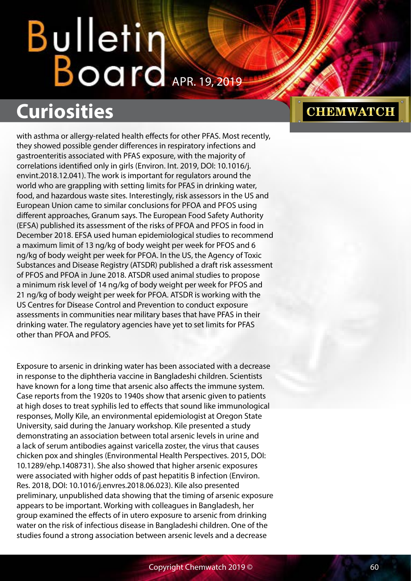## **Curiosities**

with asthma or allergy-related health effects for other PFAS. Most recently, they showed possible gender differences in respiratory infections and gastroenteritis associated with PFAS exposure, with the majority of correlations identified only in girls (Environ. Int. 2019, DOI: 10.1016/j. envint.2018.12.041). The work is important for regulators around the world who are grappling with setting limits for PFAS in drinking water, food, and hazardous waste sites. Interestingly, risk assessors in the US and European Union came to similar conclusions for PFOA and PFOS using different approaches, Granum says. The European Food Safety Authority (EFSA) published its assessment of the risks of PFOA and PFOS in food in December 2018. EFSA used human epidemiological studies to recommend a maximum limit of 13 ng/kg of body weight per week for PFOS and 6 ng/kg of body weight per week for PFOA. In the US, the Agency of Toxic Substances and Disease Registry (ATSDR) published a draft risk assessment of PFOS and PFOA in June 2018. ATSDR used animal studies to propose a minimum risk level of 14 ng/kg of body weight per week for PFOS and 21 ng/kg of body weight per week for PFOA. ATSDR is working with the US Centres for Disease Control and Prevention to conduct exposure assessments in communities near military bases that have PFAS in their drinking water. The regulatory agencies have yet to set limits for PFAS other than PFOA and PFOS.

Exposure to arsenic in drinking water has been associated with a decrease in response to the diphtheria vaccine in Bangladeshi children. Scientists have known for a long time that arsenic also affects the immune system. Case reports from the 1920s to 1940s show that arsenic given to patients at high doses to treat syphilis led to effects that sound like immunological responses, Molly Kile, an environmental epidemiologist at Oregon State University, said during the January workshop. Kile presented a study demonstrating an association between total arsenic levels in urine and a lack of serum antibodies against varicella zoster, the virus that causes chicken pox and shingles (Environmental Health Perspectives. 2015, DOI: 10.1289/ehp.1408731). She also showed that higher arsenic exposures were associated with higher odds of past hepatitis B infection (Environ. Res. 2018, DOI: 10.1016/j.envres.2018.06.023). Kile also presented preliminary, unpublished data showing that the timing of arsenic exposure appears to be important. Working with colleagues in Bangladesh, her group examined the effects of in utero exposure to arsenic from drinking water on the risk of infectious disease in Bangladeshi children. One of the studies found a strong association between arsenic levels and a decrease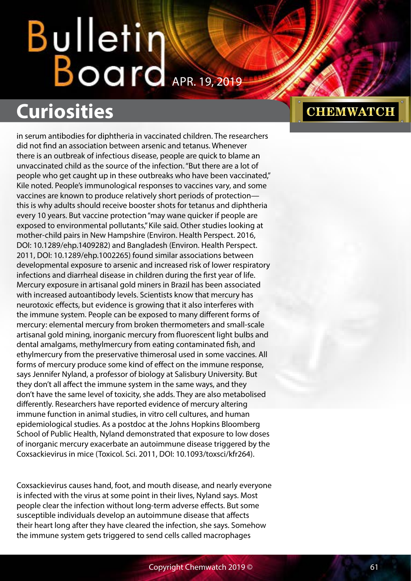## **Curiosities**

in serum antibodies for diphtheria in vaccinated children. The researchers did not find an association between arsenic and tetanus. Whenever there is an outbreak of infectious disease, people are quick to blame an unvaccinated child as the source of the infection. "But there are a lot of people who get caught up in these outbreaks who have been vaccinated," Kile noted. People's immunological responses to vaccines vary, and some vaccines are known to produce relatively short periods of protection this is why adults should receive booster shots for tetanus and diphtheria every 10 years. But vaccine protection "may wane quicker if people are exposed to environmental pollutants," Kile said. Other studies looking at mother-child pairs in New Hampshire (Environ. Health Perspect. 2016, DOI: 10.1289/ehp.1409282) and Bangladesh (Environ. Health Perspect. 2011, DOI: 10.1289/ehp.1002265) found similar associations between developmental exposure to arsenic and increased risk of lower respiratory infections and diarrheal disease in children during the first year of life. Mercury exposure in artisanal gold miners in Brazil has been associated with increased autoantibody levels. Scientists know that mercury has neurotoxic effects, but evidence is growing that it also interferes with the immune system. People can be exposed to many different forms of mercury: elemental mercury from broken thermometers and small-scale artisanal gold mining, inorganic mercury from fluorescent light bulbs and dental amalgams, methylmercury from eating contaminated fish, and ethylmercury from the preservative thimerosal used in some vaccines. All forms of mercury produce some kind of effect on the immune response, says Jennifer Nyland, a professor of biology at Salisbury University. But they don't all affect the immune system in the same ways, and they don't have the same level of toxicity, she adds. They are also metabolised differently. Researchers have reported evidence of mercury altering immune function in animal studies, in vitro cell cultures, and human epidemiological studies. As a postdoc at the Johns Hopkins Bloomberg School of Public Health, Nyland demonstrated that exposure to low doses of inorganic mercury exacerbate an autoimmune disease triggered by the Coxsackievirus in mice (Toxicol. Sci. 2011, DOI: 10.1093/toxsci/kfr264).

Coxsackievirus causes hand, foot, and mouth disease, and nearly everyone is infected with the virus at some point in their lives, Nyland says. Most people clear the infection without long-term adverse effects. But some susceptible individuals develop an autoimmune disease that affects their heart long after they have cleared the infection, she says. Somehow the immune system gets triggered to send cells called macrophages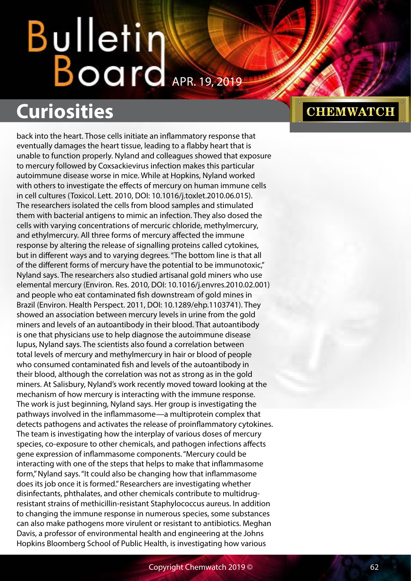## **Curiosities**

back into the heart. Those cells initiate an inflammatory response that eventually damages the heart tissue, leading to a flabby heart that is unable to function properly. Nyland and colleagues showed that exposure to mercury followed by Coxsackievirus infection makes this particular autoimmune disease worse in mice. While at Hopkins, Nyland worked with others to investigate the effects of mercury on human immune cells in cell cultures (Toxicol. Lett. 2010, DOI: 10.1016/j.toxlet.2010.06.015). The researchers isolated the cells from blood samples and stimulated them with bacterial antigens to mimic an infection. They also dosed the cells with varying concentrations of mercuric chloride, methylmercury, and ethylmercury. All three forms of mercury affected the immune response by altering the release of signalling proteins called cytokines, but in different ways and to varying degrees. "The bottom line is that all of the different forms of mercury have the potential to be immunotoxic," Nyland says. The researchers also studied artisanal gold miners who use elemental mercury (Environ. Res. 2010, DOI: 10.1016/j.envres.2010.02.001) and people who eat contaminated fish downstream of gold mines in Brazil (Environ. Health Perspect. 2011, DOI: 10.1289/ehp.1103741). They showed an association between mercury levels in urine from the gold miners and levels of an autoantibody in their blood. That autoantibody is one that physicians use to help diagnose the autoimmune disease lupus, Nyland says. The scientists also found a correlation between total levels of mercury and methylmercury in hair or blood of people who consumed contaminated fish and levels of the autoantibody in their blood, although the correlation was not as strong as in the gold miners. At Salisbury, Nyland's work recently moved toward looking at the mechanism of how mercury is interacting with the immune response. The work is just beginning, Nyland says. Her group is investigating the pathways involved in the inflammasome—a multiprotein complex that detects pathogens and activates the release of proinflammatory cytokines. The team is investigating how the interplay of various doses of mercury species, co-exposure to other chemicals, and pathogen infections affects gene expression of inflammasome components. "Mercury could be interacting with one of the steps that helps to make that inflammasome form," Nyland says. "It could also be changing how that inflammasome does its job once it is formed." Researchers are investigating whether disinfectants, phthalates, and other chemicals contribute to multidrugresistant strains of methicillin-resistant Staphylococcus aureus. In addition to changing the immune response in numerous species, some substances can also make pathogens more virulent or resistant to antibiotics. Meghan Davis, a professor of environmental health and engineering at the Johns Hopkins Bloomberg School of Public Health, is investigating how various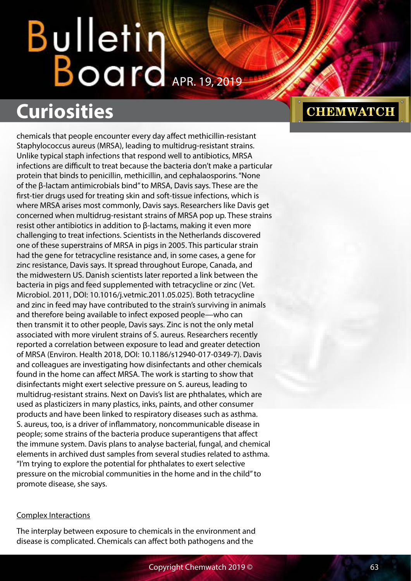## **Curiosities**

chemicals that people encounter every day affect methicillin-resistant Staphylococcus aureus (MRSA), leading to multidrug-resistant strains. Unlike typical staph infections that respond well to antibiotics, MRSA infections are difficult to treat because the bacteria don't make a particular protein that binds to penicillin, methicillin, and cephalaosporins. "None of the β-lactam antimicrobials bind" to MRSA, Davis says. These are the first-tier drugs used for treating skin and soft-tissue infections, which is where MRSA arises most commonly, Davis says. Researchers like Davis get concerned when multidrug-resistant strains of MRSA pop up. These strains resist other antibiotics in addition to β-lactams, making it even more challenging to treat infections. Scientists in the Netherlands discovered one of these superstrains of MRSA in pigs in 2005. This particular strain had the gene for tetracycline resistance and, in some cases, a gene for zinc resistance, Davis says. It spread throughout Europe, Canada, and the midwestern US. Danish scientists later reported a link between the bacteria in pigs and feed supplemented with tetracycline or zinc (Vet. Microbiol. 2011, DOI: 10.1016/j.vetmic.2011.05.025). Both tetracycline and zinc in feed may have contributed to the strain's surviving in animals and therefore being available to infect exposed people—who can then transmit it to other people, Davis says. Zinc is not the only metal associated with more virulent strains of S. aureus. Researchers recently reported a correlation between exposure to lead and greater detection of MRSA (Environ. Health 2018, DOI: 10.1186/s12940-017-0349-7). Davis and colleagues are investigating how disinfectants and other chemicals found in the home can affect MRSA. The work is starting to show that disinfectants might exert selective pressure on S. aureus, leading to multidrug-resistant strains. Next on Davis's list are phthalates, which are used as plasticizers in many plastics, inks, paints, and other consumer products and have been linked to respiratory diseases such as asthma. S. aureus, too, is a driver of inflammatory, noncommunicable disease in people; some strains of the bacteria produce superantigens that affect the immune system. Davis plans to analyse bacterial, fungal, and chemical elements in archived dust samples from several studies related to asthma. "I'm trying to explore the potential for phthalates to exert selective pressure on the microbial communities in the home and in the child" to promote disease, she says.

#### Complex Interactions

The interplay between exposure to chemicals in the environment and disease is complicated. Chemicals can affect both pathogens and the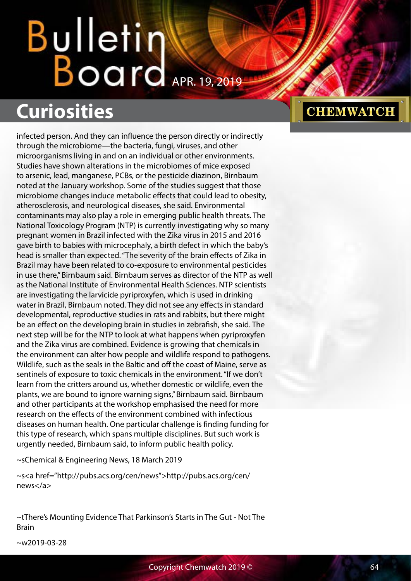## **Curiosities**

infected person. And they can influence the person directly or indirectly through the microbiome—the bacteria, fungi, viruses, and other microorganisms living in and on an individual or other environments. Studies have shown alterations in the microbiomes of mice exposed to arsenic, lead, manganese, PCBs, or the pesticide diazinon, Birnbaum noted at the January workshop. Some of the studies suggest that those microbiome changes induce metabolic effects that could lead to obesity, atherosclerosis, and neurological diseases, she said. Environmental contaminants may also play a role in emerging public health threats. The National Toxicology Program (NTP) is currently investigating why so many pregnant women in Brazil infected with the Zika virus in 2015 and 2016 gave birth to babies with microcephaly, a birth defect in which the baby's head is smaller than expected. "The severity of the brain effects of Zika in Brazil may have been related to co-exposure to environmental pesticides in use there," Birnbaum said. Birnbaum serves as director of the NTP as well as the National Institute of Environmental Health Sciences. NTP scientists are investigating the larvicide pyriproxyfen, which is used in drinking water in Brazil, Birnbaum noted. They did not see any effects in standard developmental, reproductive studies in rats and rabbits, but there might be an effect on the developing brain in studies in zebrafish, she said. The next step will be for the NTP to look at what happens when pyriproxyfen and the Zika virus are combined. Evidence is growing that chemicals in the environment can alter how people and wildlife respond to pathogens. Wildlife, such as the seals in the Baltic and off the coast of Maine, serve as sentinels of exposure to toxic chemicals in the environment. "If we don't learn from the critters around us, whether domestic or wildlife, even the plants, we are bound to ignore warning signs," Birnbaum said. Birnbaum and other participants at the workshop emphasised the need for more research on the effects of the environment combined with infectious diseases on human health. One particular challenge is finding funding for this type of research, which spans multiple disciplines. But such work is urgently needed, Birnbaum said, to inform public health policy.

~sChemical & Engineering News, 18 March 2019

~s<a href="http://pubs.acs.org/cen/news">http://pubs.acs.org/cen/ news</a>

~tThere's Mounting Evidence That Parkinson's Starts in The Gut - Not The Brain

~w2019-03-28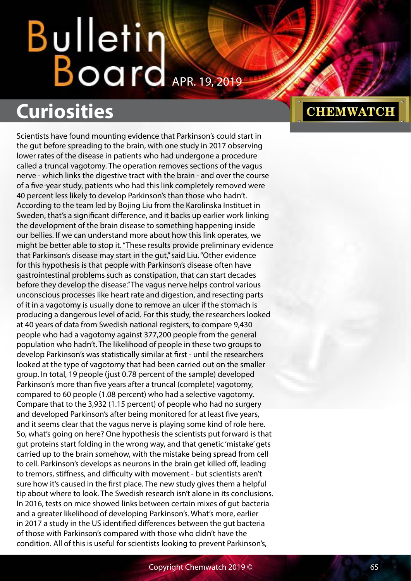## **Curiosities**

Scientists have found mounting evidence that Parkinson's could start in the gut before spreading to the brain, with one study in 2017 observing lower rates of the disease in patients who had undergone a procedure called a truncal vagotomy. The operation removes sections of the vagus nerve - which links the digestive tract with the brain - and over the course of a five-year study, patients who had this link completely removed were 40 percent less likely to develop Parkinson's than those who hadn't. According to the team led by Bojing Liu from the Karolinska Instituet in Sweden, that's a significant difference, and it backs up earlier work linking the development of the brain disease to something happening inside our bellies. If we can understand more about how this link operates, we might be better able to stop it. "These results provide preliminary evidence that Parkinson's disease may start in the gut," said Liu. "Other evidence for this hypothesis is that people with Parkinson's disease often have gastrointestinal problems such as constipation, that can start decades before they develop the disease." The vagus nerve helps control various unconscious processes like heart rate and digestion, and resecting parts of it in a vagotomy is usually done to remove an ulcer if the stomach is producing a dangerous level of acid. For this study, the researchers looked at 40 years of data from Swedish national registers, to compare 9,430 people who had a vagotomy against 377,200 people from the general population who hadn't. The likelihood of people in these two groups to develop Parkinson's was statistically similar at first - until the researchers looked at the type of vagotomy that had been carried out on the smaller group. In total, 19 people (just 0.78 percent of the sample) developed Parkinson's more than five years after a truncal (complete) vagotomy, compared to 60 people (1.08 percent) who had a selective vagotomy. Compare that to the 3,932 (1.15 percent) of people who had no surgery and developed Parkinson's after being monitored for at least five years, and it seems clear that the vagus nerve is playing some kind of role here. So, what's going on here? One hypothesis the scientists put forward is that gut proteins start folding in the wrong way, and that genetic 'mistake' gets carried up to the brain somehow, with the mistake being spread from cell to cell. Parkinson's develops as neurons in the brain get killed off, leading to tremors, stiffness, and difficulty with movement - but scientists aren't sure how it's caused in the first place. The new study gives them a helpful tip about where to look. The Swedish research isn't alone in its conclusions. In 2016, tests on mice showed links between certain mixes of gut bacteria and a greater likelihood of developing Parkinson's. What's more, earlier in 2017 a study in the US identified differences between the gut bacteria of those with Parkinson's compared with those who didn't have the condition. All of this is useful for scientists looking to prevent Parkinson's,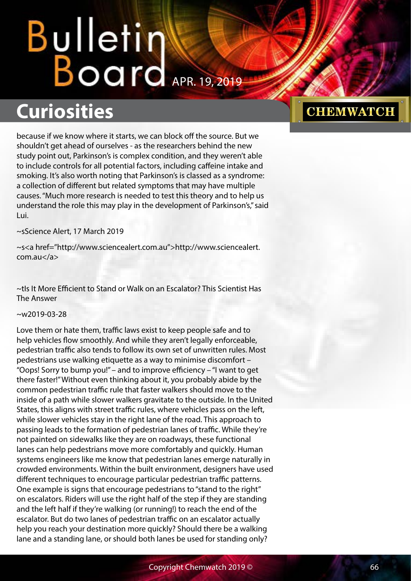## **Curiosities**

because if we know where it starts, we can block off the source. But we shouldn't get ahead of ourselves - as the researchers behind the new study point out, Parkinson's is complex condition, and they weren't able to include controls for all potential factors, including caffeine intake and smoking. It's also worth noting that Parkinson's is classed as a syndrome: a collection of different but related symptoms that may have multiple causes. "Much more research is needed to test this theory and to help us understand the role this may play in the development of Parkinson's," said Lui.

~sScience Alert, 17 March 2019

~s<a href="http://www.sciencealert.com.au">http://www.sciencealert. com.au</a>

~tIs It More Efficient to Stand or Walk on an Escalator? This Scientist Has The Answer

#### $~\sim$ w2019-03-28

Love them or hate them, traffic laws exist to keep people safe and to help vehicles flow smoothly. And while they aren't legally enforceable, pedestrian traffic also tends to follow its own set of unwritten rules. Most pedestrians use walking etiquette as a way to minimise discomfort – "Oops! Sorry to bump you!" – and to improve efficiency – "I want to get there faster!" Without even thinking about it, you probably abide by the common pedestrian traffic rule that faster walkers should move to the inside of a path while slower walkers gravitate to the outside. In the United States, this aligns with street traffic rules, where vehicles pass on the left, while slower vehicles stay in the right lane of the road. This approach to passing leads to the formation of pedestrian lanes of traffic. While they're not painted on sidewalks like they are on roadways, these functional lanes can help pedestrians move more comfortably and quickly. Human systems engineers like me know that pedestrian lanes emerge naturally in crowded environments. Within the built environment, designers have used different techniques to encourage particular pedestrian traffic patterns. One example is signs that encourage pedestrians to "stand to the right" on escalators. Riders will use the right half of the step if they are standing and the left half if they're walking (or running!) to reach the end of the escalator. But do two lanes of pedestrian traffic on an escalator actually help you reach your destination more quickly? Should there be a walking lane and a standing lane, or should both lanes be used for standing only?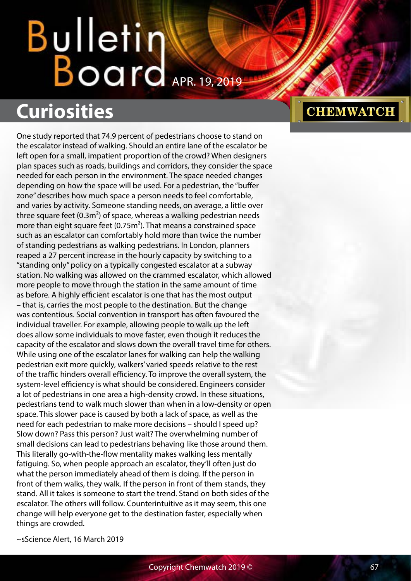## **Curiosities**

One study reported that 74.9 percent of pedestrians choose to stand on the escalator instead of walking. Should an entire lane of the escalator be left open for a small, impatient proportion of the crowd? When designers plan spaces such as roads, buildings and corridors, they consider the space needed for each person in the environment. The space needed changes depending on how the space will be used. For a pedestrian, the "buffer zone" describes how much space a person needs to feel comfortable, and varies by activity. Someone standing needs, on average, a little over three square feet  $(0.3m<sup>2</sup>)$  of space, whereas a walking pedestrian needs more than eight square feet (0.75m<sup>2</sup>). That means a constrained space such as an escalator can comfortably hold more than twice the number of standing pedestrians as walking pedestrians. In London, planners reaped a 27 percent increase in the hourly capacity by switching to a "standing only" policy on a typically congested escalator at a subway station. No walking was allowed on the crammed escalator, which allowed more people to move through the station in the same amount of time as before. A highly efficient escalator is one that has the most output – that is, carries the most people to the destination. But the change was contentious. Social convention in transport has often favoured the individual traveller. For example, allowing people to walk up the left does allow some individuals to move faster, even though it reduces the capacity of the escalator and slows down the overall travel time for others. While using one of the escalator lanes for walking can help the walking pedestrian exit more quickly, walkers' varied speeds relative to the rest of the traffic hinders overall efficiency. To improve the overall system, the system-level efficiency is what should be considered. Engineers consider a lot of pedestrians in one area a high-density crowd. In these situations, pedestrians tend to walk much slower than when in a low-density or open space. This slower pace is caused by both a lack of space, as well as the need for each pedestrian to make more decisions – should I speed up? Slow down? Pass this person? Just wait? The overwhelming number of small decisions can lead to pedestrians behaving like those around them. This literally go-with-the-flow mentality makes walking less mentally fatiguing. So, when people approach an escalator, they'll often just do what the person immediately ahead of them is doing. If the person in front of them walks, they walk. If the person in front of them stands, they stand. All it takes is someone to start the trend. Stand on both sides of the escalator. The others will follow. Counterintuitive as it may seem, this one change will help everyone get to the destination faster, especially when things are crowded.

**CHEMWATCH** 

~sScience Alert, 16 March 2019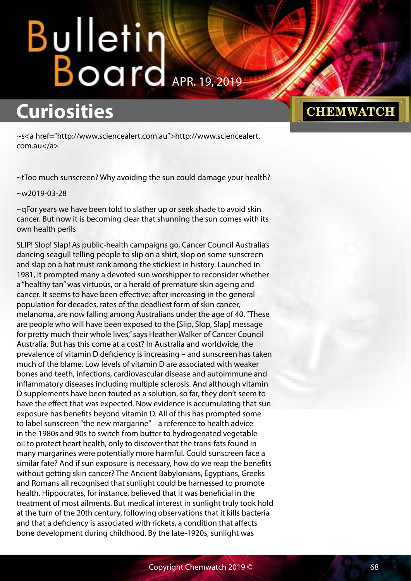## **Curiosities**

~s<a href="http://www.sciencealert.com.au">http://www.sciencealert. com.au</a>

~tToo much sunscreen? Why avoiding the sun could damage your health?

 $~\sim$ w2019-03-28

~qFor years we have been told to slather up or seek shade to avoid skin cancer. But now it is becoming clear that shunning the sun comes with its own health perils

SLIP! Slop! Slap! As public-health campaigns go, Cancer Council Australia's dancing seagull telling people to slip on a shirt, slop on some sunscreen and slap on a hat must rank among the stickiest in history. Launched in 1981, it prompted many a devoted sun worshipper to reconsider whether a "healthy tan" was virtuous, or a herald of premature skin ageing and cancer. It seems to have been effective: after increasing in the general population for decades, rates of the deadliest form of skin cancer, melanoma, are now falling among Australians under the age of 40. "These are people who will have been exposed to the [Slip, Slop, Slap] message for pretty much their whole lives," says Heather Walker of Cancer Council Australia. But has this come at a cost? In Australia and worldwide, the prevalence of vitamin D deficiency is increasing – and sunscreen has taken much of the blame. Low levels of vitamin D are associated with weaker bones and teeth, infections, cardiovascular disease and autoimmune and inflammatory diseases including multiple sclerosis. And although vitamin D supplements have been touted as a solution, so far, they don't seem to have the effect that was expected. Now evidence is accumulating that sun exposure has benefits beyond vitamin D. All of this has prompted some to label sunscreen "the new margarine" – a reference to health advice in the 1980s and 90s to switch from butter to hydrogenated vegetable oil to protect heart health, only to discover that the trans-fats found in many margarines were potentially more harmful. Could sunscreen face a similar fate? And if sun exposure is necessary, how do we reap the benefits without getting skin cancer? The Ancient Babylonians, Egyptians, Greeks and Romans all recognised that sunlight could be harnessed to promote health. Hippocrates, for instance, believed that it was beneficial in the treatment of most ailments. But medical interest in sunlight truly took hold at the turn of the 20th century, following observations that it kills bacteria and that a deficiency is associated with rickets, a condition that affects bone development during childhood. By the late-1920s, sunlight was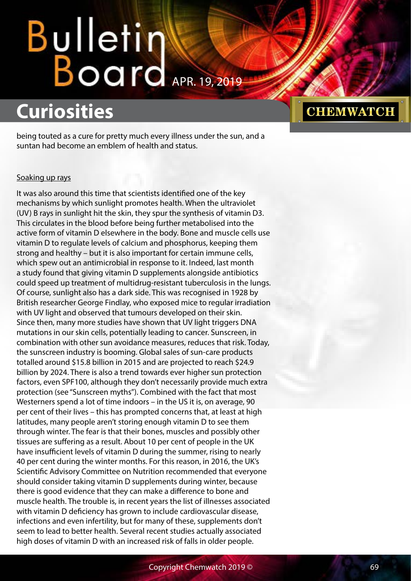## **Curiosities**

being touted as a cure for pretty much every illness under the sun, and a suntan had become an emblem of health and status.

#### Soaking up rays

It was also around this time that scientists identified one of the key mechanisms by which sunlight promotes health. When the ultraviolet (UV) B rays in sunlight hit the skin, they spur the synthesis of vitamin D3. This circulates in the blood before being further metabolised into the active form of vitamin D elsewhere in the body. Bone and muscle cells use vitamin D to regulate levels of calcium and phosphorus, keeping them strong and healthy – but it is also important for certain immune cells, which spew out an antimicrobial in response to it. Indeed, last month a study found that giving vitamin D supplements alongside antibiotics could speed up treatment of multidrug-resistant tuberculosis in the lungs. Of course, sunlight also has a dark side. This was recognised in 1928 by British researcher George Findlay, who exposed mice to regular irradiation with UV light and observed that tumours developed on their skin. Since then, many more studies have shown that UV light triggers DNA mutations in our skin cells, potentially leading to cancer. Sunscreen, in combination with other sun avoidance measures, reduces that risk. Today, the sunscreen industry is booming. Global sales of sun-care products totalled around \$15.8 billion in 2015 and are projected to reach \$24.9 billion by 2024. There is also a trend towards ever higher sun protection factors, even SPF100, although they don't necessarily provide much extra protection (see "Sunscreen myths"). Combined with the fact that most Westerners spend a lot of time indoors – in the US it is, on average, 90 per cent of their lives – this has prompted concerns that, at least at high latitudes, many people aren't storing enough vitamin D to see them through winter. The fear is that their bones, muscles and possibly other tissues are suffering as a result. About 10 per cent of people in the UK have insufficient levels of vitamin D during the summer, rising to nearly 40 per cent during the winter months. For this reason, in 2016, the UK's Scientific Advisory Committee on Nutrition recommended that everyone should consider taking vitamin D supplements during winter, because there is good evidence that they can make a difference to bone and muscle health. The trouble is, in recent years the list of illnesses associated with vitamin D deficiency has grown to include cardiovascular disease, infections and even infertility, but for many of these, supplements don't seem to lead to better health. Several recent studies actually associated high doses of vitamin D with an increased risk of falls in older people.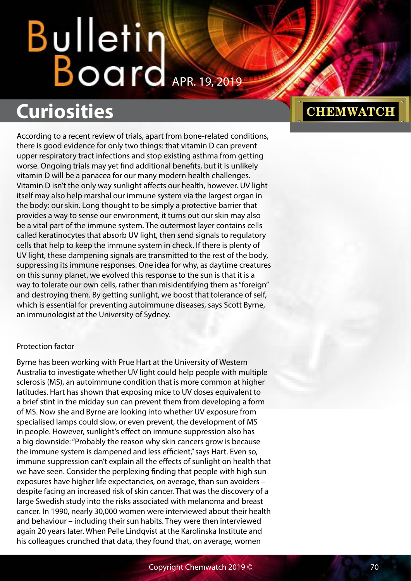## **Curiosities**

According to a recent review of trials, apart from bone-related conditions, there is good evidence for only two things: that vitamin D can prevent upper respiratory tract infections and stop existing asthma from getting worse. Ongoing trials may yet find additional benefits, but it is unlikely vitamin D will be a panacea for our many modern health challenges. Vitamin D isn't the only way sunlight affects our health, however. UV light itself may also help marshal our immune system via the largest organ in the body: our skin. Long thought to be simply a protective barrier that provides a way to sense our environment, it turns out our skin may also be a vital part of the immune system. The outermost layer contains cells called keratinocytes that absorb UV light, then send signals to regulatory cells that help to keep the immune system in check. If there is plenty of UV light, these dampening signals are transmitted to the rest of the body, suppressing its immune responses. One idea for why, as daytime creatures on this sunny planet, we evolved this response to the sun is that it is a way to tolerate our own cells, rather than misidentifying them as "foreign" and destroying them. By getting sunlight, we boost that tolerance of self, which is essential for preventing autoimmune diseases, says Scott Byrne, an immunologist at the University of Sydney.

#### Protection factor

Byrne has been working with Prue Hart at the University of Western Australia to investigate whether UV light could help people with multiple sclerosis (MS), an autoimmune condition that is more common at higher latitudes. Hart has shown that exposing mice to UV doses equivalent to a brief stint in the midday sun can prevent them from developing a form of MS. Now she and Byrne are looking into whether UV exposure from specialised lamps could slow, or even prevent, the development of MS in people. However, sunlight's effect on immune suppression also has a big downside: "Probably the reason why skin cancers grow is because the immune system is dampened and less efficient," says Hart. Even so, immune suppression can't explain all the effects of sunlight on health that we have seen. Consider the perplexing finding that people with high sun exposures have higher life expectancies, on average, than sun avoiders – despite facing an increased risk of skin cancer. That was the discovery of a large Swedish study into the risks associated with melanoma and breast cancer. In 1990, nearly 30,000 women were interviewed about their health and behaviour – including their sun habits. They were then interviewed again 20 years later. When Pelle Lindqvist at the Karolinska Institute and his colleagues crunched that data, they found that, on average, women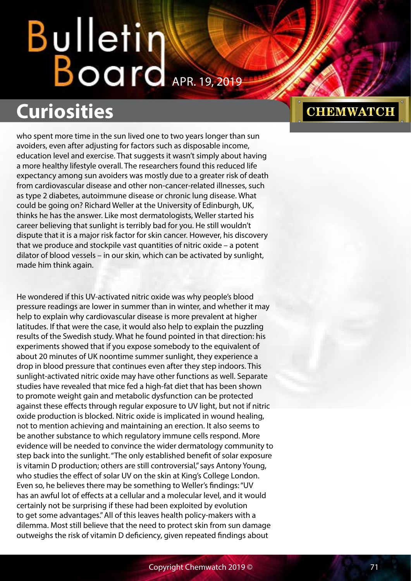## **Curiosities**

who spent more time in the sun lived one to two years longer than sun avoiders, even after adjusting for factors such as disposable income, education level and exercise. That suggests it wasn't simply about having a more healthy lifestyle overall. The researchers found this reduced life expectancy among sun avoiders was mostly due to a greater risk of death from cardiovascular disease and other non-cancer-related illnesses, such as type 2 diabetes, autoimmune disease or chronic lung disease. What could be going on? Richard Weller at the University of Edinburgh, UK, thinks he has the answer. Like most dermatologists, Weller started his career believing that sunlight is terribly bad for you. He still wouldn't dispute that it is a major risk factor for skin cancer. However, his discovery that we produce and stockpile vast quantities of nitric oxide – a potent dilator of blood vessels – in our skin, which can be activated by sunlight, made him think again.

He wondered if this UV-activated nitric oxide was why people's blood pressure readings are lower in summer than in winter, and whether it may help to explain why cardiovascular disease is more prevalent at higher latitudes. If that were the case, it would also help to explain the puzzling results of the Swedish study. What he found pointed in that direction: his experiments showed that if you expose somebody to the equivalent of about 20 minutes of UK noontime summer sunlight, they experience a drop in blood pressure that continues even after they step indoors. This sunlight-activated nitric oxide may have other functions as well. Separate studies have revealed that mice fed a high-fat diet that has been shown to promote weight gain and metabolic dysfunction can be protected against these effects through regular exposure to UV light, but not if nitric oxide production is blocked. Nitric oxide is implicated in wound healing, not to mention achieving and maintaining an erection. It also seems to be another substance to which regulatory immune cells respond. More evidence will be needed to convince the wider dermatology community to step back into the sunlight. "The only established benefit of solar exposure is vitamin D production; others are still controversial," says Antony Young, who studies the effect of solar UV on the skin at King's College London. Even so, he believes there may be something to Weller's findings: "UV has an awful lot of effects at a cellular and a molecular level, and it would certainly not be surprising if these had been exploited by evolution to get some advantages." All of this leaves health policy-makers with a dilemma. Most still believe that the need to protect skin from sun damage outweighs the risk of vitamin D deficiency, given repeated findings about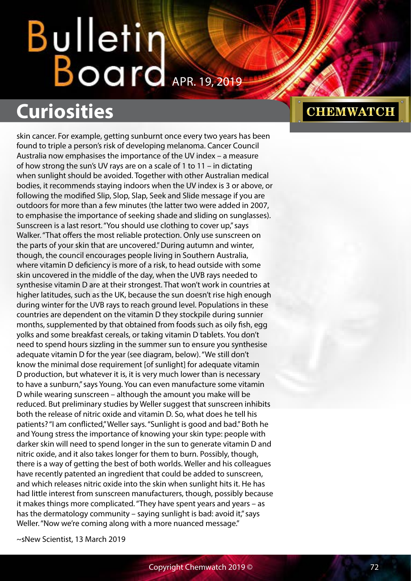## **Curiosities**

skin cancer. For example, getting sunburnt once every two years has been found to triple a person's risk of developing melanoma. Cancer Council Australia now emphasises the importance of the UV index – a measure of how strong the sun's UV rays are on a scale of 1 to 11 – in dictating when sunlight should be avoided. Together with other Australian medical bodies, it recommends staying indoors when the UV index is 3 or above, or following the modified Slip, Slop, Slap, Seek and Slide message if you are outdoors for more than a few minutes (the latter two were added in 2007, to emphasise the importance of seeking shade and sliding on sunglasses). Sunscreen is a last resort. "You should use clothing to cover up," says Walker. "That offers the most reliable protection. Only use sunscreen on the parts of your skin that are uncovered." During autumn and winter, though, the council encourages people living in Southern Australia, where vitamin D deficiency is more of a risk, to head outside with some skin uncovered in the middle of the day, when the UVB rays needed to synthesise vitamin D are at their strongest. That won't work in countries at higher latitudes, such as the UK, because the sun doesn't rise high enough during winter for the UVB rays to reach ground level. Populations in these countries are dependent on the vitamin D they stockpile during sunnier months, supplemented by that obtained from foods such as oily fish, egg yolks and some breakfast cereals, or taking vitamin D tablets. You don't need to spend hours sizzling in the summer sun to ensure you synthesise adequate vitamin D for the year (see diagram, below). "We still don't know the minimal dose requirement [of sunlight] for adequate vitamin D production, but whatever it is, it is very much lower than is necessary to have a sunburn," says Young. You can even manufacture some vitamin D while wearing sunscreen – although the amount you make will be reduced. But preliminary studies by Weller suggest that sunscreen inhibits both the release of nitric oxide and vitamin D. So, what does he tell his patients? "I am conflicted," Weller says. "Sunlight is good and bad." Both he and Young stress the importance of knowing your skin type: people with darker skin will need to spend longer in the sun to generate vitamin D and nitric oxide, and it also takes longer for them to burn. Possibly, though, there is a way of getting the best of both worlds. Weller and his colleagues have recently patented an ingredient that could be added to sunscreen, and which releases nitric oxide into the skin when sunlight hits it. He has had little interest from sunscreen manufacturers, though, possibly because it makes things more complicated. "They have spent years and years – as has the dermatology community – saying sunlight is bad: avoid it," says Weller. "Now we're coming along with a more nuanced message."

### **CHEMWATCH**

~sNew Scientist, 13 March 2019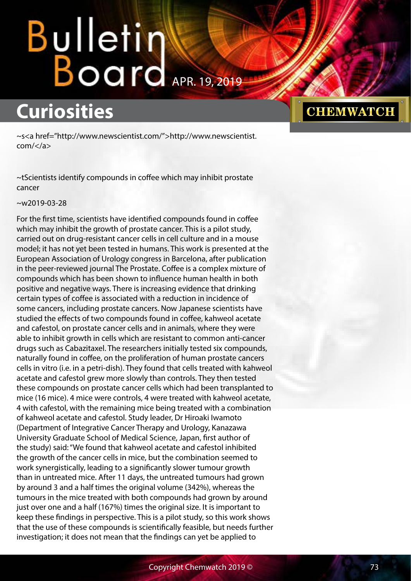### **Curiosities**

~s<a href="http://www.newscientist.com/">http://www.newscientist. com/</a>

~tScientists identify compounds in coffee which may inhibit prostate cancer

#### ~w2019-03-28

For the first time, scientists have identified compounds found in coffee which may inhibit the growth of prostate cancer. This is a pilot study, carried out on drug-resistant cancer cells in cell culture and in a mouse model; it has not yet been tested in humans. This work is presented at the European Association of Urology congress in Barcelona, after publication in the peer-reviewed journal The Prostate. Coffee is a complex mixture of compounds which has been shown to influence human health in both positive and negative ways. There is increasing evidence that drinking certain types of coffee is associated with a reduction in incidence of some cancers, including prostate cancers. Now Japanese scientists have studied the effects of two compounds found in coffee, kahweol acetate and cafestol, on prostate cancer cells and in animals, where they were able to inhibit growth in cells which are resistant to common anti-cancer drugs such as Cabazitaxel. The researchers initially tested six compounds, naturally found in coffee, on the proliferation of human prostate cancers cells in vitro (i.e. in a petri-dish). They found that cells treated with kahweol acetate and cafestol grew more slowly than controls. They then tested these compounds on prostate cancer cells which had been transplanted to mice (16 mice). 4 mice were controls, 4 were treated with kahweol acetate, 4 with cafestol, with the remaining mice being treated with a combination of kahweol acetate and cafestol. Study leader, Dr Hiroaki Iwamoto (Department of Integrative Cancer Therapy and Urology, Kanazawa University Graduate School of Medical Science, Japan, first author of the study) said: "We found that kahweol acetate and cafestol inhibited the growth of the cancer cells in mice, but the combination seemed to work synergistically, leading to a significantly slower tumour growth than in untreated mice. After 11 days, the untreated tumours had grown by around 3 and a half times the original volume (342%), whereas the tumours in the mice treated with both compounds had grown by around just over one and a half (167%) times the original size. It is important to keep these findings in perspective. This is a pilot study, so this work shows that the use of these compounds is scientifically feasible, but needs further investigation; it does not mean that the findings can yet be applied to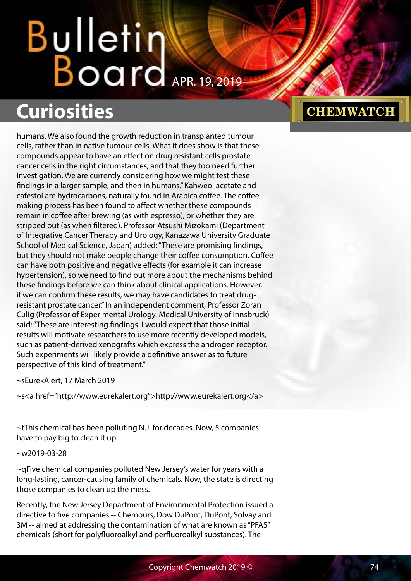## **Curiosities**

humans. We also found the growth reduction in transplanted tumour cells, rather than in native tumour cells. What it does show is that these compounds appear to have an effect on drug resistant cells prostate cancer cells in the right circumstances, and that they too need further investigation. We are currently considering how we might test these findings in a larger sample, and then in humans." Kahweol acetate and cafestol are hydrocarbons, naturally found in Arabica coffee. The coffeemaking process has been found to affect whether these compounds remain in coffee after brewing (as with espresso), or whether they are stripped out (as when filtered). Professor Atsushi Mizokami (Department of Integrative Cancer Therapy and Urology, Kanazawa University Graduate School of Medical Science, Japan) added: "These are promising findings, but they should not make people change their coffee consumption. Coffee can have both positive and negative effects (for example it can increase hypertension), so we need to find out more about the mechanisms behind these findings before we can think about clinical applications. However, if we can confirm these results, we may have candidates to treat drugresistant prostate cancer." In an independent comment, Professor Zoran Culig (Professor of Experimental Urology, Medical University of Innsbruck) said: "These are interesting findings. I would expect that those initial results will motivate researchers to use more recently developed models, such as patient-derived xenografts which express the androgen receptor. Such experiments will likely provide a definitive answer as to future perspective of this kind of treatment."

~sEurekAlert, 17 March 2019

~s<a href="http://www.eurekalert.org">http://www.eurekalert.org</a>

~tThis chemical has been polluting N.J. for decades. Now, 5 companies have to pay big to clean it up.

#### $~\sim$ w2019-03-28

~qFive chemical companies polluted New Jersey's water for years with a long-lasting, cancer-causing family of chemicals. Now, the state is directing those companies to clean up the mess.

Recently, the New Jersey Department of Environmental Protection issued a directive to five companies -- Chemours, Dow DuPont, DuPont, Solvay and 3M -- aimed at addressing the contamination of what are known as "PFAS" chemicals (short for polyfluoroalkyl and perfluoroalkyl substances). The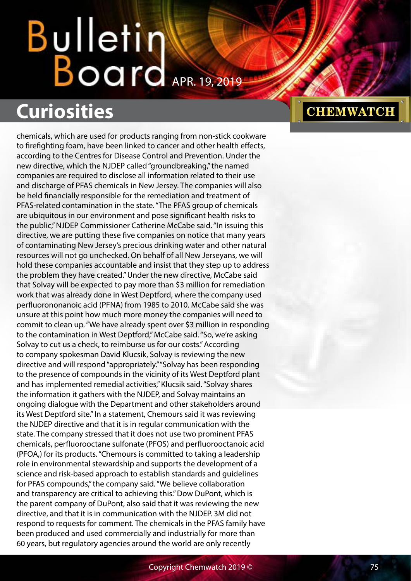## **Curiosities**

chemicals, which are used for products ranging from non-stick cookware to firefighting foam, have been linked to cancer and other health effects, according to the Centres for Disease Control and Prevention. Under the new directive, which the NJDEP called "groundbreaking," the named companies are required to disclose all information related to their use and discharge of PFAS chemicals in New Jersey. The companies will also be held financially responsible for the remediation and treatment of PFAS-related contamination in the state. "The PFAS group of chemicals are ubiquitous in our environment and pose significant health risks to the public," NJDEP Commissioner Catherine McCabe said. "In issuing this directive, we are putting these five companies on notice that many years of contaminating New Jersey's precious drinking water and other natural resources will not go unchecked. On behalf of all New Jerseyans, we will hold these companies accountable and insist that they step up to address the problem they have created." Under the new directive, McCabe said that Solvay will be expected to pay more than \$3 million for remediation work that was already done in West Deptford, where the company used perfluorononanoic acid (PFNA) from 1985 to 2010. McCabe said she was unsure at this point how much more money the companies will need to commit to clean up. "We have already spent over \$3 million in responding to the contamination in West Deptford," McCabe said. "So, we're asking Solvay to cut us a check, to reimburse us for our costs." According to company spokesman David Klucsik, Solvay is reviewing the new directive and will respond "appropriately." "Solvay has been responding to the presence of compounds in the vicinity of its West Deptford plant and has implemented remedial activities," Klucsik said. "Solvay shares the information it gathers with the NJDEP, and Solvay maintains an ongoing dialogue with the Department and other stakeholders around its West Deptford site." In a statement, Chemours said it was reviewing the NJDEP directive and that it is in regular communication with the state. The company stressed that it does not use two prominent PFAS chemicals, perfluorooctane sulfonate (PFOS) and perfluorooctanoic acid (PFOA,) for its products. "Chemours is committed to taking a leadership role in environmental stewardship and supports the development of a science and risk-based approach to establish standards and guidelines for PFAS compounds," the company said."We believe collaboration and transparency are critical to achieving this." Dow DuPont, which is the parent company of DuPont, also said that it was reviewing the new directive, and that it is in communication with the NJDEP. 3M did not respond to requests for comment. The chemicals in the PFAS family have been produced and used commercially and industrially for more than 60 years, but regulatory agencies around the world are only recently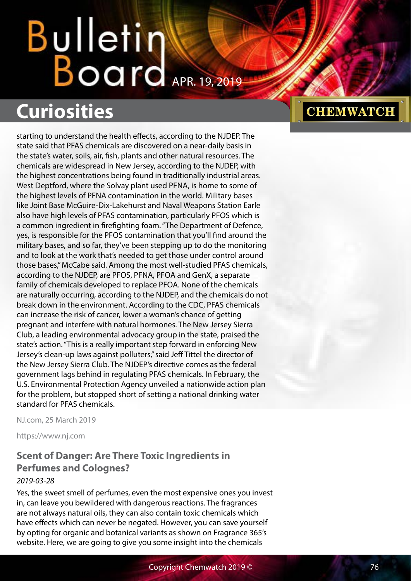## **Curiosities**

starting to understand the health effects, according to the NJDEP. The state said that PFAS chemicals are discovered on a near-daily basis in the state's water, soils, air, fish, plants and other natural resources. The chemicals are widespread in New Jersey, according to the NJDEP, with the highest concentrations being found in traditionally industrial areas. West Deptford, where the Solvay plant used PFNA, is home to some of the highest levels of PFNA contamination in the world. Military bases like Joint Base McGuire-Dix-Lakehurst and Naval Weapons Station Earle also have high levels of PFAS contamination, particularly PFOS which is a common ingredient in firefighting foam. "The Department of Defence, yes, is responsible for the PFOS contamination that you'll find around the military bases, and so far, they've been stepping up to do the monitoring and to look at the work that's needed to get those under control around those bases," McCabe said. Among the most well-studied PFAS chemicals, according to the NJDEP, are PFOS, PFNA, PFOA and GenX, a separate family of chemicals developed to replace PFOA. None of the chemicals are naturally occurring, according to the NJDEP, and the chemicals do not break down in the environment. According to the CDC, PFAS chemicals can increase the risk of cancer, lower a woman's chance of getting pregnant and interfere with natural hormones. The New Jersey Sierra Club, a leading environmental advocacy group in the state, praised the state's action. "This is a really important step forward in enforcing New Jersey's clean-up laws against polluters," said Jeff Tittel the director of the New Jersey Sierra Club. The NJDEP's directive comes as the federal government lags behind in regulating PFAS chemicals. In February, the U.S. Environmental Protection Agency unveiled a nationwide action plan for the problem, but stopped short of setting a national drinking water standard for PFAS chemicals.

NJ.com, 25 March 2019

https://www.nj.com

#### **Scent of Danger: Are There Toxic Ingredients in Perfumes and Colognes?**

#### *2019-03-28*

Yes, the sweet smell of perfumes, even the most expensive ones you invest in, can leave you bewildered with dangerous reactions. The fragrances are not always natural oils, they can also contain toxic chemicals which have effects which can never be negated. However, you can save yourself by opting for organic and botanical variants as shown on Fragrance 365's website. Here, we are going to give you some insight into the chemicals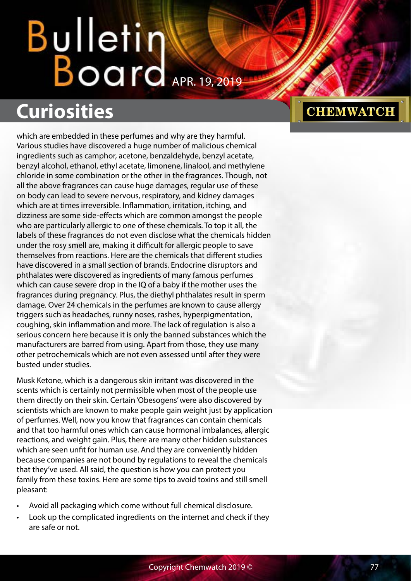## **Curiosities**

which are embedded in these perfumes and why are they harmful. Various studies have discovered a huge number of malicious chemical ingredients such as camphor, acetone, benzaldehyde, benzyl acetate, benzyl alcohol, ethanol, ethyl acetate, limonene, linalool, and methylene chloride in some combination or the other in the fragrances. Though, not all the above fragrances can cause huge damages, regular use of these on body can lead to severe nervous, respiratory, and kidney damages which are at times irreversible. Inflammation, irritation, itching, and dizziness are some side-effects which are common amongst the people who are particularly allergic to one of these chemicals. To top it all, the labels of these fragrances do not even disclose what the chemicals hidden under the rosy smell are, making it difficult for allergic people to save themselves from reactions. Here are the chemicals that different studies have discovered in a small section of brands. Endocrine disruptors and phthalates were discovered as ingredients of many famous perfumes which can cause severe drop in the IQ of a baby if the mother uses the fragrances during pregnancy. Plus, the diethyl phthalates result in sperm damage. Over 24 chemicals in the perfumes are known to cause allergy triggers such as headaches, runny noses, rashes, hyperpigmentation, coughing, skin inflammation and more. The lack of regulation is also a serious concern here because it is only the banned substances which the manufacturers are barred from using. Apart from those, they use many other petrochemicals which are not even assessed until after they were busted under studies.

Musk Ketone, which is a dangerous skin irritant was discovered in the scents which is certainly not permissible when most of the people use them directly on their skin. Certain 'Obesogens' were also discovered by scientists which are known to make people gain weight just by application of perfumes. Well, now you know that fragrances can contain chemicals and that too harmful ones which can cause hormonal imbalances, allergic reactions, and weight gain. Plus, there are many other hidden substances which are seen unfit for human use. And they are conveniently hidden because companies are not bound by regulations to reveal the chemicals that they've used. All said, the question is how you can protect you family from these toxins. Here are some tips to avoid toxins and still smell pleasant:

- Avoid all packaging which come without full chemical disclosure.
- Look up the complicated ingredients on the internet and check if they are safe or not.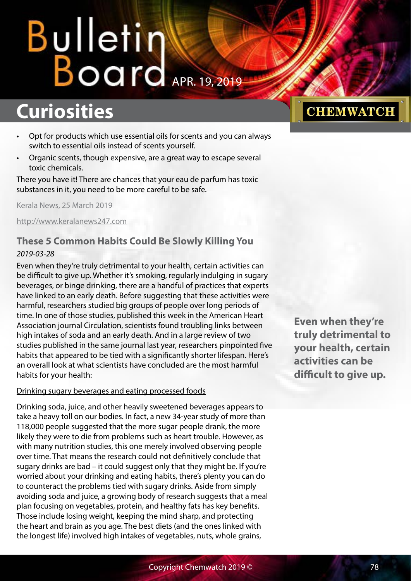### **Curiosities**

- Opt for products which use essential oils for scents and you can always switch to essential oils instead of scents yourself.
- Organic scents, though expensive, are a great way to escape several toxic chemicals.

There you have it! There are chances that your eau de parfum has toxic substances in it, you need to be more careful to be safe.

Kerala News, 25 March 2019

<http://www.keralanews247.com>

#### **These 5 Common Habits Could Be Slowly Killing You** *2019-03-28*

Even when they're truly detrimental to your health, certain activities can be difficult to give up. Whether it's smoking, regularly indulging in sugary beverages, or binge drinking, there are a handful of practices that experts have linked to an early death. Before suggesting that these activities were harmful, researchers studied big groups of people over long periods of time. In one of those studies, published this week in the American Heart Association journal Circulation, scientists found troubling links between high intakes of soda and an early death. And in a large review of two studies published in the same journal last year, researchers pinpointed five habits that appeared to be tied with a significantly shorter lifespan. Here's an overall look at what scientists have concluded are the most harmful habits for your health:

#### Drinking sugary beverages and eating processed foods

Drinking soda, juice, and other heavily sweetened beverages appears to take a heavy toll on our bodies. In fact, a new 34-year study of more than 118,000 people suggested that the more sugar people drank, the more likely they were to die from problems such as heart trouble. However, as with many nutrition studies, this one merely involved observing people over time. That means the research could not definitively conclude that sugary drinks are bad – it could suggest only that they might be. If you're worried about your drinking and eating habits, there's plenty you can do to counteract the problems tied with sugary drinks. Aside from simply avoiding soda and juice, a growing body of research suggests that a meal plan focusing on vegetables, protein, and healthy fats has key benefits. Those include losing weight, keeping the mind sharp, and protecting the heart and brain as you age. The best diets (and the ones linked with the longest life) involved high intakes of vegetables, nuts, whole grains,

#### **CHEMWATCH**

**Even when they're truly detrimental to your health, certain activities can be difficult to give up.**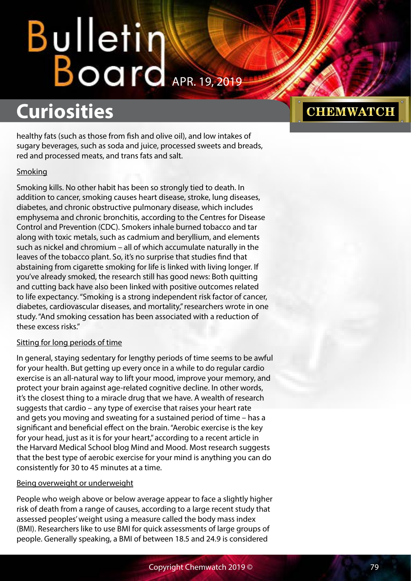### **Curiosities**

healthy fats (such as those from fish and olive oil), and low intakes of sugary beverages, such as soda and juice, processed sweets and breads, red and processed meats, and trans fats and salt.

#### Smoking

Smoking kills. No other habit has been so strongly tied to death. In addition to cancer, smoking causes heart disease, stroke, lung diseases, diabetes, and chronic obstructive pulmonary disease, which includes emphysema and chronic bronchitis, according to the Centres for Disease Control and Prevention (CDC). Smokers inhale burned tobacco and tar along with toxic metals, such as cadmium and beryllium, and elements such as nickel and chromium – all of which accumulate naturally in the leaves of the tobacco plant. So, it's no surprise that studies find that abstaining from cigarette smoking for life is linked with living longer. If you've already smoked, the research still has good news: Both quitting and cutting back have also been linked with positive outcomes related to life expectancy. "Smoking is a strong independent risk factor of cancer, diabetes, cardiovascular diseases, and mortality," researchers wrote in one study. "And smoking cessation has been associated with a reduction of these excess risks."

#### Sitting for long periods of time

In general, staying sedentary for lengthy periods of time seems to be awful for your health. But getting up every once in a while to do regular cardio exercise is an all-natural way to lift your mood, improve your memory, and protect your brain against age-related cognitive decline. In other words, it's the closest thing to a miracle drug that we have. A wealth of research suggests that cardio – any type of exercise that raises your heart rate and gets you moving and sweating for a sustained period of time – has a significant and beneficial effect on the brain. "Aerobic exercise is the key for your head, just as it is for your heart," according to a recent article in the Harvard Medical School blog Mind and Mood. Most research suggests that the best type of aerobic exercise for your mind is anything you can do consistently for 30 to 45 minutes at a time.

#### Being overweight or underweight

People who weigh above or below average appear to face a slightly higher risk of death from a range of causes, according to a large recent study that assessed peoples' weight using a measure called the body mass index (BMI). Researchers like to use BMI for quick assessments of large groups of people. Generally speaking, a BMI of between 18.5 and 24.9 is considered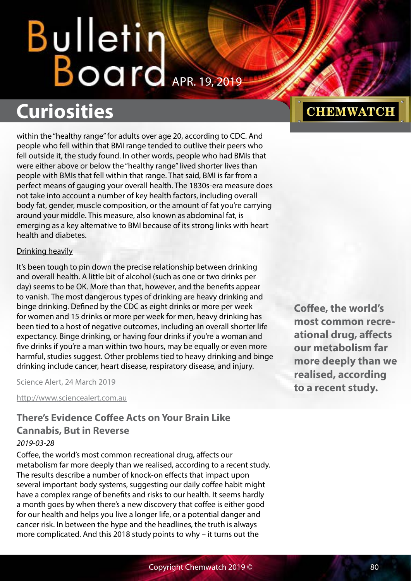### **Curiosities**

within the "healthy range" for adults over age 20, according to CDC. And people who fell within that BMI range tended to outlive their peers who fell outside it, the study found. In other words, people who had BMIs that were either above or below the "healthy range" lived shorter lives than people with BMIs that fell within that range. That said, BMI is far from a perfect means of gauging your overall health. The 1830s-era measure does not take into account a number of key health factors, including overall body fat, gender, muscle composition, or the amount of fat you're carrying around your middle. This measure, also known as abdominal fat, is emerging as a key alternative to BMI because of its strong links with heart health and diabetes.

#### Drinking heavily

It's been tough to pin down the precise relationship between drinking and overall health. A little bit of alcohol (such as one or two drinks per day) seems to be OK. More than that, however, and the benefits appear to vanish. The most dangerous types of drinking are heavy drinking and binge drinking. Defined by the CDC as eight drinks or more per week for women and 15 drinks or more per week for men, heavy drinking has been tied to a host of negative outcomes, including an overall shorter life expectancy. Binge drinking, or having four drinks if you're a woman and five drinks if you're a man within two hours, may be equally or even more harmful, studies suggest. Other problems tied to heavy drinking and binge drinking include cancer, heart disease, respiratory disease, and injury.

Science Alert, 24 March 2019

<http://www.sciencealert.com.au>

**There's Evidence Coffee Acts on Your Brain Like Cannabis, But in Reverse** *2019-03-28*

Coffee, the world's most common recreational drug, affects our metabolism far more deeply than we realised, according to a recent study. The results describe a number of knock-on effects that impact upon several important body systems, suggesting our daily coffee habit might have a complex range of benefits and risks to our health. It seems hardly a month goes by when there's a new discovery that coffee is either good for our health and helps you live a longer life, or a potential danger and cancer risk. In between the hype and the headlines, the truth is always more complicated. And this 2018 study points to why – it turns out the

#### **Coffee, the world's most common recreational drug, affects our metabolism far more deeply than we realised, according to a recent study.**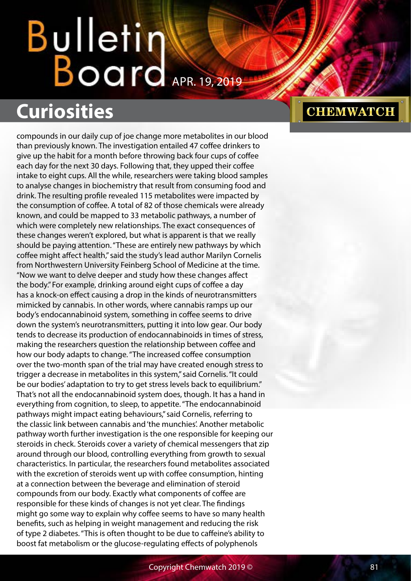# **Bulletin** Board APR. 19, 2019

## **Curiosities**

compounds in our daily cup of joe change more metabolites in our blood than previously known. The investigation entailed 47 coffee drinkers to give up the habit for a month before throwing back four cups of coffee each day for the next 30 days. Following that, they upped their coffee intake to eight cups. All the while, researchers were taking blood samples to analyse changes in biochemistry that result from consuming food and drink. The resulting profile revealed 115 metabolites were impacted by the consumption of coffee. A total of 82 of those chemicals were already known, and could be mapped to 33 metabolic pathways, a number of which were completely new relationships. The exact consequences of these changes weren't explored, but what is apparent is that we really should be paying attention. "These are entirely new pathways by which coffee might affect health," said the study's lead author Marilyn Cornelis from Northwestern University Feinberg School of Medicine at the time. "Now we want to delve deeper and study how these changes affect the body." For example, drinking around eight cups of coffee a day has a knock-on effect causing a drop in the kinds of neurotransmitters mimicked by cannabis. In other words, where cannabis ramps up our body's endocannabinoid system, something in coffee seems to drive down the system's neurotransmitters, putting it into low gear. Our body tends to decrease its production of endocannabinoids in times of stress, making the researchers question the relationship between coffee and how our body adapts to change. "The increased coffee consumption over the two-month span of the trial may have created enough stress to trigger a decrease in metabolites in this system," said Cornelis. "It could be our bodies' adaptation to try to get stress levels back to equilibrium." That's not all the endocannabinoid system does, though. It has a hand in everything from cognition, to sleep, to appetite. "The endocannabinoid pathways might impact eating behaviours," said Cornelis, referring to the classic link between cannabis and 'the munchies'. Another metabolic pathway worth further investigation is the one responsible for keeping our steroids in check. Steroids cover a variety of chemical messengers that zip around through our blood, controlling everything from growth to sexual characteristics. In particular, the researchers found metabolites associated with the excretion of steroids went up with coffee consumption, hinting at a connection between the beverage and elimination of steroid compounds from our body. Exactly what components of coffee are responsible for these kinds of changes is not yet clear. The findings might go some way to explain why coffee seems to have so many health benefits, such as helping in weight management and reducing the risk of type 2 diabetes. "This is often thought to be due to caffeine's ability to boost fat metabolism or the glucose-regulating effects of polyphenols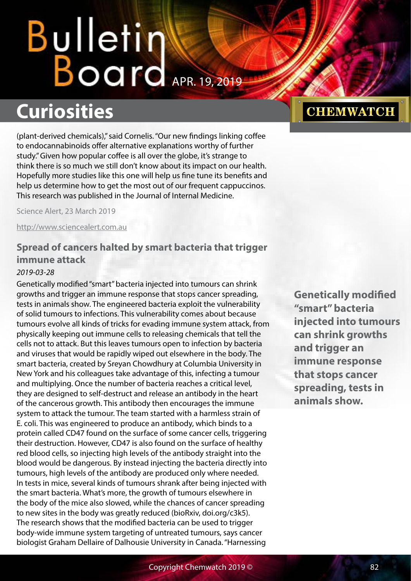# Bulletin Board APR. 19, 2019

### **Curiosities**

(plant-derived chemicals)," said Cornelis. "Our new findings linking coffee to endocannabinoids offer alternative explanations worthy of further study." Given how popular coffee is all over the globe, it's strange to think there is so much we still don't know about its impact on our health. Hopefully more studies like this one will help us fine tune its benefits and help us determine how to get the most out of our frequent cappuccinos. This research was published in the Journal of Internal Medicine.

Science Alert, 23 March 2019

<http://www.sciencealert.com.au>

#### **Spread of cancers halted by smart bacteria that trigger immune attack**

#### *2019-03-28*

Genetically modified "smart" bacteria injected into tumours can shrink growths and trigger an immune response that stops cancer spreading, tests in animals show. The engineered bacteria exploit the vulnerability of solid tumours to infections. This vulnerability comes about because tumours evolve all kinds of tricks for evading immune system attack, from physically keeping out immune cells to releasing chemicals that tell the cells not to attack. But this leaves tumours open to infection by bacteria and viruses that would be rapidly wiped out elsewhere in the body. The smart bacteria, created by Sreyan Chowdhury at Columbia University in New York and his colleagues take advantage of this, infecting a tumour and multiplying. Once the number of bacteria reaches a critical level, they are designed to self-destruct and release an antibody in the heart of the cancerous growth. This antibody then encourages the immune system to attack the tumour. The team started with a harmless strain of E. coli. This was engineered to produce an antibody, which binds to a protein called CD47 found on the surface of some cancer cells, triggering their destruction. However, CD47 is also found on the surface of healthy red blood cells, so injecting high levels of the antibody straight into the blood would be dangerous. By instead injecting the bacteria directly into tumours, high levels of the antibody are produced only where needed. In tests in mice, several kinds of tumours shrank after being injected with the smart bacteria. What's more, the growth of tumours elsewhere in the body of the mice also slowed, while the chances of cancer spreading to new sites in the body was greatly reduced (bioRxiv, doi.org/c3k5). The research shows that the modified bacteria can be used to trigger body-wide immune system targeting of untreated tumours, says cancer biologist Graham Dellaire of Dalhousie University in Canada. "Harnessing

**Genetically modified "smart" bacteria injected into tumours can shrink growths and trigger an immune response that stops cancer spreading, tests in animals show.**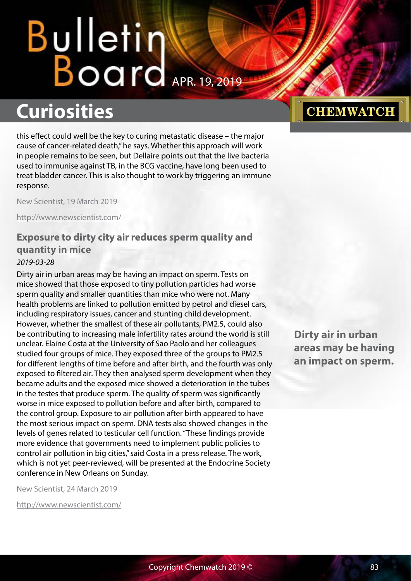### **Curiosities**

this effect could well be the key to curing metastatic disease – the major cause of cancer-related death," he says. Whether this approach will work in people remains to be seen, but Dellaire points out that the live bacteria used to immunise against TB, in the BCG vaccine, have long been used to treat bladder cancer. This is also thought to work by triggering an immune response.

New Scientist, 19 March 2019

<http://www.newscientist.com/>

#### **Exposure to dirty city air reduces sperm quality and quantity in mice** *2019-03-28*

Dirty air in urban areas may be having an impact on sperm. Tests on mice showed that those exposed to tiny pollution particles had worse sperm quality and smaller quantities than mice who were not. Many health problems are linked to pollution emitted by petrol and diesel cars, including respiratory issues, cancer and stunting child development. However, whether the smallest of these air pollutants, PM2.5, could also be contributing to increasing male infertility rates around the world is still unclear. Elaine Costa at the University of Sao Paolo and her colleagues studied four groups of mice. They exposed three of the groups to PM2.5 for different lengths of time before and after birth, and the fourth was only exposed to filtered air. They then analysed sperm development when they became adults and the exposed mice showed a deterioration in the tubes in the testes that produce sperm. The quality of sperm was significantly worse in mice exposed to pollution before and after birth, compared to the control group. Exposure to air pollution after birth appeared to have the most serious impact on sperm. DNA tests also showed changes in the levels of genes related to testicular cell function. "These findings provide more evidence that governments need to implement public policies to control air pollution in big cities," said Costa in a press release. The work, which is not yet peer-reviewed, will be presented at the Endocrine Society conference in New Orleans on Sunday.

New Scientist, 24 March 2019

<http://www.newscientist.com/>

#### **CHEMWATCH**

**Dirty air in urban areas may be having an impact on sperm.**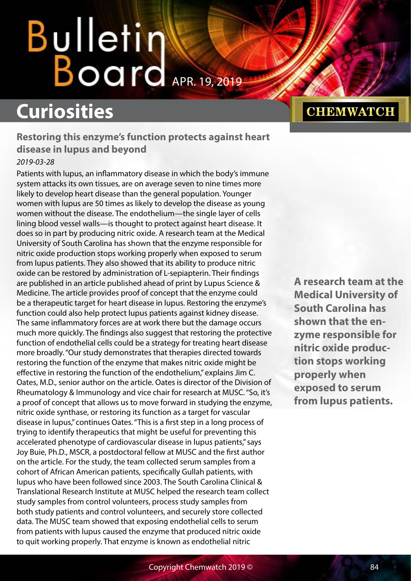# Bulletin Board APR. 19, 2019

### **Curiosities**

#### **Restoring this enzyme's function protects against heart disease in lupus and beyond** *2019-03-28*

Patients with lupus, an inflammatory disease in which the body's immune system attacks its own tissues, are on average seven to nine times more likely to develop heart disease than the general population. Younger women with lupus are 50 times as likely to develop the disease as young women without the disease. The endothelium—the single layer of cells lining blood vessel walls—is thought to protect against heart disease. It does so in part by producing nitric oxide. A research team at the Medical University of South Carolina has shown that the enzyme responsible for nitric oxide production stops working properly when exposed to serum from lupus patients. They also showed that its ability to produce nitric oxide can be restored by administration of L-sepiapterin. Their findings are published in an article published ahead of print by Lupus Science & Medicine. The article provides proof of concept that the enzyme could be a therapeutic target for heart disease in lupus. Restoring the enzyme's function could also help protect lupus patients against kidney disease. The same inflammatory forces are at work there but the damage occurs much more quickly. The findings also suggest that restoring the protective function of endothelial cells could be a strategy for treating heart disease more broadly. "Our study demonstrates that therapies directed towards restoring the function of the enzyme that makes nitric oxide might be effective in restoring the function of the endothelium," explains Jim C. Oates, M.D., senior author on the article. Oates is director of the Division of Rheumatology & Immunology and vice chair for research at MUSC. "So, it's a proof of concept that allows us to move forward in studying the enzyme, nitric oxide synthase, or restoring its function as a target for vascular disease in lupus," continues Oates. "This is a first step in a long process of trying to identify therapeutics that might be useful for preventing this accelerated phenotype of cardiovascular disease in lupus patients," says Joy Buie, Ph.D., MSCR, a postdoctoral fellow at MUSC and the first author on the article. For the study, the team collected serum samples from a cohort of African American patients, specifically Gullah patients, with lupus who have been followed since 2003. The South Carolina Clinical & Translational Research Institute at MUSC helped the research team collect study samples from control volunteers, process study samples from both study patients and control volunteers, and securely store collected data. The MUSC team showed that exposing endothelial cells to serum from patients with lupus caused the enzyme that produced nitric oxide to quit working properly. That enzyme is known as endothelial nitric

#### **CHEMWATCH**

**A research team at the Medical University of South Carolina has shown that the enzyme responsible for nitric oxide production stops working properly when exposed to serum from lupus patients.**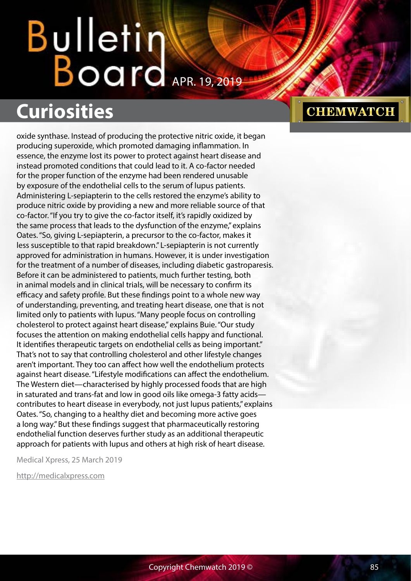### **Curiosities**

oxide synthase. Instead of producing the protective nitric oxide, it began producing superoxide, which promoted damaging inflammation. In essence, the enzyme lost its power to protect against heart disease and instead promoted conditions that could lead to it. A co-factor needed for the proper function of the enzyme had been rendered unusable by exposure of the endothelial cells to the serum of lupus patients. Administering L-sepiapterin to the cells restored the enzyme's ability to produce nitric oxide by providing a new and more reliable source of that co-factor. "If you try to give the co-factor itself, it's rapidly oxidized by the same process that leads to the dysfunction of the enzyme," explains Oates. "So, giving L-sepiapterin, a precursor to the co-factor, makes it less susceptible to that rapid breakdown." L-sepiapterin is not currently approved for administration in humans. However, it is under investigation for the treatment of a number of diseases, including diabetic gastroparesis. Before it can be administered to patients, much further testing, both in animal models and in clinical trials, will be necessary to confirm its efficacy and safety profile. But these findings point to a whole new way of understanding, preventing, and treating heart disease, one that is not limited only to patients with lupus. "Many people focus on controlling cholesterol to protect against heart disease," explains Buie. "Our study focuses the attention on making endothelial cells happy and functional. It identifies therapeutic targets on endothelial cells as being important." That's not to say that controlling cholesterol and other lifestyle changes aren't important. They too can affect how well the endothelium protects against heart disease. "Lifestyle modifications can affect the endothelium. The Western diet—characterised by highly processed foods that are high in saturated and trans-fat and low in good oils like omega-3 fatty acids contributes to heart disease in everybody, not just lupus patients," explains Oates. "So, changing to a healthy diet and becoming more active goes a long way." But these findings suggest that pharmaceutically restoring endothelial function deserves further study as an additional therapeutic approach for patients with lupus and others at high risk of heart disease.

Medical Xpress, 25 March 2019

<http://medicalxpress.com>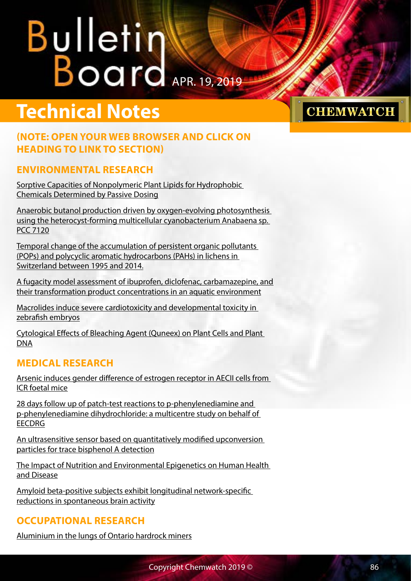### **Technical Notes**

#### **(NOTE: OPEN YOUR WEB BROWSER AND CLICK ON HEADING TO LINK TO SECTION)**

#### **ENVIRONMENTAL RESEARCH**

[Sorptive Capacities of Nonpolymeric Plant Lipids for Hydrophobic](ftp://ftp.chemwatch.net/pub/chemwatch/Bulletin/2019/04/190419/190419-Technical.pdf)  [Chemicals Determined by Passive Dosing](ftp://ftp.chemwatch.net/pub/chemwatch/Bulletin/2019/04/190419/190419-Technical.pdf)

[Anaerobic butanol production driven by oxygen-evolving photosynthesis](ftp://ftp.chemwatch.net/pub/chemwatch/Bulletin/2019/04/190419/190419-Technical.pdf)  [using the heterocyst-forming multicellular cyanobacterium Anabaena sp.](ftp://ftp.chemwatch.net/pub/chemwatch/Bulletin/2019/04/190419/190419-Technical.pdf)  [PCC 7120](ftp://ftp.chemwatch.net/pub/chemwatch/Bulletin/2019/04/190419/190419-Technical.pdf)

[Temporal change of the accumulation of persistent organic pollutants](ftp://ftp.chemwatch.net/pub/chemwatch/Bulletin/2019/04/190419/190419-Technical.pdf)  [\(POPs\) and polycyclic aromatic hydrocarbons \(PAHs\) in lichens in](ftp://ftp.chemwatch.net/pub/chemwatch/Bulletin/2019/04/190419/190419-Technical.pdf)  [Switzerland between 1995 and 2014.](ftp://ftp.chemwatch.net/pub/chemwatch/Bulletin/2019/04/190419/190419-Technical.pdf)

[A fugacity model assessment of ibuprofen, diclofenac, carbamazepine, and](ftp://ftp.chemwatch.net/pub/chemwatch/Bulletin/2019/04/190419/190419-Technical.pdf)  [their transformation product concentrations in an aquatic environment](ftp://ftp.chemwatch.net/pub/chemwatch/Bulletin/2019/04/190419/190419-Technical.pdf)

[Macrolides induce severe cardiotoxicity and developmental toxicity in](ftp://ftp.chemwatch.net/pub/chemwatch/Bulletin/2019/04/190419/190419-Technical.pdf)  [zebrafish embryos](ftp://ftp.chemwatch.net/pub/chemwatch/Bulletin/2019/04/190419/190419-Technical.pdf)

[Cytological Effects of Bleaching Agent \(Quneex\) on Plant Cells and Plant](ftp://ftp.chemwatch.net/pub/chemwatch/Bulletin/2019/04/190419/190419-Technical.pdf)  [DNA](ftp://ftp.chemwatch.net/pub/chemwatch/Bulletin/2019/04/190419/190419-Technical.pdf)

#### **MEDICAL RESEARCH**

[Arsenic induces gender difference of estrogen receptor in AECII cells from](ftp://ftp.chemwatch.net/pub/chemwatch/Bulletin/2019/04/190419/190419-Technical.pdf)  [ICR foetal mice](ftp://ftp.chemwatch.net/pub/chemwatch/Bulletin/2019/04/190419/190419-Technical.pdf)

[28 days follow up of patch-test reactions to p-phenylenediamine and](ftp://ftp.chemwatch.net/pub/chemwatch/Bulletin/2019/04/190419/190419-Technical.pdf)  [p-phenylenediamine dihydrochloride: a multicentre study on behalf of](ftp://ftp.chemwatch.net/pub/chemwatch/Bulletin/2019/04/190419/190419-Technical.pdf)  **[EECDRG](ftp://ftp.chemwatch.net/pub/chemwatch/Bulletin/2019/04/190419/190419-Technical.pdf)** 

[An ultrasensitive sensor based on quantitatively modified upconversion](ftp://ftp.chemwatch.net/pub/chemwatch/Bulletin/2019/04/190419/190419-Technical.pdf)  [particles for trace bisphenol A detection](ftp://ftp.chemwatch.net/pub/chemwatch/Bulletin/2019/04/190419/190419-Technical.pdf)

[The Impact of Nutrition and Environmental Epigenetics on Human Health](ftp://ftp.chemwatch.net/pub/chemwatch/Bulletin/2019/04/190419/190419-Technical.pdf)  [and Disease](ftp://ftp.chemwatch.net/pub/chemwatch/Bulletin/2019/04/190419/190419-Technical.pdf)

[Amyloid beta-positive subjects exhibit longitudinal network-specific](ftp://ftp.chemwatch.net/pub/chemwatch/Bulletin/2019/04/190419/190419-Technical.pdf)  [reductions in spontaneous brain activity](ftp://ftp.chemwatch.net/pub/chemwatch/Bulletin/2019/04/190419/190419-Technical.pdf)

#### **OCCUPATIONAL RESEARCH**

[Aluminium in the lungs of Ontario hardrock miners](ftp://ftp.chemwatch.net/pub/chemwatch/Bulletin/2019/04/190419/190419-Technical.pdf)